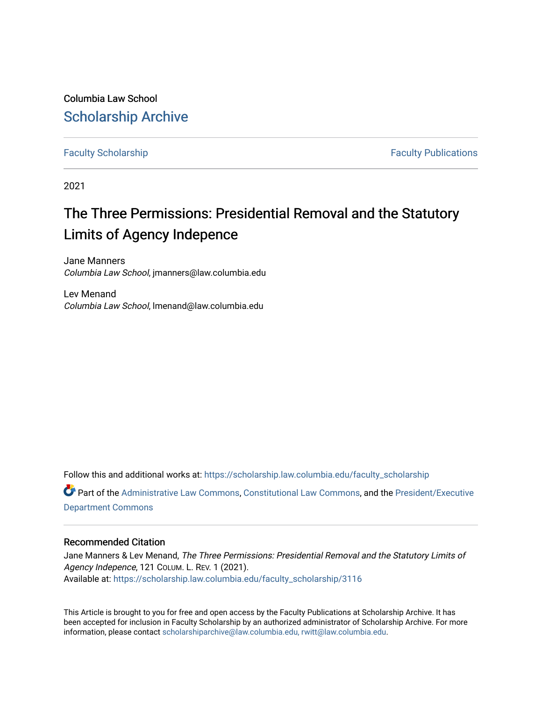Columbia Law School [Scholarship Archive](https://scholarship.law.columbia.edu/) 

[Faculty Scholarship](https://scholarship.law.columbia.edu/faculty_scholarship) **Faculty Scholarship Faculty Publications** 

2021

# The Three Permissions: Presidential Removal and the Statutory Limits of Agency Indepence

Jane Manners Columbia Law School, jmanners@law.columbia.edu

Lev Menand Columbia Law School, lmenand@law.columbia.edu

Follow this and additional works at: [https://scholarship.law.columbia.edu/faculty\\_scholarship](https://scholarship.law.columbia.edu/faculty_scholarship?utm_source=scholarship.law.columbia.edu%2Ffaculty_scholarship%2F3116&utm_medium=PDF&utm_campaign=PDFCoverPages) Part of the [Administrative Law Commons,](http://network.bepress.com/hgg/discipline/579?utm_source=scholarship.law.columbia.edu%2Ffaculty_scholarship%2F3116&utm_medium=PDF&utm_campaign=PDFCoverPages) [Constitutional Law Commons,](http://network.bepress.com/hgg/discipline/589?utm_source=scholarship.law.columbia.edu%2Ffaculty_scholarship%2F3116&utm_medium=PDF&utm_campaign=PDFCoverPages) and the [President/Executive](http://network.bepress.com/hgg/discipline/1118?utm_source=scholarship.law.columbia.edu%2Ffaculty_scholarship%2F3116&utm_medium=PDF&utm_campaign=PDFCoverPages) [Department Commons](http://network.bepress.com/hgg/discipline/1118?utm_source=scholarship.law.columbia.edu%2Ffaculty_scholarship%2F3116&utm_medium=PDF&utm_campaign=PDFCoverPages)

### Recommended Citation

Jane Manners & Lev Menand, The Three Permissions: Presidential Removal and the Statutory Limits of Agency Indepence, 121 COLUM. L. REV. 1 (2021). Available at: [https://scholarship.law.columbia.edu/faculty\\_scholarship/3116](https://scholarship.law.columbia.edu/faculty_scholarship/3116?utm_source=scholarship.law.columbia.edu%2Ffaculty_scholarship%2F3116&utm_medium=PDF&utm_campaign=PDFCoverPages)

This Article is brought to you for free and open access by the Faculty Publications at Scholarship Archive. It has been accepted for inclusion in Faculty Scholarship by an authorized administrator of Scholarship Archive. For more information, please contact [scholarshiparchive@law.columbia.edu, rwitt@law.columbia.edu](mailto:scholarshiparchive@law.columbia.edu,%20rwitt@law.columbia.edu).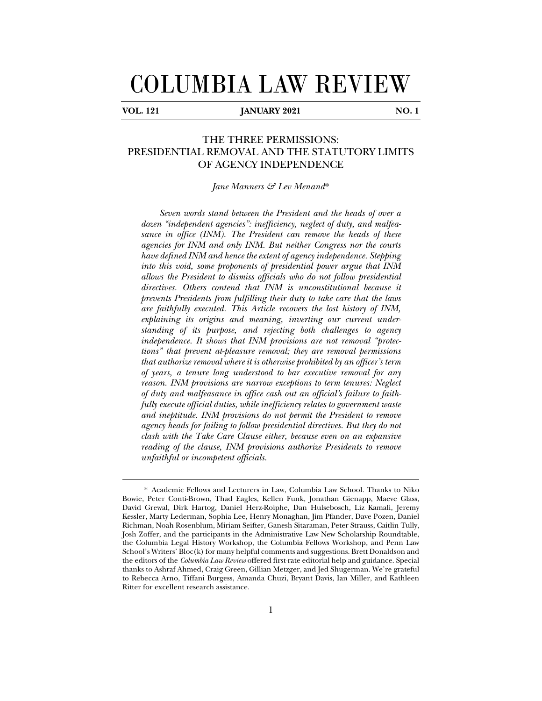# COLUMBIA LAW REVIEW

j

## **V V V 121** *W* **<b>121** *W* **121** *W* **121** *W* **121** *W* **121** *W* **121** *W* **121** *W* **121** *W***</del>**

THE THREE PERMISSIONS: PRESIDENTIAL REMOVAL AND THE STATUTORY LIMITS OF AGENCY INDEPENDENCE

*Jane Manners & Lev Menand*\*

*Seven words stand between the President and the heads of over a dozen "independent agencies": inefficiency, neglect of duty, and malfeasance in office (INM). The President can remove the heads of these agencies for INM and only INM. But neither Congress nor the courts have defined INM and hence the extent of agency independence. Stepping into this void, some proponents of presidential power argue that INM allows the President to dismiss officials who do not follow presidential directives. Others contend that INM is unconstitutional because it prevents Presidents from fulfilling their duty to take care that the laws are faithfully executed. This Article recovers the lost history of INM, explaining its origins and meaning, inverting our current understanding of its purpose, and rejecting both challenges to agency independence. It shows that INM provisions are not removal "protections" that prevent at-pleasure removal; they are removal permissions that authorize removal where it is otherwise prohibited by an officer's term of years, a tenure long understood to bar executive removal for any reason. INM provisions are narrow exceptions to term tenures: Neglect of duty and malfeasance in office cash out an official's failure to faithfully execute official duties, while inefficiency relates to government waste and ineptitude. INM provisions do not permit the President to remove agency heads for failing to follow presidential directives. But they do not clash with the Take Care Clause either, because even on an expansive reading of the clause, INM provisions authorize Presidents to remove unfaithful or incompetent officials.* 

<sup>\*</sup> Academic Fellows and Lecturers in Law, Columbia Law School. Thanks to Niko Bowie, Peter Conti-Brown, Thad Eagles, Kellen Funk, Jonathan Gienapp, Maeve Glass, David Grewal, Dirk Hartog, Daniel Herz-Roiphe, Dan Hulsebosch, Liz Kamali, Jeremy Kessler, Marty Lederman, Sophia Lee, Henry Monaghan, Jim Pfander, Dave Pozen, Daniel Richman, Noah Rosenblum, Miriam Seifter, Ganesh Sitaraman, Peter Strauss, Caitlin Tully, Josh Zoffer, and the participants in the Administrative Law New Scholarship Roundtable, the Columbia Legal History Workshop, the Columbia Fellows Workshop, and Penn Law School's Writers' Bloc(k) for many helpful comments and suggestions. Brett Donaldson and the editors of the *Columbia Law Review* offered first-rate editorial help and guidance. Special thanks to Ashraf Ahmed, Craig Green, Gillian Metzger, and Jed Shugerman. We're grateful to Rebecca Arno, Tiffani Burgess, Amanda Chuzi, Bryant Davis, Ian Miller, and Kathleen Ritter for excellent research assistance.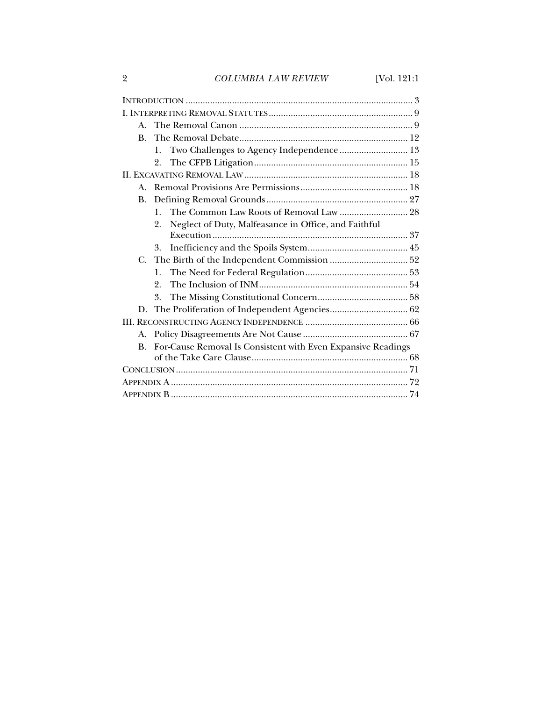2 *COLUMBIA LAW REVIEW* [Vol. 121:1

| $\mathbf{A}$ . |                                                              |  |
|----------------|--------------------------------------------------------------|--|
| $\mathbf{B}$ . |                                                              |  |
|                | Two Challenges to Agency Independence  13<br>$\mathbf{1}$ .  |  |
|                | 2.                                                           |  |
|                |                                                              |  |
| $\mathbf{A}$ . |                                                              |  |
| <b>B.</b>      |                                                              |  |
|                | The Common Law Roots of Removal Law  28<br>$\mathbf{1}$ .    |  |
|                | Neglect of Duty, Malfeasance in Office, and Faithful<br>2.   |  |
|                |                                                              |  |
|                | 3.                                                           |  |
| C.             |                                                              |  |
|                | 1.                                                           |  |
|                | 2.                                                           |  |
|                | 3.                                                           |  |
|                |                                                              |  |
|                |                                                              |  |
| A.             |                                                              |  |
| $\mathbf{B}$ . | For-Cause Removal Is Consistent with Even Expansive Readings |  |
|                |                                                              |  |
|                |                                                              |  |
|                |                                                              |  |
|                |                                                              |  |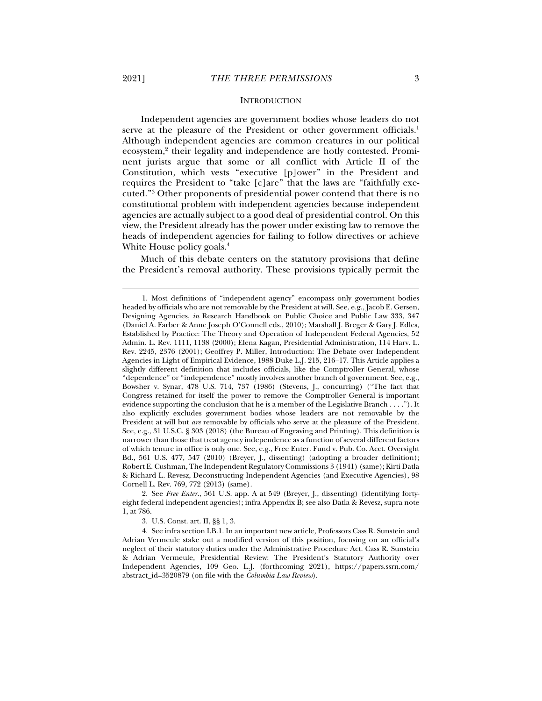#### **INTRODUCTION**

Independent agencies are government bodies whose leaders do not serve at the pleasure of the President or other government officials.<sup>1</sup> Although independent agencies are common creatures in our political ecosystem,<sup>2</sup> their legality and independence are hotly contested. Prominent jurists argue that some or all conflict with Article II of the Constitution, which vests "executive [p]ower" in the President and requires the President to "take [c]are" that the laws are "faithfully executed."3 Other proponents of presidential power contend that there is no constitutional problem with independent agencies because independent agencies are actually subject to a good deal of presidential control. On this view, the President already has the power under existing law to remove the heads of independent agencies for failing to follow directives or achieve White House policy goals.<sup>4</sup>

Much of this debate centers on the statutory provisions that define the President's removal authority. These provisions typically permit the

 2. See *Free Enter.*, 561 U.S. app. A at 549 (Breyer, J., dissenting) (identifying fortyeight federal independent agencies); infra Appendix B; see also Datla & Revesz, supra note 1, at 786.

3. U.S. Const. art. II, §§ 1, 3.

 <sup>1.</sup> Most definitions of "independent agency" encompass only government bodies headed by officials who are not removable by the President at will. See, e.g., Jacob E. Gersen, Designing Agencies, *in* Research Handbook on Public Choice and Public Law 333, 347 (Daniel A. Farber & Anne Joseph O'Connell eds., 2010); Marshall J. Breger & Gary J. Edles, Established by Practice: The Theory and Operation of Independent Federal Agencies, 52 Admin. L. Rev. 1111, 1138 (2000); Elena Kagan, Presidential Administration, 114 Harv. L. Rev. 2245, 2376 (2001); Geoffrey P. Miller, Introduction: The Debate over Independent Agencies in Light of Empirical Evidence, 1988 Duke L.J. 215, 216–17. This Article applies a slightly different definition that includes officials, like the Comptroller General, whose "dependence" or "independence" mostly involves another branch of government. See, e.g., Bowsher v. Synar, 478 U.S. 714, 737 (1986) (Stevens, J., concurring) ("The fact that Congress retained for itself the power to remove the Comptroller General is important evidence supporting the conclusion that he is a member of the Legislative Branch . . . ."). It also explicitly excludes government bodies whose leaders are not removable by the President at will but *are* removable by officials who serve at the pleasure of the President. See, e.g., 31 U.S.C. § 303 (2018) (the Bureau of Engraving and Printing). This definition is narrower than those that treat agency independence as a function of several different factors of which tenure in office is only one. See, e.g., Free Enter. Fund v. Pub. Co. Acct. Oversight Bd., 561 U.S. 477, 547 (2010) (Breyer, J., dissenting) (adopting a broader definition); Robert E. Cushman, The Independent Regulatory Commissions 3 (1941) (same); Kirti Datla & Richard L. Revesz, Deconstructing Independent Agencies (and Executive Agencies), 98 Cornell L. Rev. 769, 772 (2013) (same).

 <sup>4.</sup> See infra section I.B.1. In an important new article, Professors Cass R. Sunstein and Adrian Vermeule stake out a modified version of this position, focusing on an official's neglect of their statutory duties under the Administrative Procedure Act. Cass R. Sunstein & Adrian Vermeule, Presidential Review: The President's Statutory Authority over Independent Agencies, 109 Geo. L.J. (forthcoming 2021), https://papers.ssrn.com/ abstract\_id=3520879 (on file with the *Columbia Law Review*).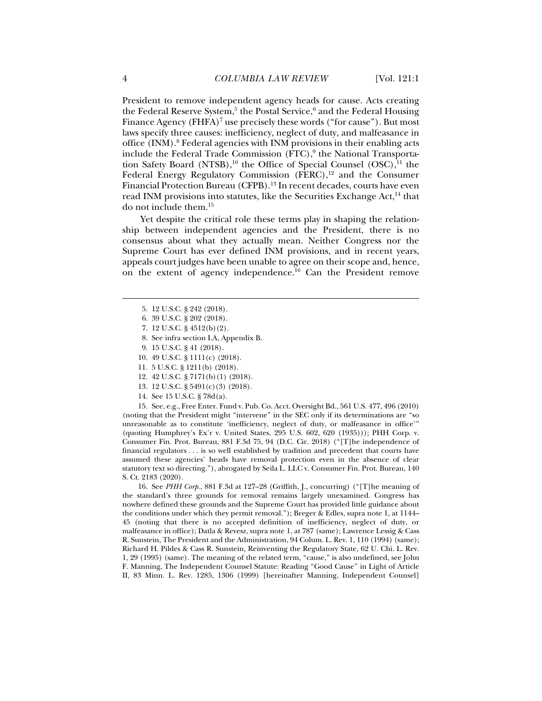President to remove independent agency heads for cause. Acts creating the Federal Reserve System,<sup>5</sup> the Postal Service,<sup>6</sup> and the Federal Housing Finance Agency (FHFA)<sup>7</sup> use precisely these words ("for cause"). But most laws specify three causes: inefficiency, neglect of duty, and malfeasance in office (INM).<sup>8</sup> Federal agencies with INM provisions in their enabling acts include the Federal Trade Commission  $(\mathrm{FTC}), ^9$  the National Transportation Safety Board (NTSB), $^{10}$  the Office of Special Counsel (OSC), $^{11}$  the Federal Energy Regulatory Commission (FERC),<sup>12</sup> and the Consumer Financial Protection Bureau (CFPB).13 In recent decades, courts have even read INM provisions into statutes, like the Securities Exchange Act,<sup>14</sup> that do not include them.15

Yet despite the critical role these terms play in shaping the relationship between independent agencies and the President, there is no consensus about what they actually mean. Neither Congress nor the Supreme Court has ever defined INM provisions, and in recent years, appeals court judges have been unable to agree on their scope and, hence, on the extent of agency independence.<sup>16</sup> Can the President remove

- 8. See infra section I.A, Appendix B.
- 9. 15 U.S.C. § 41 (2018).
- 10. 49 U.S.C. § 1111(c) (2018).
- 11. 5 U.S.C. § 1211(b) (2018).
- 12. 42 U.S.C. § 7171(b)(1) (2018).
- 13. 12 U.S.C. § 5491(c)(3) (2018).
- 14. See 15 U.S.C. § 78d(a).

 15. See, e.g., Free Enter. Fund v. Pub. Co. Acct. Oversight Bd., 561 U.S. 477, 496 (2010) (noting that the President might "intervene" in the SEC only if its determinations are "so unreasonable as to constitute 'inefficiency, neglect of duty, or malfeasance in office'" (quoting Humphrey's Ex'r v. United States, 295 U.S. 602, 620 (1935))); PHH Corp. v. Consumer Fin. Prot. Bureau, 881 F.3d 75, 94 (D.C. Cir. 2018) ("[T]he independence of financial regulators . . . is so well established by tradition and precedent that courts have assumed these agencies' heads have removal protection even in the absence of clear statutory text so directing."), abrogated by Seila L. LLC v. Consumer Fin. Prot. Bureau, 140 S. Ct. 2183 (2020).

 16. See *PHH Corp.*, 881 F.3d at 127–28 (Griffith, J., concurring) ("[T]he meaning of the standard's three grounds for removal remains largely unexamined. Congress has nowhere defined these grounds and the Supreme Court has provided little guidance about the conditions under which they permit removal."); Breger & Edles, supra note 1, at 1144– 45 (noting that there is no accepted definition of inefficiency, neglect of duty, or malfeasance in office); Datla & Revesz, supra note 1, at 787 (same); Lawrence Lessig & Cass R. Sunstein, The President and the Administration, 94 Colum. L. Rev. 1, 110 (1994) (same); Richard H. Pildes & Cass R. Sunstein, Reinventing the Regulatory State, 62 U. Chi. L. Rev. 1, 29 (1995) (same). The meaning of the related term, "cause," is also undefined, see John F. Manning, The Independent Counsel Statute: Reading "Good Cause" in Light of Article II, 83 Minn. L. Rev. 1285, 1306 (1999) [hereinafter Manning, Independent Counsel]

 <sup>5. 12</sup> U.S.C. § 242 (2018).

 <sup>6. 39</sup> U.S.C. § 202 (2018).

 <sup>7. 12</sup> U.S.C. § 4512(b)(2).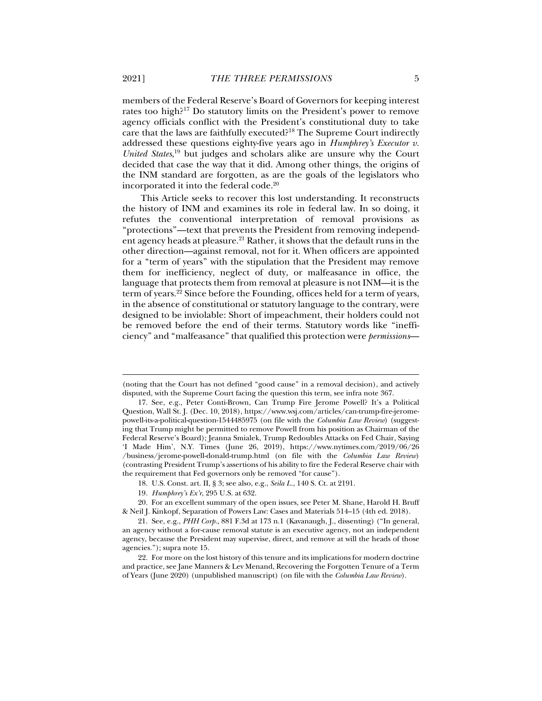members of the Federal Reserve's Board of Governors for keeping interest rates too high?17 Do statutory limits on the President's power to remove agency officials conflict with the President's constitutional duty to take care that the laws are faithfully executed?18 The Supreme Court indirectly addressed these questions eighty-five years ago in *Humphrey's Executor v. United States*, 19 but judges and scholars alike are unsure why the Court decided that case the way that it did. Among other things, the origins of the INM standard are forgotten, as are the goals of the legislators who incorporated it into the federal code.20

This Article seeks to recover this lost understanding. It reconstructs the history of INM and examines its role in federal law. In so doing, it refutes the conventional interpretation of removal provisions as "protections"—text that prevents the President from removing independent agency heads at pleasure.<sup>21</sup> Rather, it shows that the default runs in the other direction—against removal, not for it. When officers are appointed for a "term of years" with the stipulation that the President may remove them for inefficiency, neglect of duty, or malfeasance in office, the language that protects them from removal at pleasure is not INM—it is the term of years.22 Since before the Founding, offices held for a term of years, in the absence of constitutional or statutory language to the contrary, were designed to be inviolable: Short of impeachment, their holders could not be removed before the end of their terms. Statutory words like "inefficiency" and "malfeasance" that qualified this protection were *permissions*—

<sup>(</sup>noting that the Court has not defined "good cause" in a removal decision), and actively disputed, with the Supreme Court facing the question this term, see infra note 367.

 <sup>17.</sup> See, e.g., Peter Conti-Brown, Can Trump Fire Jerome Powell? It's a Political Question, Wall St. J. (Dec. 10, 2018), https://www.wsj.com/articles/can-trump-fire-jeromepowell-its-a-political-question-1544485975 (on file with the *Columbia Law Review*) (suggesting that Trump might be permitted to remove Powell from his position as Chairman of the Federal Reserve's Board); Jeanna Smialek, Trump Redoubles Attacks on Fed Chair, Saying 'I Made Him', N.Y. Times (June 26, 2019), https://www.nytimes.com/2019/06/26 /business/jerome-powell-donald-trump.html (on file with the *Columbia Law Review*) (contrasting President Trump's assertions of his ability to fire the Federal Reserve chair with the requirement that Fed governors only be removed "for cause").

 <sup>18.</sup> U.S. Const. art. II, § 3; see also, e.g., *Seila L.*, 140 S. Ct. at 2191.

<sup>19</sup>*. Humphrey's Ex'r*, 295 U.S. at 632.

 <sup>20.</sup> For an excellent summary of the open issues, see Peter M. Shane, Harold H. Bruff & Neil J. Kinkopf, Separation of Powers Law: Cases and Materials 514–15 (4th ed. 2018).

 <sup>21.</sup> See, e.g., *PHH Corp.*, 881 F.3d at 173 n.1 (Kavanaugh, J., dissenting) ("In general, an agency without a for-cause removal statute is an executive agency, not an independent agency, because the President may supervise, direct, and remove at will the heads of those agencies."); supra note 15.

 <sup>22.</sup> For more on the lost history of this tenure and its implications for modern doctrine and practice, see Jane Manners & Lev Menand, Recovering the Forgotten Tenure of a Term of Years (June 2020) (unpublished manuscript) (on file with the *Columbia Law Review*).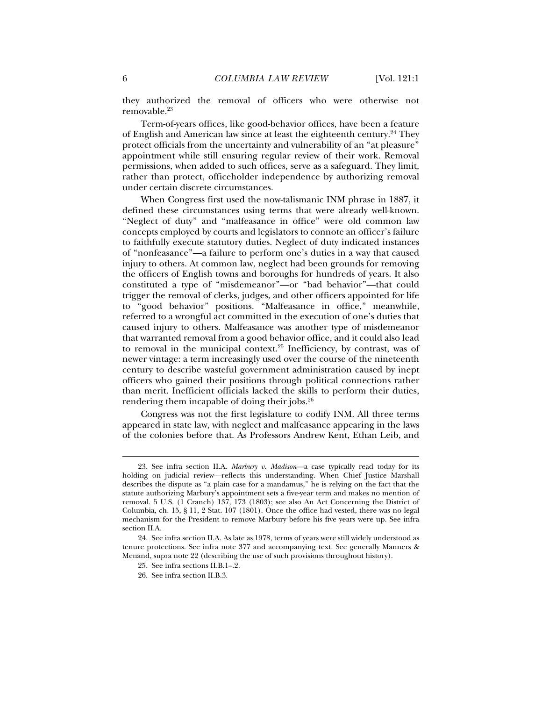they authorized the removal of officers who were otherwise not removable.23

Term-of-years offices, like good-behavior offices, have been a feature of English and American law since at least the eighteenth century.<sup>24</sup> They protect officials from the uncertainty and vulnerability of an "at pleasure" appointment while still ensuring regular review of their work. Removal permissions, when added to such offices, serve as a safeguard. They limit, rather than protect, officeholder independence by authorizing removal under certain discrete circumstances.

When Congress first used the now-talismanic INM phrase in 1887, it defined these circumstances using terms that were already well-known. "Neglect of duty" and "malfeasance in office" were old common law concepts employed by courts and legislators to connote an officer's failure to faithfully execute statutory duties. Neglect of duty indicated instances of "nonfeasance"—a failure to perform one's duties in a way that caused injury to others. At common law, neglect had been grounds for removing the officers of English towns and boroughs for hundreds of years. It also constituted a type of "misdemeanor"—or "bad behavior"—that could trigger the removal of clerks, judges, and other officers appointed for life to "good behavior" positions. "Malfeasance in office," meanwhile, referred to a wrongful act committed in the execution of one's duties that caused injury to others. Malfeasance was another type of misdemeanor that warranted removal from a good behavior office, and it could also lead to removal in the municipal context. $25$  Inefficiency, by contrast, was of newer vintage: a term increasingly used over the course of the nineteenth century to describe wasteful government administration caused by inept officers who gained their positions through political connections rather than merit. Inefficient officials lacked the skills to perform their duties, rendering them incapable of doing their jobs.26

Congress was not the first legislature to codify INM. All three terms appeared in state law, with neglect and malfeasance appearing in the laws of the colonies before that. As Professors Andrew Kent, Ethan Leib, and

 <sup>23.</sup> See infra section II.A. *Marbury v. Madison*—a case typically read today for its holding on judicial review—reflects this understanding. When Chief Justice Marshall describes the dispute as "a plain case for a mandamus," he is relying on the fact that the statute authorizing Marbury's appointment sets a five-year term and makes no mention of removal. 5 U.S. (1 Cranch) 137, 173 (1803); see also An Act Concerning the District of Columbia, ch. 15, § 11, 2 Stat. 107 (1801). Once the office had vested, there was no legal mechanism for the President to remove Marbury before his five years were up. See infra section II.A.

 <sup>24.</sup> See infra section II.A. As late as 1978, terms of years were still widely understood as tenure protections. See infra note 377 and accompanying text. See generally Manners & Menand, supra note 22 (describing the use of such provisions throughout history).

 <sup>25.</sup> See infra sections II.B.1–.2.

 <sup>26.</sup> See infra section II.B.3.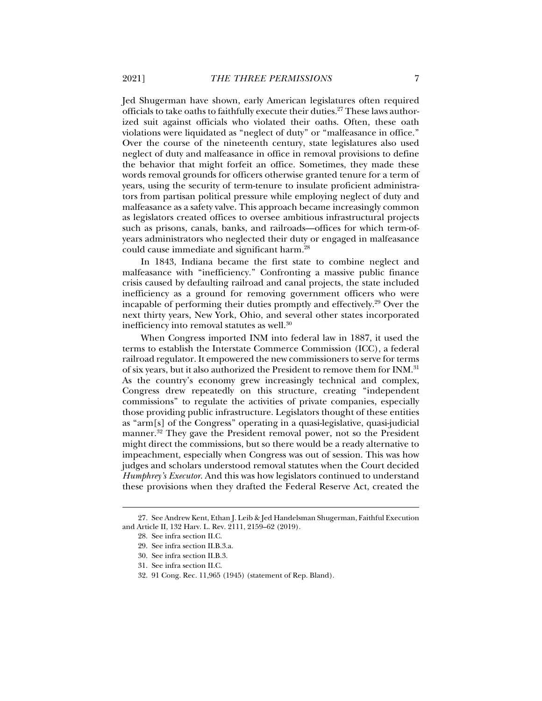Jed Shugerman have shown, early American legislatures often required officials to take oaths to faithfully execute their duties.<sup>27</sup> These laws authorized suit against officials who violated their oaths. Often, these oath violations were liquidated as "neglect of duty" or "malfeasance in office." Over the course of the nineteenth century, state legislatures also used neglect of duty and malfeasance in office in removal provisions to define the behavior that might forfeit an office. Sometimes, they made these words removal grounds for officers otherwise granted tenure for a term of years, using the security of term-tenure to insulate proficient administrators from partisan political pressure while employing neglect of duty and malfeasance as a safety valve. This approach became increasingly common as legislators created offices to oversee ambitious infrastructural projects such as prisons, canals, banks, and railroads—offices for which term-ofyears administrators who neglected their duty or engaged in malfeasance could cause immediate and significant harm.28

In 1843, Indiana became the first state to combine neglect and malfeasance with "inefficiency." Confronting a massive public finance crisis caused by defaulting railroad and canal projects, the state included inefficiency as a ground for removing government officers who were incapable of performing their duties promptly and effectively.<sup>29</sup> Over the next thirty years, New York, Ohio, and several other states incorporated inefficiency into removal statutes as well.<sup>30</sup>

When Congress imported INM into federal law in 1887, it used the terms to establish the Interstate Commerce Commission (ICC), a federal railroad regulator. It empowered the new commissioners to serve for terms of six years, but it also authorized the President to remove them for INM.31 As the country's economy grew increasingly technical and complex, Congress drew repeatedly on this structure, creating "independent commissions" to regulate the activities of private companies, especially those providing public infrastructure. Legislators thought of these entities as "arm[s] of the Congress" operating in a quasi-legislative, quasi-judicial manner.32 They gave the President removal power, not so the President might direct the commissions, but so there would be a ready alternative to impeachment, especially when Congress was out of session. This was how judges and scholars understood removal statutes when the Court decided *Humphrey's Executor*. And this was how legislators continued to understand these provisions when they drafted the Federal Reserve Act, created the

 <sup>27.</sup> See Andrew Kent, Ethan J. Leib & Jed Handelsman Shugerman, Faithful Execution and Article II, 132 Harv. L. Rev. 2111, 2159–62 (2019).

 <sup>28.</sup> See infra section II.C.

 <sup>29.</sup> See infra section II.B.3.a.

 <sup>30.</sup> See infra section II.B.3.

 <sup>31.</sup> See infra section II.C.

 <sup>32. 91</sup> Cong. Rec. 11,965 (1945) (statement of Rep. Bland).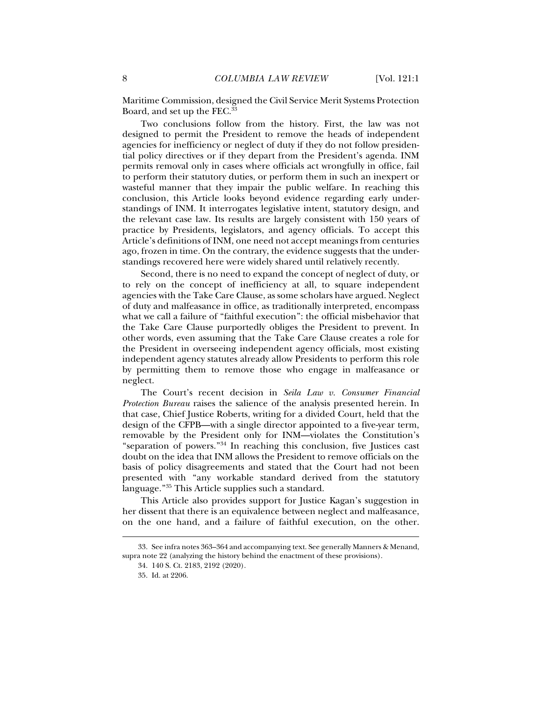Maritime Commission, designed the Civil Service Merit Systems Protection Board, and set up the FEC.<sup>33</sup>

Two conclusions follow from the history. First, the law was not designed to permit the President to remove the heads of independent agencies for inefficiency or neglect of duty if they do not follow presidential policy directives or if they depart from the President's agenda. INM permits removal only in cases where officials act wrongfully in office, fail to perform their statutory duties, or perform them in such an inexpert or wasteful manner that they impair the public welfare. In reaching this conclusion, this Article looks beyond evidence regarding early understandings of INM. It interrogates legislative intent, statutory design, and the relevant case law. Its results are largely consistent with 150 years of practice by Presidents, legislators, and agency officials. To accept this Article's definitions of INM, one need not accept meanings from centuries ago, frozen in time. On the contrary, the evidence suggests that the understandings recovered here were widely shared until relatively recently.

Second, there is no need to expand the concept of neglect of duty, or to rely on the concept of inefficiency at all, to square independent agencies with the Take Care Clause, as some scholars have argued. Neglect of duty and malfeasance in office, as traditionally interpreted, encompass what we call a failure of "faithful execution": the official misbehavior that the Take Care Clause purportedly obliges the President to prevent. In other words, even assuming that the Take Care Clause creates a role for the President in overseeing independent agency officials, most existing independent agency statutes already allow Presidents to perform this role by permitting them to remove those who engage in malfeasance or neglect.

The Court's recent decision in *Seila Law v. Consumer Financial Protection Bureau* raises the salience of the analysis presented herein. In that case, Chief Justice Roberts, writing for a divided Court, held that the design of the CFPB—with a single director appointed to a five-year term, removable by the President only for INM—violates the Constitution's "separation of powers."34 In reaching this conclusion, five Justices cast doubt on the idea that INM allows the President to remove officials on the basis of policy disagreements and stated that the Court had not been presented with "any workable standard derived from the statutory language."35 This Article supplies such a standard.

This Article also provides support for Justice Kagan's suggestion in her dissent that there is an equivalence between neglect and malfeasance, on the one hand, and a failure of faithful execution, on the other.

 <sup>33.</sup> See infra notes 363–364 and accompanying text. See generally Manners & Menand, supra note 22 (analyzing the history behind the enactment of these provisions).

 <sup>34. 140</sup> S. Ct. 2183, 2192 (2020).

 <sup>35.</sup> Id. at 2206.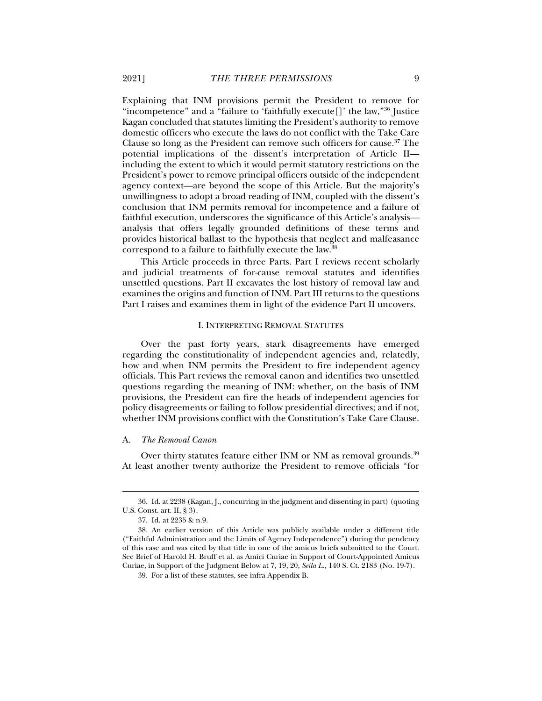Explaining that INM provisions permit the President to remove for "incompetence" and a "failure to 'faithfully execute[]' the law,"36 Justice Kagan concluded that statutes limiting the President's authority to remove domestic officers who execute the laws do not conflict with the Take Care Clause so long as the President can remove such officers for cause.<sup>37</sup> The potential implications of the dissent's interpretation of Article II including the extent to which it would permit statutory restrictions on the President's power to remove principal officers outside of the independent agency context—are beyond the scope of this Article. But the majority's unwillingness to adopt a broad reading of INM, coupled with the dissent's conclusion that INM permits removal for incompetence and a failure of faithful execution, underscores the significance of this Article's analysis analysis that offers legally grounded definitions of these terms and provides historical ballast to the hypothesis that neglect and malfeasance correspond to a failure to faithfully execute the law.38

This Article proceeds in three Parts. Part I reviews recent scholarly and judicial treatments of for-cause removal statutes and identifies unsettled questions. Part II excavates the lost history of removal law and examines the origins and function of INM. Part III returns to the questions Part I raises and examines them in light of the evidence Part II uncovers.

#### I. INTERPRETING REMOVAL STATUTES

Over the past forty years, stark disagreements have emerged regarding the constitutionality of independent agencies and, relatedly, how and when INM permits the President to fire independent agency officials. This Part reviews the removal canon and identifies two unsettled questions regarding the meaning of INM: whether, on the basis of INM provisions, the President can fire the heads of independent agencies for policy disagreements or failing to follow presidential directives; and if not, whether INM provisions conflict with the Constitution's Take Care Clause.

#### A. *The Removal Canon*

Over thirty statutes feature either INM or NM as removal grounds.<sup>39</sup> At least another twenty authorize the President to remove officials "for

 <sup>36.</sup> Id. at 2238 (Kagan, J., concurring in the judgment and dissenting in part) (quoting U.S. Const. art. II, § 3).

 <sup>37.</sup> Id. at 2235 & n.9.

 <sup>38.</sup> An earlier version of this Article was publicly available under a different title ("Faithful Administration and the Limits of Agency Independence") during the pendency of this case and was cited by that title in one of the amicus briefs submitted to the Court. See Brief of Harold H. Bruff et al. as Amici Curiae in Support of Court-Appointed Amicus Curiae, in Support of the Judgment Below at 7, 19, 20, *Seila L.*, 140 S. Ct. 2183 (No. 19-7).

 <sup>39.</sup> For a list of these statutes, see infra Appendix B.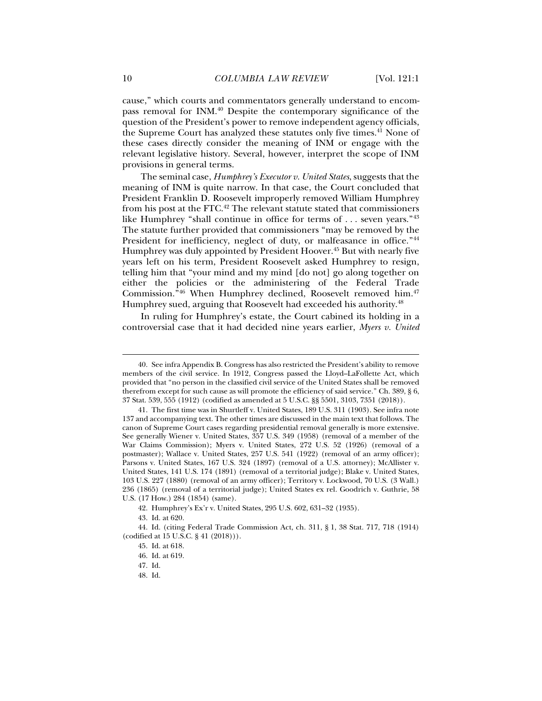cause," which courts and commentators generally understand to encompass removal for INM.40 Despite the contemporary significance of the question of the President's power to remove independent agency officials, the Supreme Court has analyzed these statutes only five times.<sup>41</sup> None of these cases directly consider the meaning of INM or engage with the relevant legislative history. Several, however, interpret the scope of INM provisions in general terms.

The seminal case, *Humphrey's Executor v. United States*, suggests that the meaning of INM is quite narrow. In that case, the Court concluded that President Franklin D. Roosevelt improperly removed William Humphrey from his post at the FTC.<sup>42</sup> The relevant statute stated that commissioners like Humphrey "shall continue in office for terms of ... seven years."<sup>43</sup> The statute further provided that commissioners "may be removed by the President for inefficiency, neglect of duty, or malfeasance in office.<sup>"44</sup> Humphrey was duly appointed by President Hoover.<sup>45</sup> But with nearly five years left on his term, President Roosevelt asked Humphrey to resign, telling him that "your mind and my mind [do not] go along together on either the policies or the administering of the Federal Trade Commission.<sup>346</sup> When Humphrey declined, Roosevelt removed him.<sup>47</sup> Humphrey sued, arguing that Roosevelt had exceeded his authority.<sup>48</sup>

In ruling for Humphrey's estate, the Court cabined its holding in a controversial case that it had decided nine years earlier, *Myers v. United* 

 <sup>40.</sup> See infra Appendix B. Congress has also restricted the President's ability to remove members of the civil service. In 1912, Congress passed the Lloyd–LaFollette Act, which provided that "no person in the classified civil service of the United States shall be removed therefrom except for such cause as will promote the efficiency of said service." Ch. 389, § 6, 37 Stat. 539, 555 (1912) (codified as amended at 5 U.S.C. §§ 5501, 3103, 7351 (2018)).

 <sup>41.</sup> The first time was in Shurtleff v. United States, 189 U.S. 311 (1903). See infra note 137 and accompanying text. The other times are discussed in the main text that follows. The canon of Supreme Court cases regarding presidential removal generally is more extensive. See generally Wiener v. United States, 357 U.S. 349 (1958) (removal of a member of the War Claims Commission); Myers v. United States, 272 U.S. 52 (1926) (removal of a postmaster); Wallace v. United States, 257 U.S. 541 (1922) (removal of an army officer); Parsons v. United States, 167 U.S. 324 (1897) (removal of a U.S. attorney); McAllister v. United States, 141 U.S. 174 (1891) (removal of a territorial judge); Blake v. United States, 103 U.S. 227 (1880) (removal of an army officer); Territory v. Lockwood, 70 U.S. (3 Wall.) 236 (1865) (removal of a territorial judge); United States ex rel. Goodrich v. Guthrie, 58 U.S. (17 How.) 284 (1854) (same).

 <sup>42.</sup> Humphrey's Ex'r v. United States, 295 U.S. 602, 631–32 (1935).

 <sup>43.</sup> Id. at 620.

 <sup>44.</sup> Id. (citing Federal Trade Commission Act, ch. 311, § 1, 38 Stat. 717, 718 (1914) (codified at 15 U.S.C. § 41 (2018))).

 <sup>45.</sup> Id. at 618.

 <sup>46.</sup> Id. at 619.

 <sup>47.</sup> Id.

 <sup>48.</sup> Id.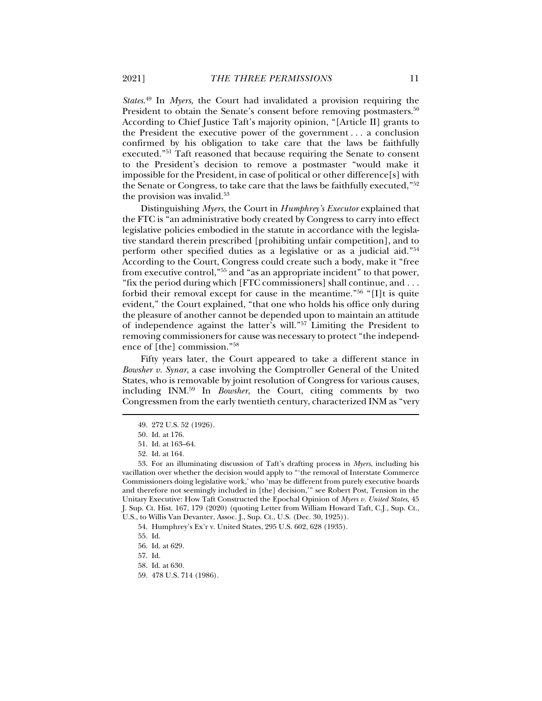*States*. 49 In *Myers*, the Court had invalidated a provision requiring the President to obtain the Senate's consent before removing postmasters.<sup>50</sup> According to Chief Justice Taft's majority opinion, "[Article II] grants to the President the executive power of the government . . . a conclusion confirmed by his obligation to take care that the laws be faithfully executed."51 Taft reasoned that because requiring the Senate to consent to the President's decision to remove a postmaster "would make it impossible for the President, in case of political or other difference[s] with the Senate or Congress, to take care that the laws be faithfully executed,"52 the provision was invalid.<sup>53</sup>

Distinguishing *Myers*, the Court in *Humphrey's Executor* explained that the FTC is "an administrative body created by Congress to carry into effect legislative policies embodied in the statute in accordance with the legislative standard therein prescribed [prohibiting unfair competition], and to perform other specified duties as a legislative or as a judicial aid."54 According to the Court, Congress could create such a body, make it "free from executive control,"55 and "as an appropriate incident" to that power, "fix the period during which [FTC commissioners] shall continue, and . . . forbid their removal except for cause in the meantime."56 "[I]t is quite evident," the Court explained, "that one who holds his office only during the pleasure of another cannot be depended upon to maintain an attitude of independence against the latter's will."57 Limiting the President to removing commissioners for cause was necessary to protect "the independence of [the] commission."58

Fifty years later, the Court appeared to take a different stance in *Bowsher v. Synar*, a case involving the Comptroller General of the United States, who is removable by joint resolution of Congress for various causes, including INM.59 In *Bowsher*, the Court, citing comments by two Congressmen from the early twentieth century, characterized INM as "very

 <sup>49. 272</sup> U.S. 52 (1926).

 <sup>50.</sup> Id. at 176.

 <sup>51.</sup> Id. at 163–64.

 <sup>52.</sup> Id. at 164.

 <sup>53.</sup> For an illuminating discussion of Taft's drafting process in *Myers*, including his vacillation over whether the decision would apply to "'the removal of Interstate Commerce Commissioners doing legislative work,' who 'may be different from purely executive boards and therefore not seemingly included in [the] decision,'" see Robert Post, Tension in the Unitary Executive: How Taft Constructed the Epochal Opinion of *Myers v. United States*, 45 J. Sup. Ct. Hist. 167, 179 (2020) (quoting Letter from William Howard Taft, C.J., Sup. Ct., U.S., to Willis Van Devanter, Assoc. J., Sup. Ct., U.S. (Dec. 30, 1925)).

 <sup>54.</sup> Humphrey's Ex'r v. United States, 295 U.S. 602, 628 (1935).

 <sup>55.</sup> Id.

 <sup>56.</sup> Id. at 629.

 <sup>57.</sup> Id.

 <sup>58.</sup> Id. at 630.

 <sup>59. 478</sup> U.S. 714 (1986).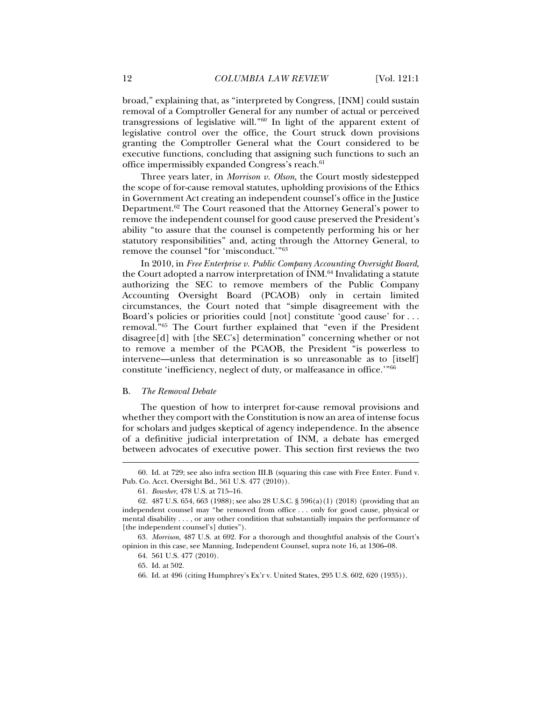broad," explaining that, as "interpreted by Congress, [INM] could sustain removal of a Comptroller General for any number of actual or perceived transgressions of legislative will."60 In light of the apparent extent of legislative control over the office, the Court struck down provisions granting the Comptroller General what the Court considered to be executive functions, concluding that assigning such functions to such an office impermissibly expanded Congress's reach.<sup>61</sup>

Three years later, in *Morrison v. Olson*, the Court mostly sidestepped the scope of for-cause removal statutes, upholding provisions of the Ethics in Government Act creating an independent counsel's office in the Justice Department.62 The Court reasoned that the Attorney General's power to remove the independent counsel for good cause preserved the President's ability "to assure that the counsel is competently performing his or her statutory responsibilities" and, acting through the Attorney General, to remove the counsel "for 'misconduct.'"63

In 2010, in *Free Enterprise v. Public Company Accounting Oversight Board*, the Court adopted a narrow interpretation of INM.<sup>64</sup> Invalidating a statute authorizing the SEC to remove members of the Public Company Accounting Oversight Board (PCAOB) only in certain limited circumstances, the Court noted that "simple disagreement with the Board's policies or priorities could [not] constitute 'good cause' for . . . removal."65 The Court further explained that "even if the President disagree[d] with [the SEC's] determination" concerning whether or not to remove a member of the PCAOB, the President "is powerless to intervene—unless that determination is so unreasonable as to [itself] constitute 'inefficiency, neglect of duty, or malfeasance in office.'"66

#### B. *The Removal Debate*

The question of how to interpret for-cause removal provisions and whether they comport with the Constitution is now an area of intense focus for scholars and judges skeptical of agency independence. In the absence of a definitive judicial interpretation of INM, a debate has emerged between advocates of executive power. This section first reviews the two

 <sup>60.</sup> Id. at 729; see also infra section III.B (squaring this case with Free Enter. Fund v. Pub. Co. Acct. Oversight Bd., 561 U.S. 477 (2010)).

<sup>61</sup>*. Bowsher*, 478 U.S. at 715–16.

 <sup>62. 487</sup> U.S. 654, 663 (1988); see also 28 U.S.C. § 596(a)(1) (2018) (providing that an independent counsel may "be removed from office . . . only for good cause, physical or mental disability . . . , or any other condition that substantially impairs the performance of [the independent counsel's] duties").

<sup>63</sup>*. Morrison*, 487 U.S. at 692. For a thorough and thoughtful analysis of the Court's opinion in this case, see Manning, Independent Counsel, supra note 16, at 1306–08.

 <sup>64. 561</sup> U.S. 477 (2010).

 <sup>65.</sup> Id. at 502.

 <sup>66.</sup> Id. at 496 (citing Humphrey's Ex'r v. United States, 295 U.S. 602, 620 (1935)).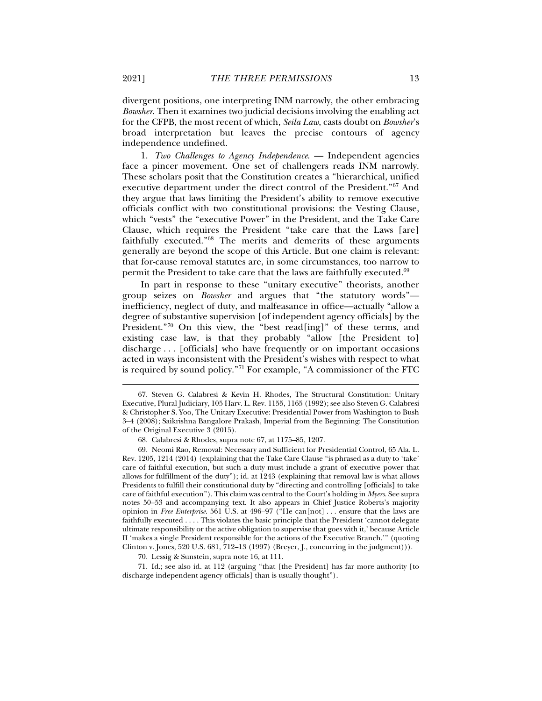divergent positions, one interpreting INM narrowly, the other embracing *Bowsher*. Then it examines two judicial decisions involving the enabling act for the CFPB, the most recent of which, *Seila Law*, casts doubt on *Bowsher*'s broad interpretation but leaves the precise contours of agency independence undefined.

1. *Two Challenges to Agency Independence*. — Independent agencies face a pincer movement. One set of challengers reads INM narrowly. These scholars posit that the Constitution creates a "hierarchical, unified executive department under the direct control of the President."67 And they argue that laws limiting the President's ability to remove executive officials conflict with two constitutional provisions: the Vesting Clause, which "vests" the "executive Power" in the President, and the Take Care Clause, which requires the President "take care that the Laws [are] faithfully executed."68 The merits and demerits of these arguments generally are beyond the scope of this Article. But one claim is relevant: that for-cause removal statutes are, in some circumstances, too narrow to permit the President to take care that the laws are faithfully executed.<sup>69</sup>

In part in response to these "unitary executive" theorists, another group seizes on *Bowsher* and argues that "the statutory words" inefficiency, neglect of duty, and malfeasance in office—actually "allow a degree of substantive supervision [of independent agency officials] by the President."70 On this view, the "best read[ing]" of these terms, and existing case law, is that they probably "allow [the President to] discharge . . . [officials] who have frequently or on important occasions acted in ways inconsistent with the President's wishes with respect to what is required by sound policy."71 For example, "A commissioner of the FTC

70. Lessig & Sunstein, supra note 16, at 111.

 71. Id.; see also id. at 112 (arguing "that [the President] has far more authority [to discharge independent agency officials] than is usually thought").

 <sup>67.</sup> Steven G. Calabresi & Kevin H. Rhodes, The Structural Constitution: Unitary Executive, Plural Judiciary, 105 Harv. L. Rev. 1155, 1165 (1992); see also Steven G. Calabresi & Christopher S. Yoo, The Unitary Executive: Presidential Power from Washington to Bush 3–4 (2008); Saikrishna Bangalore Prakash, Imperial from the Beginning: The Constitution of the Original Executive 3 (2015).

 <sup>68.</sup> Calabresi & Rhodes, supra note 67, at 1175–85, 1207.

 <sup>69.</sup> Neomi Rao, Removal: Necessary and Sufficient for Presidential Control, 65 Ala. L. Rev. 1205, 1214 (2014) (explaining that the Take Care Clause "is phrased as a duty to 'take' care of faithful execution, but such a duty must include a grant of executive power that allows for fulfillment of the duty"); id. at 1243 (explaining that removal law is what allows Presidents to fulfill their constitutional duty by "directing and controlling [officials] to take care of faithful execution"). This claim was central to the Court's holding in *Myers*. See supra notes 50–53 and accompanying text. It also appears in Chief Justice Roberts's majority opinion in *Free Enterprise*. 561 U.S. at 496–97 ("He can[not] . . . ensure that the laws are faithfully executed . . . . This violates the basic principle that the President 'cannot delegate ultimate responsibility or the active obligation to supervise that goes with it,' because Article II 'makes a single President responsible for the actions of the Executive Branch.'" (quoting Clinton v. Jones, 520 U.S. 681, 712–13 (1997) (Breyer, J., concurring in the judgment))).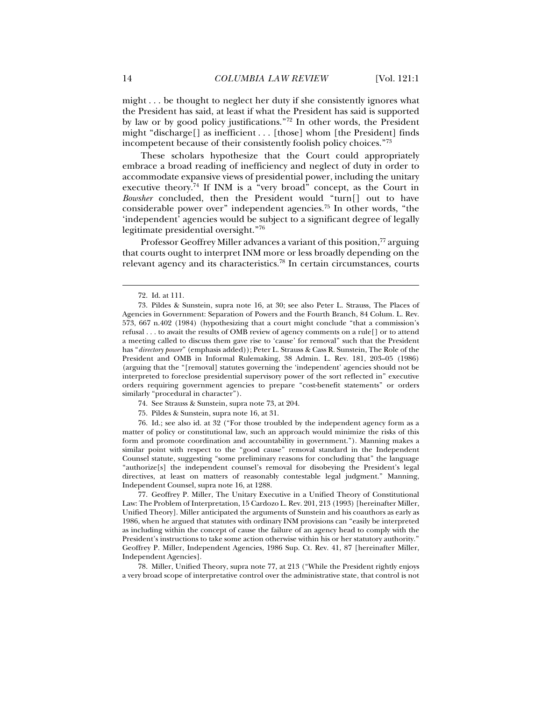might . . . be thought to neglect her duty if she consistently ignores what the President has said, at least if what the President has said is supported by law or by good policy justifications."72 In other words, the President might "discharge[] as inefficient . . . [those] whom [the President] finds incompetent because of their consistently foolish policy choices."73

These scholars hypothesize that the Court could appropriately embrace a broad reading of inefficiency and neglect of duty in order to accommodate expansive views of presidential power, including the unitary executive theory.<sup>74</sup> If INM is a "very broad" concept, as the Court in *Bowsher* concluded, then the President would "turn[] out to have considerable power over" independent agencies.75 In other words, "the 'independent' agencies would be subject to a significant degree of legally legitimate presidential oversight."76

Professor Geoffrey Miller advances a variant of this position,<sup>77</sup> arguing that courts ought to interpret INM more or less broadly depending on the relevant agency and its characteristics.78 In certain circumstances, courts

j

- 74. See Strauss & Sunstein, supra note 73, at 204.
- 75. Pildes & Sunstein, supra note 16, at 31.

 76. Id.; see also id. at 32 ("For those troubled by the independent agency form as a matter of policy or constitutional law, such an approach would minimize the risks of this form and promote coordination and accountability in government."). Manning makes a similar point with respect to the "good cause" removal standard in the Independent Counsel statute, suggesting "some preliminary reasons for concluding that" the language "authorize[s] the independent counsel's removal for disobeying the President's legal directives, at least on matters of reasonably contestable legal judgment." Manning, Independent Counsel, supra note 16, at 1288.

 77. Geoffrey P. Miller, The Unitary Executive in a Unified Theory of Constitutional Law: The Problem of Interpretation, 15 Cardozo L. Rev. 201, 213 (1993) [hereinafter Miller, Unified Theory]. Miller anticipated the arguments of Sunstein and his coauthors as early as 1986, when he argued that statutes with ordinary INM provisions can "easily be interpreted as including within the concept of cause the failure of an agency head to comply with the President's instructions to take some action otherwise within his or her statutory authority." Geoffrey P. Miller, Independent Agencies, 1986 Sup. Ct. Rev. 41, 87 [hereinafter Miller, Independent Agencies].

 78. Miller, Unified Theory, supra note 77, at 213 ("While the President rightly enjoys a very broad scope of interpretative control over the administrative state, that control is not

 <sup>72.</sup> Id. at 111.

 <sup>73.</sup> Pildes & Sunstein, supra note 16, at 30; see also Peter L. Strauss, The Places of Agencies in Government: Separation of Powers and the Fourth Branch, 84 Colum. L. Rev. 573, 667 n.402 (1984) (hypothesizing that a court might conclude "that a commission's refusal . . . to await the results of OMB review of agency comments on a rule[] or to attend a meeting called to discuss them gave rise to 'cause' for removal" such that the President has "*directory power*" (emphasis added)); Peter L. Strauss & Cass R. Sunstein, The Role of the President and OMB in Informal Rulemaking, 38 Admin. L. Rev. 181, 203–05 (1986) (arguing that the "[removal] statutes governing the 'independent' agencies should not be interpreted to foreclose presidential supervisory power of the sort reflected in" executive orders requiring government agencies to prepare "cost-benefit statements" or orders similarly "procedural in character").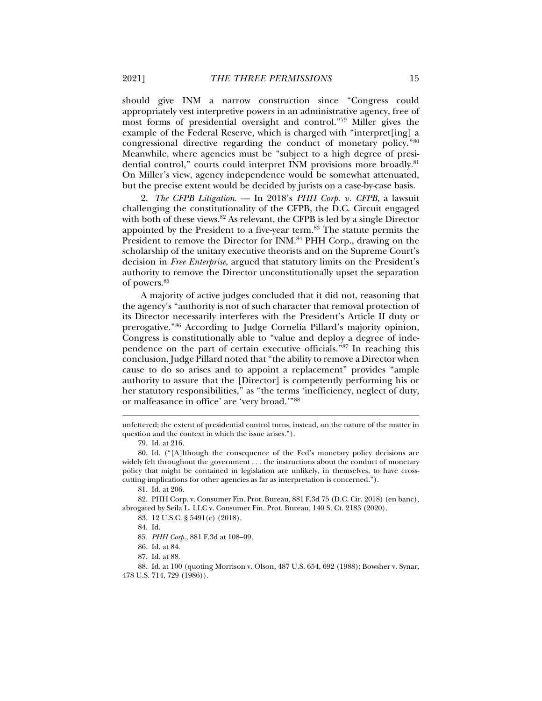should give INM a narrow construction since "Congress could appropriately vest interpretive powers in an administrative agency, free of most forms of presidential oversight and control."79 Miller gives the example of the Federal Reserve, which is charged with "interpret[ing] a congressional directive regarding the conduct of monetary policy."80 Meanwhile, where agencies must be "subject to a high degree of presidential control," courts could interpret INM provisions more broadly.<sup>81</sup> On Miller's view, agency independence would be somewhat attenuated, but the precise extent would be decided by jurists on a case-by-case basis.

2. *The CFPB Litigation*. — In 2018's *PHH Corp. v. CFPB*, a lawsuit challenging the constitutionality of the CFPB, the D.C. Circuit engaged with both of these views.<sup>82</sup> As relevant, the CFPB is led by a single Director appointed by the President to a five-year term.83 The statute permits the President to remove the Director for INM.<sup>84</sup> PHH Corp., drawing on the scholarship of the unitary executive theorists and on the Supreme Court's decision in *Free Enterprise*, argued that statutory limits on the President's authority to remove the Director unconstitutionally upset the separation of powers.85

A majority of active judges concluded that it did not, reasoning that the agency's "authority is not of such character that removal protection of its Director necessarily interferes with the President's Article II duty or prerogative."86 According to Judge Cornelia Pillard's majority opinion, Congress is constitutionally able to "value and deploy a degree of independence on the part of certain executive officials."87 In reaching this conclusion, Judge Pillard noted that "the ability to remove a Director when cause to do so arises and to appoint a replacement" provides "ample authority to assure that the [Director] is competently performing his or her statutory responsibilities," as "the terms 'inefficiency, neglect of duty, or malfeasance in office' are 'very broad.'"88

j

 82. PHH Corp. v. Consumer Fin. Prot. Bureau, 881 F.3d 75 (D.C. Cir. 2018) (en banc), abrogated by Seila L. LLC v. Consumer Fin. Prot. Bureau, 140 S. Ct. 2183 (2020).

83. 12 U.S.C. § 5491(c) (2018).

 88. Id. at 100 (quoting Morrison v. Olson, 487 U.S. 654, 692 (1988); Bowsher v. Synar, 478 U.S. 714, 729 (1986)).

unfettered; the extent of presidential control turns, instead, on the nature of the matter in question and the context in which the issue arises.").

 <sup>79.</sup> Id. at 216.

 <sup>80.</sup> Id. ("[A]lthough the consequence of the Fed's monetary policy decisions are widely felt throughout the government . . . the instructions about the conduct of monetary policy that might be contained in legislation are unlikely, in themselves, to have crosscutting implications for other agencies as far as interpretation is concerned.").

 <sup>81.</sup> Id. at 206.

 <sup>84.</sup> Id.

<sup>85</sup>*. PHH Corp.*, 881 F.3d at 108–09.

 <sup>86.</sup> Id. at 84.

 <sup>87.</sup> Id. at 88.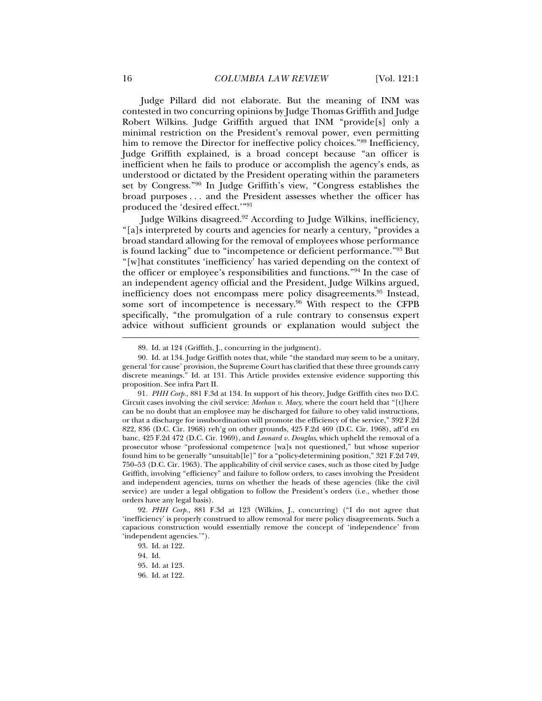Judge Pillard did not elaborate. But the meaning of INM was contested in two concurring opinions by Judge Thomas Griffith and Judge Robert Wilkins. Judge Griffith argued that INM "provide[s] only a minimal restriction on the President's removal power, even permitting him to remove the Director for ineffective policy choices."<sup>89</sup> Inefficiency, Judge Griffith explained, is a broad concept because "an officer is inefficient when he fails to produce or accomplish the agency's ends, as understood or dictated by the President operating within the parameters set by Congress."90 In Judge Griffith's view, "Congress establishes the broad purposes . . . and the President assesses whether the officer has produced the 'desired effect.'"91

Judge Wilkins disagreed.<sup>92</sup> According to Judge Wilkins, inefficiency, "[a]s interpreted by courts and agencies for nearly a century, "provides a broad standard allowing for the removal of employees whose performance is found lacking" due to "incompetence or deficient performance."93 But "[w]hat constitutes 'inefficiency' has varied depending on the context of the officer or employee's responsibilities and functions."94 In the case of an independent agency official and the President, Judge Wilkins argued, inefficiency does not encompass mere policy disagreements.<sup>95</sup> Instead, some sort of incompetence is necessary.<sup>96</sup> With respect to the CFPB specifically, "the promulgation of a rule contrary to consensus expert advice without sufficient grounds or explanation would subject the

 <sup>89.</sup> Id. at 124 (Griffith, J., concurring in the judgment).

 <sup>90.</sup> Id. at 134. Judge Griffith notes that, while "the standard may seem to be a unitary, general 'for cause' provision, the Supreme Court has clarified that these three grounds carry discrete meanings." Id. at 131. This Article provides extensive evidence supporting this proposition. See infra Part II.

<sup>91</sup>*. PHH Corp.*, 881 F.3d at 134. In support of his theory, Judge Griffith cites two D.C. Circuit cases involving the civil service: *Meehan v. Macy*, where the court held that "[t]here can be no doubt that an employee may be discharged for failure to obey valid instructions, or that a discharge for insubordination will promote the efficiency of the service," 392 F.2d 822, 836 (D.C. Cir. 1968) reh'g on other grounds, 425 F.2d 469 (D.C. Cir. 1968), aff'd en banc, 425 F.2d 472 (D.C. Cir. 1969), and *Leonard v. Douglas*, which upheld the removal of a prosecutor whose "professional competence [wa]s not questioned," but whose superior found him to be generally "unsuitab[le]" for a "policy-determining position," 321 F.2d 749, 750–53 (D.C. Cir. 1963). The applicability of civil service cases, such as those cited by Judge Griffith, involving "efficiency" and failure to follow orders, to cases involving the President and independent agencies, turns on whether the heads of these agencies (like the civil service) are under a legal obligation to follow the President's orders (i.e., whether those orders have any legal basis).

<sup>92</sup>*. PHH Corp.*, 881 F.3d at 123 (Wilkins, J., concurring) ("I do not agree that 'inefficiency' is properly construed to allow removal for mere policy disagreements. Such a capacious construction would essentially remove the concept of 'independence' from 'independent agencies.'").

 <sup>93.</sup> Id. at 122.

 <sup>94.</sup> Id.

 <sup>95.</sup> Id. at 123.

 <sup>96.</sup> Id. at 122.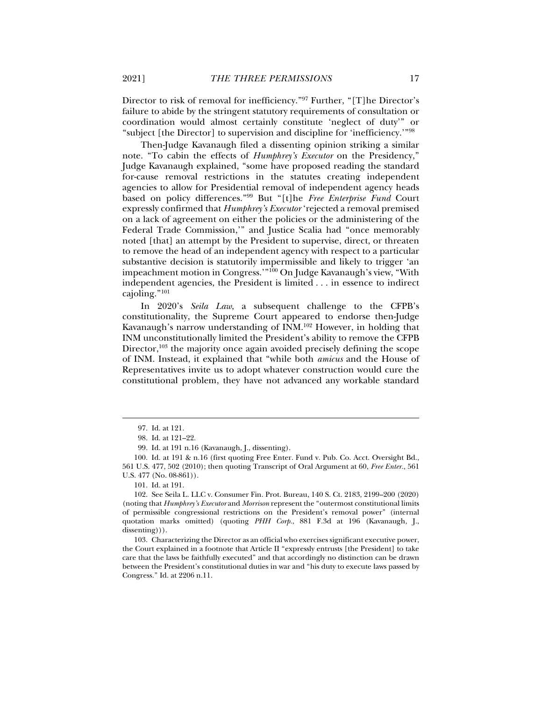Director to risk of removal for inefficiency."97 Further, "[T]he Director's failure to abide by the stringent statutory requirements of consultation or coordination would almost certainly constitute 'neglect of duty'" or "subject [the Director] to supervision and discipline for 'inefficiency.'"98

Then-Judge Kavanaugh filed a dissenting opinion striking a similar note. "To cabin the effects of *Humphrey's Executor* on the Presidency," Judge Kavanaugh explained, "some have proposed reading the standard for-cause removal restrictions in the statutes creating independent agencies to allow for Presidential removal of independent agency heads based on policy differences."99 But "[t]he *Free Enterprise Fund* Court expressly confirmed that *Humphrey's Executor* 'rejected a removal premised on a lack of agreement on either the policies or the administering of the Federal Trade Commission,'" and Justice Scalia had "once memorably noted [that] an attempt by the President to supervise, direct, or threaten to remove the head of an independent agency with respect to a particular substantive decision is statutorily impermissible and likely to trigger 'an impeachment motion in Congress.'"<sup>100</sup> On Judge Kavanaugh's view, "With independent agencies, the President is limited . . . in essence to indirect cajoling."101

In 2020's *Seila Law*, a subsequent challenge to the CFPB's constitutionality, the Supreme Court appeared to endorse then-Judge Kavanaugh's narrow understanding of INM.102 However, in holding that INM unconstitutionally limited the President's ability to remove the CFPB Director, $103$  the majority once again avoided precisely defining the scope of INM. Instead, it explained that "while both *amicus* and the House of Representatives invite us to adopt whatever construction would cure the constitutional problem, they have not advanced any workable standard

j

 103. Characterizing the Director as an official who exercises significant executive power, the Court explained in a footnote that Article II "expressly entrusts [the President] to take care that the laws be faithfully executed" and that accordingly no distinction can be drawn between the President's constitutional duties in war and "his duty to execute laws passed by Congress." Id. at 2206 n.11.

 <sup>97.</sup> Id. at 121.

 <sup>98.</sup> Id. at 121–22.

 <sup>99.</sup> Id. at 191 n.16 (Kavanaugh, J., dissenting).

 <sup>100.</sup> Id. at 191 & n.16 (first quoting Free Enter. Fund v. Pub. Co. Acct. Oversight Bd., 561 U.S. 477, 502 (2010); then quoting Transcript of Oral Argument at 60, *Free Enter.*, 561 U.S. 477 (No. 08-861)).

 <sup>101.</sup> Id. at 191.

 <sup>102.</sup> See Seila L. LLC v. Consumer Fin. Prot. Bureau, 140 S. Ct. 2183, 2199–200 (2020) (noting that *Humphrey's Executor* and *Morrison* represent the "outermost constitutional limits of permissible congressional restrictions on the President's removal power" (internal quotation marks omitted) (quoting *PHH Corp.*, 881 F.3d at 196 (Kavanaugh, J., dissenting)).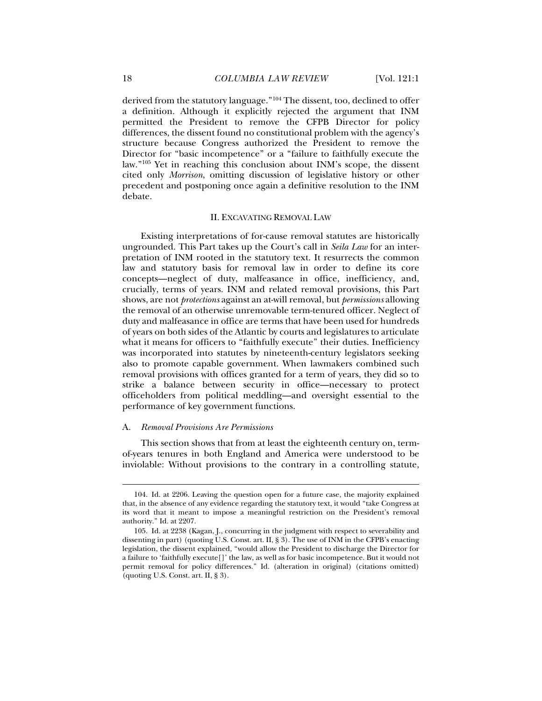derived from the statutory language."104 The dissent, too, declined to offer a definition. Although it explicitly rejected the argument that INM permitted the President to remove the CFPB Director for policy differences, the dissent found no constitutional problem with the agency's structure because Congress authorized the President to remove the Director for "basic incompetence" or a "failure to faithfully execute the law."105 Yet in reaching this conclusion about INM's scope, the dissent cited only *Morrison*, omitting discussion of legislative history or other precedent and postponing once again a definitive resolution to the INM debate.

#### II. EXCAVATING REMOVAL LAW

Existing interpretations of for-cause removal statutes are historically ungrounded. This Part takes up the Court's call in *Seila Law* for an interpretation of INM rooted in the statutory text. It resurrects the common law and statutory basis for removal law in order to define its core concepts—neglect of duty, malfeasance in office, inefficiency, and, crucially, terms of years. INM and related removal provisions, this Part shows, are not *protections* against an at-will removal, but *permissions* allowing the removal of an otherwise unremovable term-tenured officer. Neglect of duty and malfeasance in office are terms that have been used for hundreds of years on both sides of the Atlantic by courts and legislatures to articulate what it means for officers to "faithfully execute" their duties. Inefficiency was incorporated into statutes by nineteenth-century legislators seeking also to promote capable government. When lawmakers combined such removal provisions with offices granted for a term of years, they did so to strike a balance between security in office—necessary to protect officeholders from political meddling—and oversight essential to the performance of key government functions.

#### A. *Removal Provisions Are Permissions*

This section shows that from at least the eighteenth century on, termof-years tenures in both England and America were understood to be inviolable: Without provisions to the contrary in a controlling statute,

 <sup>104.</sup> Id. at 2206. Leaving the question open for a future case, the majority explained that, in the absence of any evidence regarding the statutory text, it would "take Congress at its word that it meant to impose a meaningful restriction on the President's removal authority." Id. at 2207.

 <sup>105.</sup> Id. at 2238 (Kagan, J., concurring in the judgment with respect to severability and dissenting in part) (quoting U.S. Const. art. II, § 3). The use of INM in the CFPB's enacting legislation, the dissent explained, "would allow the President to discharge the Director for a failure to 'faithfully execute[]' the law, as well as for basic incompetence. But it would not permit removal for policy differences." Id. (alteration in original) (citations omitted) (quoting U.S. Const. art. II, § 3).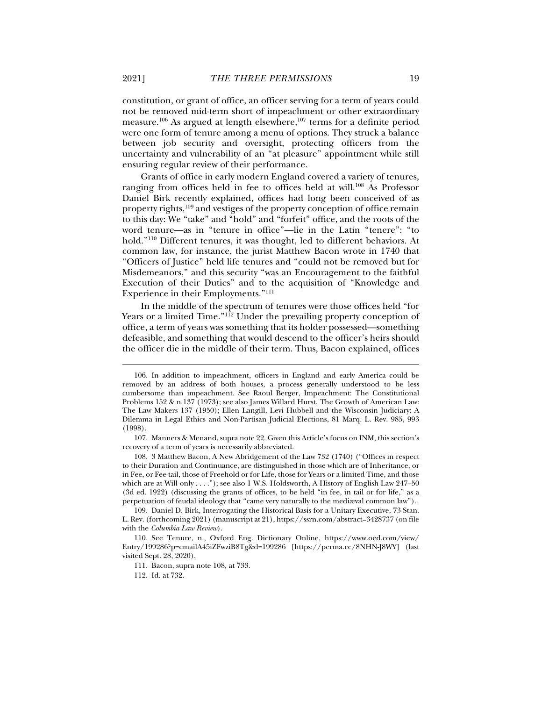constitution, or grant of office, an officer serving for a term of years could not be removed mid-term short of impeachment or other extraordinary measure.<sup>106</sup> As argued at length elsewhere,<sup>107</sup> terms for a definite period were one form of tenure among a menu of options. They struck a balance between job security and oversight, protecting officers from the uncertainty and vulnerability of an "at pleasure" appointment while still ensuring regular review of their performance.

Grants of office in early modern England covered a variety of tenures, ranging from offices held in fee to offices held at will.<sup>108</sup> As Professor Daniel Birk recently explained, offices had long been conceived of as property rights,109 and vestiges of the property conception of office remain to this day: We "take" and "hold" and "forfeit" office, and the roots of the word tenure—as in "tenure in office"—lie in the Latin "tenere": "to hold."<sup>110</sup> Different tenures, it was thought, led to different behaviors. At common law, for instance, the jurist Matthew Bacon wrote in 1740 that "Officers of Justice" held life tenures and "could not be removed but for Misdemeanors," and this security "was an Encouragement to the faithful Execution of their Duties" and to the acquisition of "Knowledge and Experience in their Employments."111

In the middle of the spectrum of tenures were those offices held "for Years or a limited Time."<sup>112</sup> Under the prevailing property conception of office, a term of years was something that its holder possessed—something defeasible, and something that would descend to the officer's heirs should the officer die in the middle of their term. Thus, Bacon explained, offices

 107. Manners & Menand, supra note 22. Given this Article's focus on INM, this section's recovery of a term of years is necessarily abbreviated.

 108. 3 Matthew Bacon, A New Abridgement of the Law 732 (1740) ("Offices in respect to their Duration and Continuance, are distinguished in those which are of Inheritance, or in Fee, or Fee-tail, those of Freehold or for Life, those for Years or a limited Time, and those which are at Will only . . . ."); see also 1 W.S. Holdsworth, A History of English Law 247–50 (3d ed. 1922) (discussing the grants of offices, to be held "in fee, in tail or for life," as a perpetuation of feudal ideology that "came very naturally to the mediæval common law").

 109. Daniel D. Birk, Interrogating the Historical Basis for a Unitary Executive, 73 Stan. L. Rev. (forthcoming 2021) (manuscript at 21), https://ssrn.com/abstract=3428737 (on file with the *Columbia Law Review*).

 110. See Tenure, n., Oxford Eng. Dictionary Online, https://www.oed.com/view/ Entry/199286?p=emailA45iZFwziB8Tg&d=199286 [https://perma.cc/8NHN-J8WY] (last visited Sept. 28, 2020).

111. Bacon, supra note 108, at 733.

112. Id. at 732.

 <sup>106.</sup> In addition to impeachment, officers in England and early America could be removed by an address of both houses, a process generally understood to be less cumbersome than impeachment. See Raoul Berger, Impeachment: The Constitutional Problems 152 & n.137 (1973); see also James Willard Hurst, The Growth of American Law: The Law Makers 137 (1950); Ellen Langill, Levi Hubbell and the Wisconsin Judiciary: A Dilemma in Legal Ethics and Non-Partisan Judicial Elections, 81 Marq. L. Rev. 985, 993 (1998).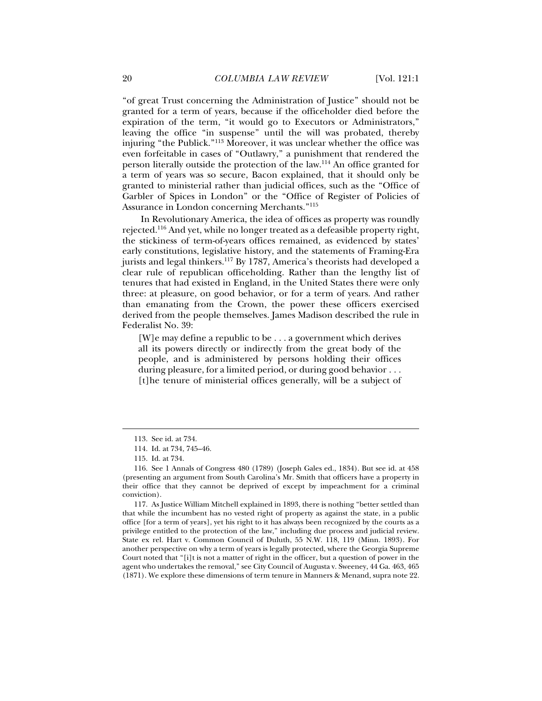"of great Trust concerning the Administration of Justice" should not be granted for a term of years, because if the officeholder died before the expiration of the term, "it would go to Executors or Administrators," leaving the office "in suspense" until the will was probated, thereby injuring "the Publick."113 Moreover, it was unclear whether the office was even forfeitable in cases of "Outlawry," a punishment that rendered the person literally outside the protection of the law.114 An office granted for a term of years was so secure, Bacon explained, that it should only be granted to ministerial rather than judicial offices, such as the "Office of Garbler of Spices in London" or the "Office of Register of Policies of Assurance in London concerning Merchants."115

In Revolutionary America, the idea of offices as property was roundly rejected.116 And yet, while no longer treated as a defeasible property right, the stickiness of term-of-years offices remained, as evidenced by states' early constitutions, legislative history, and the statements of Framing-Era jurists and legal thinkers.<sup>117</sup> By 1787, America's theorists had developed a clear rule of republican officeholding. Rather than the lengthy list of tenures that had existed in England, in the United States there were only three: at pleasure, on good behavior, or for a term of years. And rather than emanating from the Crown, the power these officers exercised derived from the people themselves. James Madison described the rule in Federalist No. 39:

[W]e may define a republic to be . . . a government which derives all its powers directly or indirectly from the great body of the people, and is administered by persons holding their offices during pleasure, for a limited period, or during good behavior . . . [t]he tenure of ministerial offices generally, will be a subject of

 <sup>113.</sup> See id. at 734.

 <sup>114.</sup> Id. at 734, 745–46.

 <sup>115.</sup> Id. at 734.

 <sup>116.</sup> See 1 Annals of Congress 480 (1789) (Joseph Gales ed., 1834). But see id. at 458 (presenting an argument from South Carolina's Mr. Smith that officers have a property in their office that they cannot be deprived of except by impeachment for a criminal conviction).

 <sup>117.</sup> As Justice William Mitchell explained in 1893, there is nothing "better settled than that while the incumbent has no vested right of property as against the state, in a public office [for a term of years], yet his right to it has always been recognized by the courts as a privilege entitled to the protection of the law," including due process and judicial review. State ex rel. Hart v. Common Council of Duluth, 55 N.W. 118, 119 (Minn. 1893). For another perspective on why a term of years is legally protected, where the Georgia Supreme Court noted that "[i]t is not a matter of right in the officer, but a question of power in the agent who undertakes the removal," see City Council of Augusta v. Sweeney, 44 Ga. 463, 465 (1871). We explore these dimensions of term tenure in Manners & Menand, supra note 22.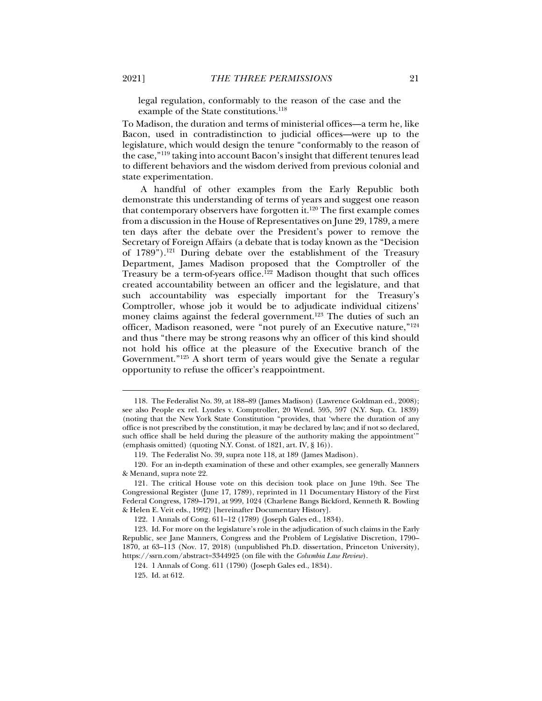legal regulation, conformably to the reason of the case and the example of the State constitutions.<sup>118</sup>

To Madison, the duration and terms of ministerial offices—a term he, like Bacon, used in contradistinction to judicial offices—were up to the legislature, which would design the tenure "conformably to the reason of the case,"119 taking into account Bacon's insight that different tenures lead to different behaviors and the wisdom derived from previous colonial and state experimentation.

A handful of other examples from the Early Republic both demonstrate this understanding of terms of years and suggest one reason that contemporary observers have forgotten it.<sup>120</sup> The first example comes from a discussion in the House of Representatives on June 29, 1789, a mere ten days after the debate over the President's power to remove the Secretary of Foreign Affairs (a debate that is today known as the "Decision of 1789").<sup>121</sup> During debate over the establishment of the Treasury Department, James Madison proposed that the Comptroller of the Treasury be a term-of-years office.<sup>122</sup> Madison thought that such offices created accountability between an officer and the legislature, and that such accountability was especially important for the Treasury's Comptroller, whose job it would be to adjudicate individual citizens' money claims against the federal government.<sup>123</sup> The duties of such an officer, Madison reasoned, were "not purely of an Executive nature,"124 and thus "there may be strong reasons why an officer of this kind should not hold his office at the pleasure of the Executive branch of the Government."125 A short term of years would give the Senate a regular opportunity to refuse the officer's reappointment.

122. 1 Annals of Cong. 611–12 (1789) (Joseph Gales ed., 1834).

 <sup>118.</sup> The Federalist No. 39, at 188–89 (James Madison) (Lawrence Goldman ed., 2008); see also People ex rel. Lyndes v. Comptroller, 20 Wend. 595, 597 (N.Y. Sup. Ct. 1839) (noting that the New York State Constitution "provides, that 'where the duration of any office is not prescribed by the constitution, it may be declared by law; and if not so declared, such office shall be held during the pleasure of the authority making the appointment'" (emphasis omitted) (quoting N.Y. Const. of 1821, art. IV, § 16)).

 <sup>119.</sup> The Federalist No. 39, supra note 118, at 189 (James Madison).

 <sup>120.</sup> For an in-depth examination of these and other examples, see generally Manners & Menand, supra note 22.

 <sup>121.</sup> The critical House vote on this decision took place on June 19th. See The Congressional Register (June 17, 1789), reprinted in 11 Documentary History of the First Federal Congress, 1789–1791, at 999, 1024 (Charlene Bangs Bickford, Kenneth R. Bowling & Helen E. Veit eds., 1992) [hereinafter Documentary History].

 <sup>123.</sup> Id. For more on the legislature's role in the adjudication of such claims in the Early Republic, see Jane Manners, Congress and the Problem of Legislative Discretion, 1790– 1870, at 63–113 (Nov. 17, 2018) (unpublished Ph.D. dissertation, Princeton University), https://ssrn.com/abstract=3344925 (on file with the *Columbia Law Review*).

 <sup>124. 1</sup> Annals of Cong. 611 (1790) (Joseph Gales ed., 1834).

 <sup>125.</sup> Id. at 612.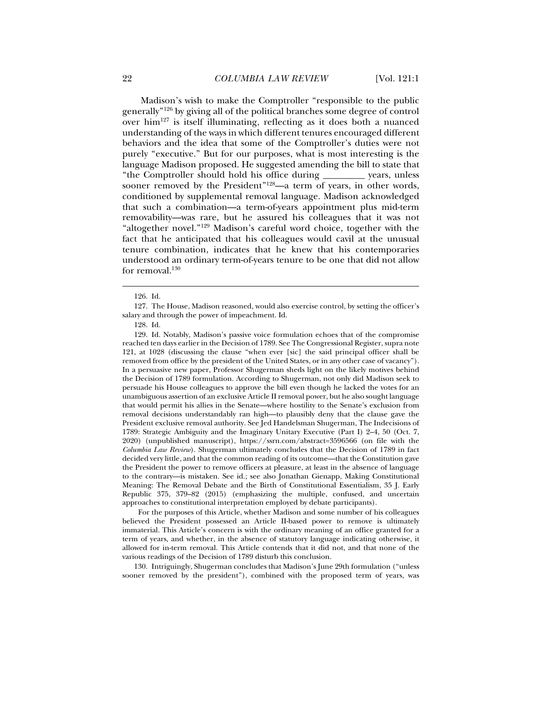Madison's wish to make the Comptroller "responsible to the public generally"126 by giving all of the political branches some degree of control over him127 is itself illuminating, reflecting as it does both a nuanced understanding of the ways in which different tenures encouraged different behaviors and the idea that some of the Comptroller's duties were not purely "executive." But for our purposes, what is most interesting is the language Madison proposed. He suggested amending the bill to state that "the Comptroller should hold his office during \_\_\_\_\_\_\_\_\_ years, unless sooner removed by the President"<sup>128</sup>—a term of years, in other words, conditioned by supplemental removal language. Madison acknowledged that such a combination—a term-of-years appointment plus mid-term removability—was rare, but he assured his colleagues that it was not "altogether novel."129 Madison's careful word choice, together with the fact that he anticipated that his colleagues would cavil at the unusual tenure combination, indicates that he knew that his contemporaries understood an ordinary term-of-years tenure to be one that did not allow for removal.<sup>130</sup>

j

 129. Id. Notably, Madison's passive voice formulation echoes that of the compromise reached ten days earlier in the Decision of 1789. See The Congressional Register, supra note 121, at 1028 (discussing the clause "when ever [sic] the said principal officer shall be removed from office by the president of the United States, or in any other case of vacancy"). In a persuasive new paper, Professor Shugerman sheds light on the likely motives behind the Decision of 1789 formulation. According to Shugerman, not only did Madison seek to persuade his House colleagues to approve the bill even though he lacked the votes for an unambiguous assertion of an exclusive Article II removal power, but he also sought language that would permit his allies in the Senate—where hostility to the Senate's exclusion from removal decisions understandably ran high—to plausibly deny that the clause gave the President exclusive removal authority. See Jed Handelsman Shugerman, The Indecisions of 1789: Strategic Ambiguity and the Imaginary Unitary Executive (Part I) 2–4, 50 (Oct. 7, 2020) (unpublished manuscript), https://ssrn.com/abstract=3596566 (on file with the *Columbia Law Review*). Shugerman ultimately concludes that the Decision of 1789 in fact decided very little, and that the common reading of its outcome—that the Constitution gave the President the power to remove officers at pleasure, at least in the absence of language to the contrary—is mistaken. See id.; see also Jonathan Gienapp, Making Constitutional Meaning: The Removal Debate and the Birth of Constitutional Essentialism, 35 J. Early Republic 375, 379–82 (2015) (emphasizing the multiple, confused, and uncertain approaches to constitutional interpretation employed by debate participants).

 For the purposes of this Article, whether Madison and some number of his colleagues believed the President possessed an Article II-based power to remove is ultimately immaterial. This Article's concern is with the ordinary meaning of an office granted for a term of years, and whether, in the absence of statutory language indicating otherwise, it allowed for in-term removal. This Article contends that it did not, and that none of the various readings of the Decision of 1789 disturb this conclusion.

 130. Intriguingly, Shugerman concludes that Madison's June 29th formulation ("unless sooner removed by the president"), combined with the proposed term of years, was

 <sup>126.</sup> Id.

 <sup>127.</sup> The House, Madison reasoned, would also exercise control, by setting the officer's salary and through the power of impeachment. Id.

 <sup>128.</sup> Id.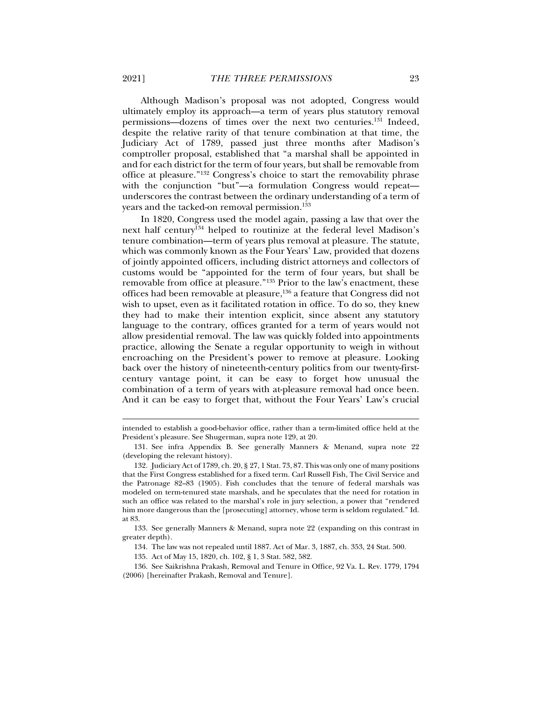Although Madison's proposal was not adopted, Congress would ultimately employ its approach—a term of years plus statutory removal permissions—dozens of times over the next two centuries.131 Indeed, despite the relative rarity of that tenure combination at that time, the Judiciary Act of 1789, passed just three months after Madison's comptroller proposal, established that "a marshal shall be appointed in and for each district for the term of four years, but shall be removable from office at pleasure."132 Congress's choice to start the removability phrase with the conjunction "but"—a formulation Congress would repeat underscores the contrast between the ordinary understanding of a term of years and the tacked-on removal permission.133

In 1820, Congress used the model again, passing a law that over the next half century<sup>134</sup> helped to routinize at the federal level Madison's tenure combination—term of years plus removal at pleasure. The statute, which was commonly known as the Four Years' Law, provided that dozens of jointly appointed officers, including district attorneys and collectors of customs would be "appointed for the term of four years, but shall be removable from office at pleasure."135 Prior to the law's enactment, these offices had been removable at pleasure,136 a feature that Congress did not wish to upset, even as it facilitated rotation in office. To do so, they knew they had to make their intention explicit, since absent any statutory language to the contrary, offices granted for a term of years would not allow presidential removal. The law was quickly folded into appointments practice, allowing the Senate a regular opportunity to weigh in without encroaching on the President's power to remove at pleasure. Looking back over the history of nineteenth-century politics from our twenty-firstcentury vantage point, it can be easy to forget how unusual the combination of a term of years with at-pleasure removal had once been. And it can be easy to forget that, without the Four Years' Law's crucial

intended to establish a good-behavior office, rather than a term-limited office held at the President's pleasure. See Shugerman, supra note 129, at 20.

 <sup>131.</sup> See infra Appendix B. See generally Manners & Menand, supra note 22 (developing the relevant history).

 <sup>132.</sup> Judiciary Act of 1789, ch. 20, § 27, 1 Stat. 73, 87. This was only one of many positions that the First Congress established for a fixed term. Carl Russell Fish, The Civil Service and the Patronage 82–83 (1905). Fish concludes that the tenure of federal marshals was modeled on term-tenured state marshals, and he speculates that the need for rotation in such an office was related to the marshal's role in jury selection, a power that "rendered him more dangerous than the [prosecuting] attorney, whose term is seldom regulated." Id. at 83.

 <sup>133.</sup> See generally Manners & Menand, supra note 22 (expanding on this contrast in greater depth).

 <sup>134.</sup> The law was not repealed until 1887. Act of Mar. 3, 1887, ch. 353, 24 Stat. 500.

 <sup>135.</sup> Act of May 15, 1820, ch. 102, § 1, 3 Stat. 582, 582.

 <sup>136.</sup> See Saikrishna Prakash, Removal and Tenure in Office, 92 Va. L. Rev. 1779, 1794 (2006) [hereinafter Prakash, Removal and Tenure].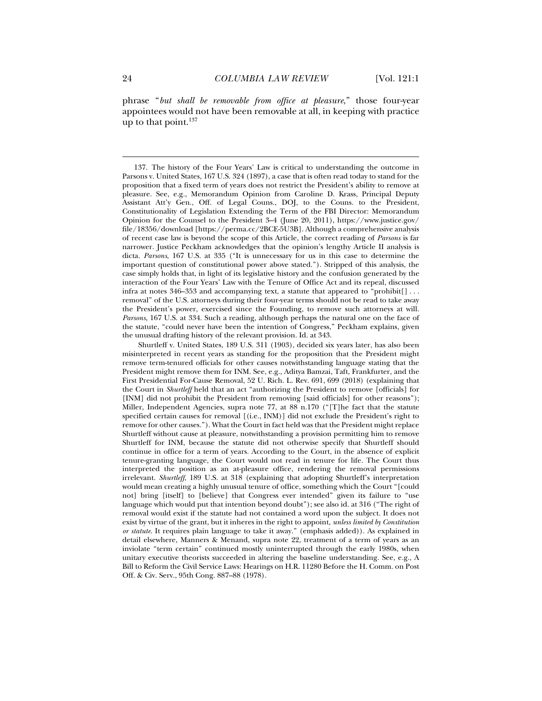phrase "*but shall be removable from office at pleasure*," those four-year appointees would not have been removable at all, in keeping with practice up to that point.137

 <sup>137.</sup> The history of the Four Years' Law is critical to understanding the outcome in Parsons v. United States, 167 U.S. 324 (1897), a case that is often read today to stand for the proposition that a fixed term of years does not restrict the President's ability to remove at pleasure. See, e.g., Memorandum Opinion from Caroline D. Krass, Principal Deputy Assistant Att'y Gen., Off. of Legal Couns., DOJ, to the Couns. to the President, Constitutionality of Legislation Extending the Term of the FBI Director: Memorandum Opinion for the Counsel to the President 3–4 (June 20, 2011), https://www.justice.gov/ file/18356/download [https://perma.cc/2BCE-5U3B]. Although a comprehensive analysis of recent case law is beyond the scope of this Article, the correct reading of *Parsons* is far narrower. Justice Peckham acknowledges that the opinion's lengthy Article II analysis is dicta. *Parsons*, 167 U.S. at 335 ("It is unnecessary for us in this case to determine the important question of constitutional power above stated."). Stripped of this analysis, the case simply holds that, in light of its legislative history and the confusion generated by the interaction of the Four Years' Law with the Tenure of Office Act and its repeal, discussed infra at notes 346–353 and accompanying text, a statute that appeared to "prohibit[] . . . removal" of the U.S. attorneys during their four-year terms should not be read to take away the President's power, exercised since the Founding, to remove such attorneys at will. *Parsons*, 167 U.S. at 334. Such a reading, although perhaps the natural one on the face of the statute, "could never have been the intention of Congress," Peckham explains, given the unusual drafting history of the relevant provision. Id. at 343.

Shurtleff v. United States, 189 U.S. 311 (1903), decided six years later, has also been misinterpreted in recent years as standing for the proposition that the President might remove term-tenured officials for other causes notwithstanding language stating that the President might remove them for INM. See, e.g., Aditya Bamzai, Taft, Frankfurter, and the First Presidential For-Cause Removal, 52 U. Rich. L. Rev. 691, 699 (2018) (explaining that the Court in *Shurtleff* held that an act "authorizing the President to remove [officials] for [INM] did not prohibit the President from removing [said officials] for other reasons"); Miller, Independent Agencies, supra note 77, at 88 n.170 ("[T]he fact that the statute specified certain causes for removal [(i.e., INM)] did not exclude the President's right to remove for other causes."). What the Court in fact held was that the President might replace Shurtleff without cause at pleasure, notwithstanding a provision permitting him to remove Shurtleff for INM, because the statute did not otherwise specify that Shurtleff should continue in office for a term of years. According to the Court, in the absence of explicit tenure-granting language, the Court would not read in tenure for life. The Court thus interpreted the position as an at-pleasure office, rendering the removal permissions irrelevant. *Shurtleff*, 189 U.S. at 318 (explaining that adopting Shurtleff's interpretation would mean creating a highly unusual tenure of office, something which the Court "[could not] bring [itself] to [believe] that Congress ever intended" given its failure to "use language which would put that intention beyond doubt"); see also id. at 316 ("The right of removal would exist if the statute had not contained a word upon the subject. It does not exist by virtue of the grant, but it inheres in the right to appoint, *unless limited by Constitution or statute*. It requires plain language to take it away." (emphasis added)). As explained in detail elsewhere, Manners & Menand, supra note 22, treatment of a term of years as an inviolate "term certain" continued mostly uninterrupted through the early 1980s, when unitary executive theorists succeeded in altering the baseline understanding. See, e.g., A Bill to Reform the Civil Service Laws: Hearings on H.R. 11280 Before the H. Comm. on Post Off. & Civ. Serv., 95th Cong. 887–88 (1978).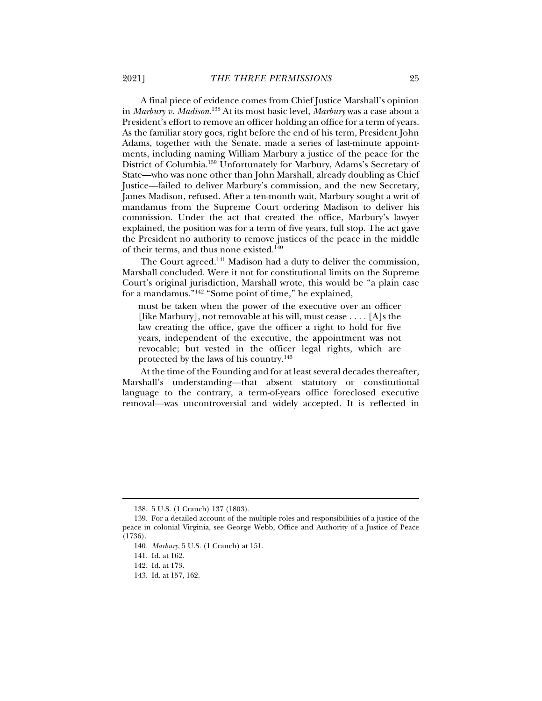A final piece of evidence comes from Chief Justice Marshall's opinion in *Marbury v. Madison*. 138 At its most basic level, *Marbury* was a case about a President's effort to remove an officer holding an office for a term of years. As the familiar story goes, right before the end of his term, President John Adams, together with the Senate, made a series of last-minute appointments, including naming William Marbury a justice of the peace for the District of Columbia.139 Unfortunately for Marbury, Adams's Secretary of State—who was none other than John Marshall, already doubling as Chief Justice—failed to deliver Marbury's commission, and the new Secretary, James Madison, refused. After a ten-month wait, Marbury sought a writ of mandamus from the Supreme Court ordering Madison to deliver his commission. Under the act that created the office, Marbury's lawyer explained, the position was for a term of five years, full stop. The act gave the President no authority to remove justices of the peace in the middle of their terms, and thus none existed.140

The Court agreed.<sup>141</sup> Madison had a duty to deliver the commission, Marshall concluded. Were it not for constitutional limits on the Supreme Court's original jurisdiction, Marshall wrote, this would be "a plain case for a mandamus."142 "Some point of time," he explained,

must be taken when the power of the executive over an officer [like Marbury], not removable at his will, must cease  $\dots$  [A]s the law creating the office, gave the officer a right to hold for five years, independent of the executive, the appointment was not revocable; but vested in the officer legal rights, which are protected by the laws of his country.143

At the time of the Founding and for at least several decades thereafter, Marshall's understanding—that absent statutory or constitutional language to the contrary, a term-of-years office foreclosed executive removal—was uncontroversial and widely accepted. It is reflected in

 <sup>138. 5</sup> U.S. (1 Cranch) 137 (1803).

 <sup>139.</sup> For a detailed account of the multiple roles and responsibilities of a justice of the peace in colonial Virginia, see George Webb, Office and Authority of a Justice of Peace (1736).

<sup>140</sup>*. Marbury*, 5 U.S. (1 Cranch) at 151.

 <sup>141.</sup> Id. at 162.

 <sup>142.</sup> Id. at 173.

 <sup>143.</sup> Id. at 157, 162.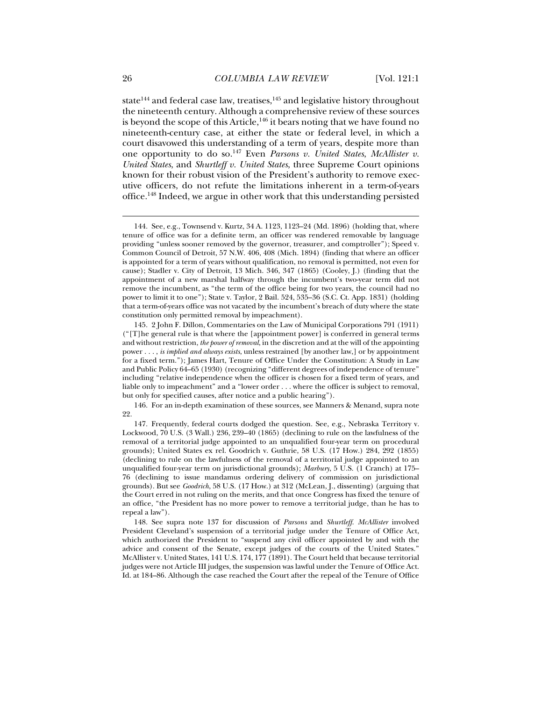state<sup>144</sup> and federal case law, treatises,  $145$  and legislative history throughout the nineteenth century. Although a comprehensive review of these sources is beyond the scope of this Article, $146$  it bears noting that we have found no nineteenth-century case, at either the state or federal level, in which a court disavowed this understanding of a term of years, despite more than one opportunity to do so.147 Even *Parsons v. United States*, *McAllister v. United States*, and *Shurtleff v. United States*, three Supreme Court opinions known for their robust vision of the President's authority to remove executive officers, do not refute the limitations inherent in a term-of-years office.148 Indeed, we argue in other work that this understanding persisted

 146. For an in-depth examination of these sources, see Manners & Menand, supra note 22.

 <sup>144.</sup> See, e.g., Townsend v. Kurtz, 34 A. 1123, 1123–24 (Md. 1896) (holding that, where tenure of office was for a definite term, an officer was rendered removable by language providing "unless sooner removed by the governor, treasurer, and comptroller"); Speed v. Common Council of Detroit, 57 N.W. 406, 408 (Mich. 1894) (finding that where an officer is appointed for a term of years without qualification, no removal is permitted, not even for cause); Stadler v. City of Detroit, 13 Mich. 346, 347 (1865) (Cooley, J.) (finding that the appointment of a new marshal halfway through the incumbent's two-year term did not remove the incumbent, as "the term of the office being for two years, the council had no power to limit it to one"); State v. Taylor, 2 Bail. 524, 535–36 (S.C. Ct. App. 1831) (holding that a term-of-years office was not vacated by the incumbent's breach of duty where the state constitution only permitted removal by impeachment).

 <sup>145. 2</sup> John F. Dillon, Commentaries on the Law of Municipal Corporations 791 (1911) ("[T]he general rule is that where the [appointment power] is conferred in general terms and without restriction, *the power of removal*, in the discretion and at the will of the appointing power . . . , *is implied and always exists*, unless restrained [by another law,] or by appointment for a fixed term."); James Hart, Tenure of Office Under the Constitution: A Study in Law and Public Policy 64–65 (1930) (recognizing "different degrees of independence of tenure" including "relative independence when the officer is chosen for a fixed term of years, and liable only to impeachment" and a "lower order . . . where the officer is subject to removal, but only for specified causes, after notice and a public hearing").

 <sup>147.</sup> Frequently, federal courts dodged the question. See, e.g., Nebraska Territory v. Lockwood, 70 U.S. (3 Wall.) 236, 239–40 (1865) (declining to rule on the lawfulness of the removal of a territorial judge appointed to an unqualified four-year term on procedural grounds); United States ex rel. Goodrich v. Guthrie, 58 U.S. (17 How.) 284, 292 (1855) (declining to rule on the lawfulness of the removal of a territorial judge appointed to an unqualified four-year term on jurisdictional grounds); *Marbury*, 5 U.S. (1 Cranch) at 175– 76 (declining to issue mandamus ordering delivery of commission on jurisdictional grounds). But see *Goodrich*, 58 U.S. (17 How.) at 312 (McLean, J., dissenting) (arguing that the Court erred in not ruling on the merits, and that once Congress has fixed the tenure of an office, "the President has no more power to remove a territorial judge, than he has to repeal a law").

 <sup>148.</sup> See supra note 137 for discussion of *Parsons* and *Shurtleff*. *McAllister* involved President Cleveland's suspension of a territorial judge under the Tenure of Office Act, which authorized the President to "suspend any civil officer appointed by and with the advice and consent of the Senate, except judges of the courts of the United States." McAllister v. United States, 141 U.S. 174, 177 (1891). The Court held that because territorial judges were not Article III judges, the suspension was lawful under the Tenure of Office Act. Id. at 184–86. Although the case reached the Court after the repeal of the Tenure of Office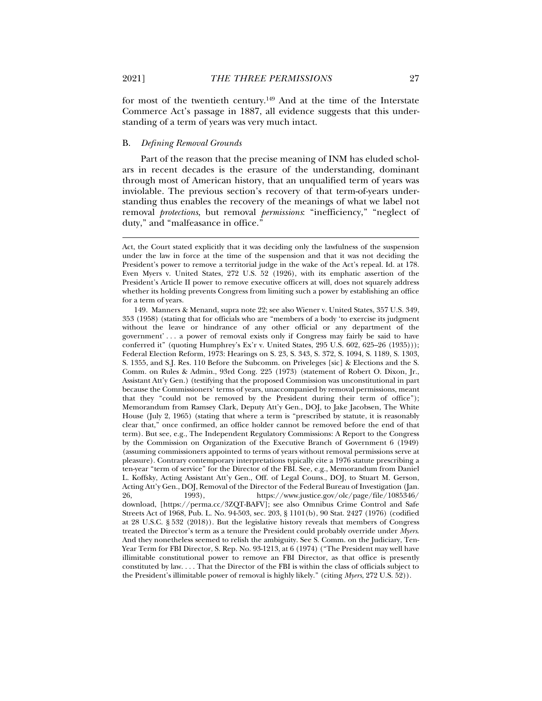for most of the twentieth century.<sup>149</sup> And at the time of the Interstate Commerce Act's passage in 1887, all evidence suggests that this understanding of a term of years was very much intact.

#### B. *Defining Removal Grounds*

Part of the reason that the precise meaning of INM has eluded scholars in recent decades is the erasure of the understanding, dominant through most of American history, that an unqualified term of years was inviolable. The previous section's recovery of that term-of-years understanding thus enables the recovery of the meanings of what we label not removal *protections*, but removal *permissions*: "inefficiency," "neglect of duty," and "malfeasance in office."

Act, the Court stated explicitly that it was deciding only the lawfulness of the suspension under the law in force at the time of the suspension and that it was not deciding the President's power to remove a territorial judge in the wake of the Act's repeal. Id. at 178. Even Myers v. United States, 272 U.S. 52 (1926), with its emphatic assertion of the President's Article II power to remove executive officers at will, does not squarely address whether its holding prevents Congress from limiting such a power by establishing an office for a term of years.

 <sup>149.</sup> Manners & Menand, supra note 22; see also Wiener v. United States, 357 U.S. 349, 353 (1958) (stating that for officials who are "members of a body 'to exercise its judgment without the leave or hindrance of any other official or any department of the government' . . . a power of removal exists only if Congress may fairly be said to have conferred it" (quoting Humphrey's Ex'r v. United States, 295 U.S. 602, 625–26 (1935))); Federal Election Reform, 1973: Hearings on S. 23, S. 343, S. 372, S. 1094, S. 1189, S. 1303, S. 1355, and S.J. Res. 110 Before the Subcomm. on Priveleges [sic] & Elections and the S. Comm. on Rules & Admin., 93rd Cong. 225 (1973) (statement of Robert O. Dixon, Jr., Assistant Att'y Gen.) (testifying that the proposed Commission was unconstitutional in part because the Commissioners' terms of years, unaccompanied by removal permissions, meant that they "could not be removed by the President during their term of office"); Memorandum from Ramsey Clark, Deputy Att'y Gen., DOJ, to Jake Jacobsen, The White House (July 2, 1965) (stating that where a term is "prescribed by statute, it is reasonably clear that," once confirmed, an office holder cannot be removed before the end of that term). But see, e.g., The Independent Regulatory Commissions: A Report to the Congress by the Commission on Organization of the Executive Branch of Government 6 (1949) (assuming commissioners appointed to terms of years without removal permissions serve at pleasure). Contrary contemporary interpretations typically cite a 1976 statute prescribing a ten-year "term of service" for the Director of the FBI. See, e.g., Memorandum from Daniel L. Koffsky, Acting Assistant Att'y Gen., Off. of Legal Couns., DOJ, to Stuart M. Gerson, Acting Att'y Gen., DOJ, Removal of the Director of the Federal Bureau of Investigation (Jan.<br>26, 1993), https://www.justice.gov/olc/page/file/1085346/ 26, 1993), https://www.justice.gov/olc/page/file/1085346/ download, [https://perma.cc/3ZQT-BAFV]; see also Omnibus Crime Control and Safe Streets Act of 1968, Pub. L. No. 94-503, sec. 203, § 1101(b), 90 Stat. 2427 (1976) (codified at 28 U.S.C. § 532 (2018)). But the legislative history reveals that members of Congress treated the Director's term as a tenure the President could probably override under *Myers*. And they nonetheless seemed to relish the ambiguity. See S. Comm. on the Judiciary, Ten-Year Term for FBI Director, S. Rep. No. 93-1213, at 6 (1974) ("The President may well have illimitable constitutional power to remove an FBI Director, as that office is presently constituted by law. . . . That the Director of the FBI is within the class of officials subject to the President's illimitable power of removal is highly likely." (citing *Myers*, 272 U.S. 52)).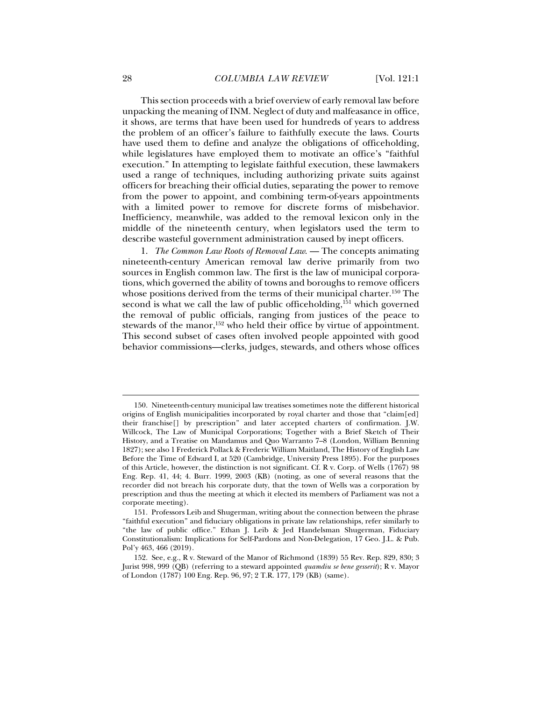This section proceeds with a brief overview of early removal law before unpacking the meaning of INM. Neglect of duty and malfeasance in office, it shows, are terms that have been used for hundreds of years to address the problem of an officer's failure to faithfully execute the laws. Courts have used them to define and analyze the obligations of officeholding, while legislatures have employed them to motivate an office's "faithful execution." In attempting to legislate faithful execution, these lawmakers used a range of techniques, including authorizing private suits against officers for breaching their official duties, separating the power to remove from the power to appoint, and combining term-of-years appointments with a limited power to remove for discrete forms of misbehavior. Inefficiency, meanwhile, was added to the removal lexicon only in the middle of the nineteenth century, when legislators used the term to describe wasteful government administration caused by inept officers.

1. *The Common Law Roots of Removal Law*. — The concepts animating nineteenth-century American removal law derive primarily from two sources in English common law. The first is the law of municipal corporations, which governed the ability of towns and boroughs to remove officers whose positions derived from the terms of their municipal charter.<sup>150</sup> The second is what we call the law of public officeholding, $151$  which governed the removal of public officials, ranging from justices of the peace to stewards of the manor,<sup>152</sup> who held their office by virtue of appointment. This second subset of cases often involved people appointed with good behavior commissions—clerks, judges, stewards, and others whose offices

 <sup>150.</sup> Nineteenth-century municipal law treatises sometimes note the different historical origins of English municipalities incorporated by royal charter and those that "claim[ed] their franchise[] by prescription" and later accepted charters of confirmation. J.W. Willcock, The Law of Municipal Corporations; Together with a Brief Sketch of Their History, and a Treatise on Mandamus and Quo Warranto 7–8 (London, William Benning 1827); see also 1 Frederick Pollack & Frederic William Maitland, The History of English Law Before the Time of Edward I, at 520 (Cambridge, University Press 1895). For the purposes of this Article, however, the distinction is not significant. Cf. R v. Corp. of Wells (1767) 98 Eng. Rep. 41, 44; 4. Burr. 1999, 2003 (KB) (noting, as one of several reasons that the recorder did not breach his corporate duty, that the town of Wells was a corporation by prescription and thus the meeting at which it elected its members of Parliament was not a corporate meeting).

 <sup>151.</sup> Professors Leib and Shugerman, writing about the connection between the phrase "faithful execution" and fiduciary obligations in private law relationships, refer similarly to "the law of public office." Ethan J. Leib & Jed Handelsman Shugerman, Fiduciary Constitutionalism: Implications for Self-Pardons and Non-Delegation, 17 Geo. J.L. & Pub. Pol'y 463, 466 (2019).

 <sup>152.</sup> See, e.g., R v. Steward of the Manor of Richmond (1839) 55 Rev. Rep. 829, 830; 3 Jurist 998, 999 (QB) (referring to a steward appointed *quamdiu se bene gesserit*); R v. Mayor of London (1787) 100 Eng. Rep. 96, 97; 2 T.R. 177, 179 (KB) (same).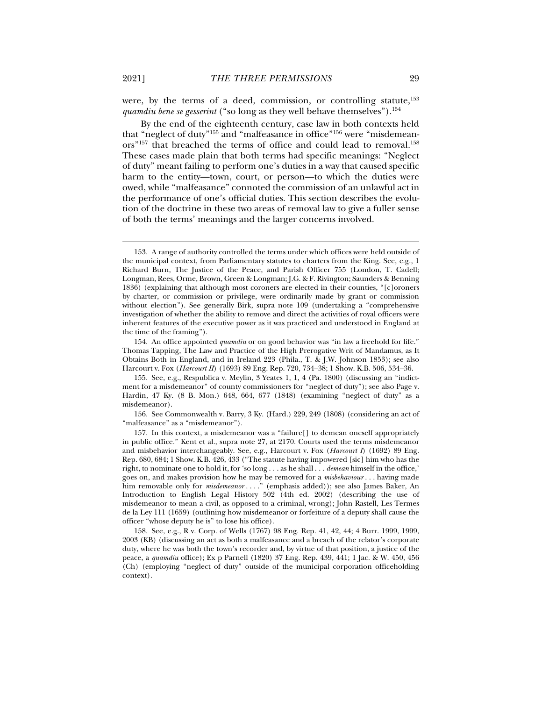were, by the terms of a deed, commission, or controlling statute,<sup>153</sup> *quamdiu bene se gesserint* ("so long as they well behave themselves").154

By the end of the eighteenth century, case law in both contexts held that "neglect of duty"155 and "malfeasance in office"156 were "misdemeanors"<sup>157</sup> that breached the terms of office and could lead to removal.<sup>158</sup> These cases made plain that both terms had specific meanings: "Neglect of duty" meant failing to perform one's duties in a way that caused specific harm to the entity—town, court, or person—to which the duties were owed, while "malfeasance" connoted the commission of an unlawful act in the performance of one's official duties. This section describes the evolution of the doctrine in these two areas of removal law to give a fuller sense of both the terms' meanings and the larger concerns involved.

 156. See Commonwealth v. Barry, 3 Ky. (Hard.) 229, 249 (1808) (considering an act of "malfeasance" as a "misdemeanor").

 <sup>153.</sup> A range of authority controlled the terms under which offices were held outside of the municipal context, from Parliamentary statutes to charters from the King. See, e.g., 1 Richard Burn, The Justice of the Peace, and Parish Officer 755 (London, T. Cadell; Longman, Rees, Orme, Brown, Green & Longman; J.G. & F. Rivington; Saunders & Benning 1836) (explaining that although most coroners are elected in their counties, "[c]oroners by charter, or commission or privilege, were ordinarily made by grant or commission without election"). See generally Birk, supra note 109 (undertaking a "comprehensive investigation of whether the ability to remove and direct the activities of royal officers were inherent features of the executive power as it was practiced and understood in England at the time of the framing").

 <sup>154.</sup> An office appointed *quamdiu* or on good behavior was "in law a freehold for life." Thomas Tapping, The Law and Practice of the High Prerogative Writ of Mandamus, as It Obtains Both in England, and in Ireland 223 (Phila., T. & J.W. Johnson 1853); see also Harcourt v. Fox (*Harcourt II*) (1693) 89 Eng. Rep. 720, 734–38; 1 Show. K.B. 506, 534–36.

 <sup>155.</sup> See, e.g., Respublica v. Meylin, 3 Yeates 1, 1, 4 (Pa. 1800) (discussing an "indictment for a misdemeanor" of county commissioners for "neglect of duty"); see also Page v. Hardin, 47 Ky. (8 B. Mon.) 648, 664, 677 (1848) (examining "neglect of duty" as a misdemeanor).

 <sup>157.</sup> In this context, a misdemeanor was a "failure[] to demean oneself appropriately in public office." Kent et al., supra note 27, at 2170. Courts used the terms misdemeanor and misbehavior interchangeably. See, e.g., Harcourt v. Fox (*Harcourt I*) (1692) 89 Eng. Rep. 680, 684; 1 Show. K.B. 426, 433 ("The statute having impowered [sic] him who has the right, to nominate one to hold it, for 'so long . . . as he shall . . . *demean* himself in the office,' goes on, and makes provision how he may be removed for a *misbehaviour* . . . having made him removable only for *misdemeanor* . . . ." (emphasis added)); see also James Baker, An Introduction to English Legal History 502 (4th ed. 2002) (describing the use of misdemeanor to mean a civil, as opposed to a criminal, wrong); John Rastell, Les Termes de la Ley 111 (1659) (outlining how misdemeanor or forfeiture of a deputy shall cause the officer "whose deputy he is" to lose his office).

 <sup>158.</sup> See, e.g., R v. Corp. of Wells (1767) 98 Eng. Rep. 41, 42, 44; 4 Burr. 1999, 1999, 2003 (KB) (discussing an act as both a malfeasance and a breach of the relator's corporate duty, where he was both the town's recorder and, by virtue of that position, a justice of the peace, a *quamdiu* office); Ex p Parnell (1820) 37 Eng. Rep. 439, 441; 1 Jac. & W. 450, 456 (Ch) (employing "neglect of duty" outside of the municipal corporation officeholding context).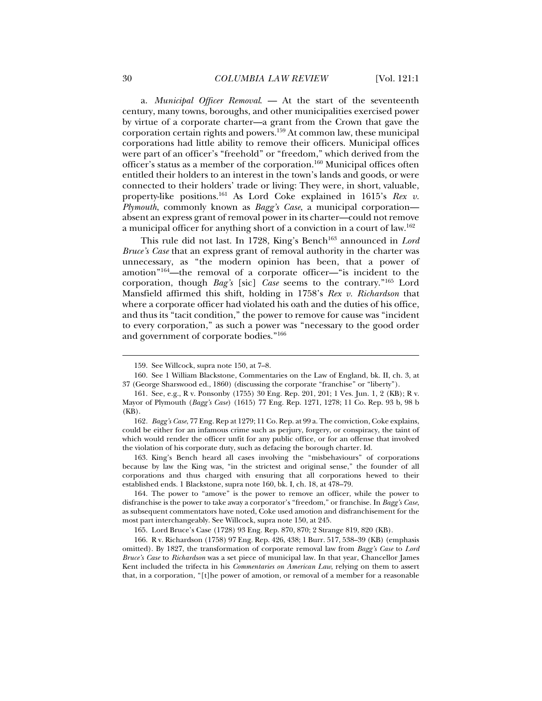a. *Municipal Officer Removal*. — At the start of the seventeenth century, many towns, boroughs, and other municipalities exercised power by virtue of a corporate charter—a grant from the Crown that gave the corporation certain rights and powers.159 At common law, these municipal corporations had little ability to remove their officers. Municipal offices were part of an officer's "freehold" or "freedom," which derived from the officer's status as a member of the corporation.160 Municipal offices often entitled their holders to an interest in the town's lands and goods, or were connected to their holders' trade or living: They were, in short, valuable, property-like positions.161 As Lord Coke explained in 1615's *Rex v. Plymouth*, commonly known as *Bagg's Case*, a municipal corporation absent an express grant of removal power in its charter—could not remove a municipal officer for anything short of a conviction in a court of law.162

This rule did not last. In 1728, King's Bench<sup>163</sup> announced in *Lord Bruce's Case* that an express grant of removal authority in the charter was unnecessary, as "the modern opinion has been, that a power of amotion"164—the removal of a corporate officer—"is incident to the corporation, though *Bag's* [sic] *Case* seems to the contrary."165 Lord Mansfield affirmed this shift, holding in 1758's *Rex v. Richardson* that where a corporate officer had violated his oath and the duties of his office, and thus its "tacit condition," the power to remove for cause was "incident to every corporation," as such a power was "necessary to the good order and government of corporate bodies."166

 163. King's Bench heard all cases involving the "misbehaviours" of corporations because by law the King was, "in the strictest and original sense," the founder of all corporations and thus charged with ensuring that all corporations hewed to their established ends. 1 Blackstone, supra note 160, bk. I, ch. 18, at 478–79.

 164. The power to "amove" is the power to remove an officer, while the power to disfranchise is the power to take away a corporator's "freedom," or franchise. In *Bagg's Case*, as subsequent commentators have noted, Coke used amotion and disfranchisement for the most part interchangeably. See Willcock, supra note 150, at 245.

165. Lord Bruce's Case (1728) 93 Eng. Rep. 870, 870; 2 Strange 819, 820 (KB).

 166. R v. Richardson (1758) 97 Eng. Rep. 426, 438; 1 Burr. 517, 538–39 (KB) (emphasis omitted). By 1827, the transformation of corporate removal law from *Bagg's Case* to *Lord Bruce's Case* to *Richardson* was a set piece of municipal law. In that year, Chancellor James Kent included the trifecta in his *Commentaries on American Law*, relying on them to assert that, in a corporation, "[t]he power of amotion, or removal of a member for a reasonable

 <sup>159.</sup> See Willcock, supra note 150, at 7–8.

 <sup>160.</sup> See 1 William Blackstone, Commentaries on the Law of England, bk. II, ch. 3, at 37 (George Sharswood ed., 1860) (discussing the corporate "franchise" or "liberty").

 <sup>161.</sup> See, e.g., R v. Ponsonby (1755) 30 Eng. Rep. 201, 201; 1 Ves. Jun. 1, 2 (KB); R v. Mayor of Plymouth (*Bagg's Case*) (1615) 77 Eng. Rep. 1271, 1278; 11 Co. Rep. 93 b, 98 b  $(KB)$ .

<sup>162</sup>*. Bagg's Case*, 77 Eng. Rep at 1279; 11 Co. Rep. at 99 a. The conviction, Coke explains, could be either for an infamous crime such as perjury, forgery, or conspiracy, the taint of which would render the officer unfit for any public office, or for an offense that involved the violation of his corporate duty, such as defacing the borough charter. Id.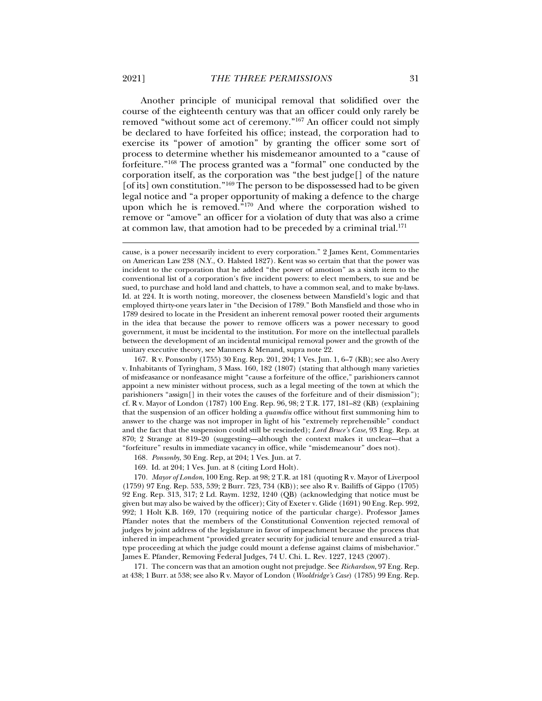Another principle of municipal removal that solidified over the course of the eighteenth century was that an officer could only rarely be removed "without some act of ceremony."167 An officer could not simply be declared to have forfeited his office; instead, the corporation had to exercise its "power of amotion" by granting the officer some sort of process to determine whether his misdemeanor amounted to a "cause of forfeiture."168 The process granted was a "formal" one conducted by the corporation itself, as the corporation was "the best judge[] of the nature [of its] own constitution."<sup>169</sup> The person to be dispossessed had to be given legal notice and "a proper opportunity of making a defence to the charge upon which he is removed."<sup>170</sup> And where the corporation wished to remove or "amove" an officer for a violation of duty that was also a crime at common law, that amotion had to be preceded by a criminal trial.171

168*. Ponsonby*, 30 Eng. Rep, at 204; 1 Ves. Jun. at 7.

169. Id. at 204; 1 Ves. Jun. at 8 (citing Lord Holt).

170*. Mayor of London*, 100 Eng. Rep. at 98; 2 T.R. at 181 (quoting R v. Mayor of Liverpool (1759) 97 Eng. Rep. 533, 539; 2 Burr. 723, 734 (KB)); see also R v. Bailiffs of Gippo (1705) 92 Eng. Rep. 313, 317; 2 Ld. Raym. 1232, 1240 (QB) (acknowledging that notice must be given but may also be waived by the officer); City of Exeter v. Glide (1691) 90 Eng. Rep. 992, 992; 1 Holt K.B. 169, 170 (requiring notice of the particular charge). Professor James Pfander notes that the members of the Constitutional Convention rejected removal of judges by joint address of the legislature in favor of impeachment because the process that inhered in impeachment "provided greater security for judicial tenure and ensured a trialtype proceeding at which the judge could mount a defense against claims of misbehavior." James E. Pfander, Removing Federal Judges, 74 U. Chi. L. Rev. 1227, 1243 (2007).

 171. The concern was that an amotion ought not prejudge. See *Richardson*, 97 Eng. Rep. at 438; 1 Burr. at 538; see also R v. Mayor of London (*Wooldridge's Case*) (1785) 99 Eng. Rep.

cause, is a power necessarily incident to every corporation." 2 James Kent, Commentaries on American Law 238 (N.Y., O. Halsted 1827). Kent was so certain that that the power was incident to the corporation that he added "the power of amotion" as a sixth item to the conventional list of a corporation's five incident powers: to elect members, to sue and be sued, to purchase and hold land and chattels, to have a common seal, and to make by-laws. Id. at 224. It is worth noting, moreover, the closeness between Mansfield's logic and that employed thirty-one years later in "the Decision of 1789." Both Mansfield and those who in 1789 desired to locate in the President an inherent removal power rooted their arguments in the idea that because the power to remove officers was a power necessary to good government, it must be incidental to the institution. For more on the intellectual parallels between the development of an incidental municipal removal power and the growth of the unitary executive theory, see Manners & Menand, supra note 22.

 <sup>167.</sup> R v. Ponsonby (1755) 30 Eng. Rep. 201, 204; 1 Ves. Jun. 1, 6–7 (KB); see also Avery v. Inhabitants of Tyringham, 3 Mass. 160, 182 (1807) (stating that although many varieties of misfeasance or nonfeasance might "cause a forfeiture of the office," parishioners cannot appoint a new minister without process, such as a legal meeting of the town at which the parishioners "assign[] in their votes the causes of the forfeiture and of their dismission"); cf. R v. Mayor of London (1787) 100 Eng. Rep. 96, 98; 2 T.R. 177, 181–82 (KB) (explaining that the suspension of an officer holding a *quamdiu* office without first summoning him to answer to the charge was not improper in light of his "extremely reprehensible" conduct and the fact that the suspension could still be rescinded); *Lord Bruce's Case*, 93 Eng. Rep. at 870; 2 Strange at 819–20 (suggesting—although the context makes it unclear—that a "forfeiture" results in immediate vacancy in office, while "misdemeanour" does not).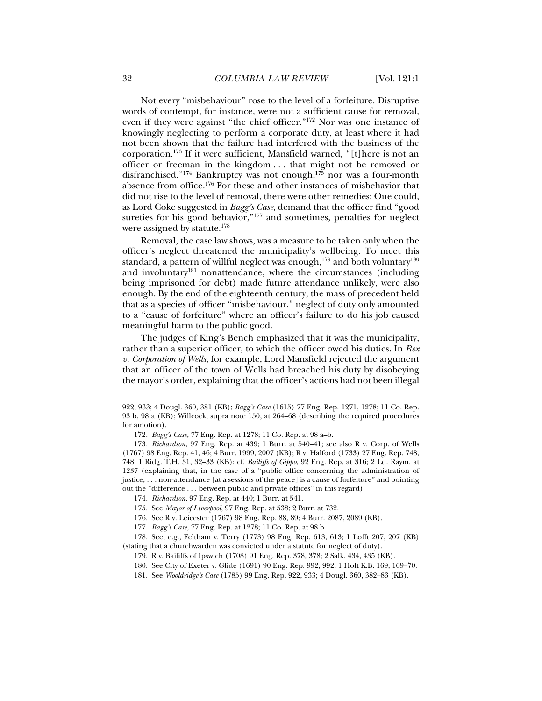Not every "misbehaviour" rose to the level of a forfeiture. Disruptive words of contempt, for instance, were not a sufficient cause for removal, even if they were against "the chief officer."172 Nor was one instance of knowingly neglecting to perform a corporate duty, at least where it had not been shown that the failure had interfered with the business of the corporation.173 If it were sufficient, Mansfield warned, "[t]here is not an officer or freeman in the kingdom . . . that might not be removed or disfranchised."<sup>174</sup> Bankruptcy was not enough;<sup>175</sup> nor was a four-month absence from office.176 For these and other instances of misbehavior that did not rise to the level of removal, there were other remedies: One could, as Lord Coke suggested in *Bagg's Case*, demand that the officer find "good sureties for his good behavior,"<sup>177</sup> and sometimes, penalties for neglect were assigned by statute.<sup>178</sup>

Removal, the case law shows, was a measure to be taken only when the officer's neglect threatened the municipality's wellbeing. To meet this standard, a pattern of willful neglect was enough, $179$  and both voluntary $180$ and involuntary<sup>181</sup> nonattendance, where the circumstances (including being imprisoned for debt) made future attendance unlikely, were also enough. By the end of the eighteenth century, the mass of precedent held that as a species of officer "misbehaviour," neglect of duty only amounted to a "cause of forfeiture" where an officer's failure to do his job caused meaningful harm to the public good.

The judges of King's Bench emphasized that it was the municipality, rather than a superior officer, to which the officer owed his duties. In *Rex v. Corporation of Wells*, for example, Lord Mansfield rejected the argument that an officer of the town of Wells had breached his duty by disobeying the mayor's order, explaining that the officer's actions had not been illegal

<sup>922, 933; 4</sup> Dougl. 360, 381 (KB); *Bagg's Case* (1615) 77 Eng. Rep. 1271, 1278; 11 Co. Rep. 93 b, 98 a (KB); Willcock, supra note 150, at 264–68 (describing the required procedures for amotion).

<sup>172</sup>*. Bagg's Case*, 77 Eng. Rep. at 1278; 11 Co. Rep. at 98 a–b.

<sup>173</sup>*. Richardson*, 97 Eng. Rep. at 439; 1 Burr. at 540–41; see also R v. Corp. of Wells (1767) 98 Eng. Rep. 41, 46; 4 Burr. 1999, 2007 (KB); R v. Halford (1733) 27 Eng. Rep. 748, 748; 1 Ridg. T.H. 31, 32–33 (KB); cf. *Bailiffs of Gippo*, 92 Eng. Rep. at 316; 2 Ld. Raym. at 1237 (explaining that, in the case of a "public office concerning the administration of justice, . . . non-attendance [at a sessions of the peace] is a cause of forfeiture" and pointing out the "difference . . . between public and private offices" in this regard).

<sup>174</sup>*. Richardson*, 97 Eng. Rep. at 440; 1 Burr. at 541.

 <sup>175.</sup> See *Mayor of Liverpool*, 97 Eng. Rep. at 538; 2 Burr. at 732.

 <sup>176.</sup> See R v. Leicester (1767) 98 Eng. Rep. 88, 89; 4 Burr. 2087, 2089 (KB).

<sup>177</sup>*. Bagg's Case*, 77 Eng. Rep. at 1278; 11 Co. Rep. at 98 b.

 <sup>178.</sup> See, e.g., Feltham v. Terry (1773) 98 Eng. Rep. 613, 613; 1 Lofft 207, 207 (KB) (stating that a churchwarden was convicted under a statute for neglect of duty).

 <sup>179.</sup> R v. Bailiffs of Ipswich (1708) 91 Eng. Rep. 378, 378; 2 Salk. 434, 435 (KB).

 <sup>180.</sup> See City of Exeter v. Glide (1691) 90 Eng. Rep. 992, 992; 1 Holt K.B. 169, 169–70.

 <sup>181.</sup> See *Wooldridge's Case* (1785) 99 Eng. Rep. 922, 933; 4 Dougl. 360, 382–83 (KB).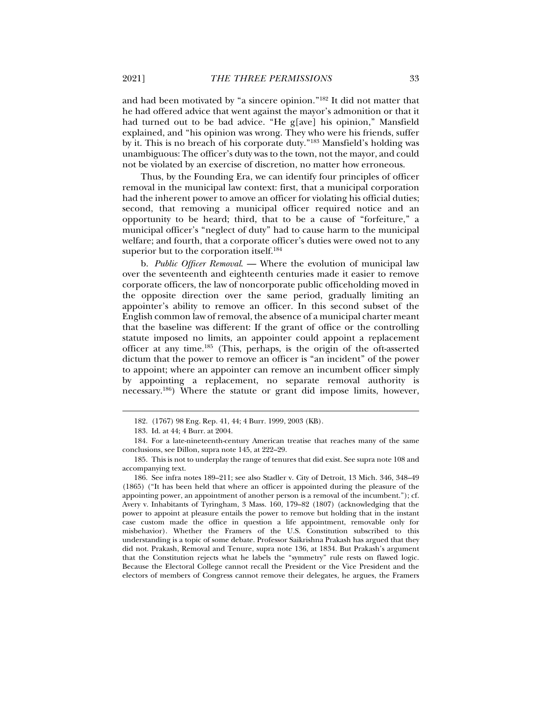and had been motivated by "a sincere opinion."182 It did not matter that he had offered advice that went against the mayor's admonition or that it had turned out to be bad advice. "He g[ave] his opinion," Mansfield explained, and "his opinion was wrong. They who were his friends, suffer by it. This is no breach of his corporate duty."183 Mansfield's holding was unambiguous: The officer's duty was to the town, not the mayor, and could not be violated by an exercise of discretion, no matter how erroneous.

Thus, by the Founding Era, we can identify four principles of officer removal in the municipal law context: first, that a municipal corporation had the inherent power to amove an officer for violating his official duties; second, that removing a municipal officer required notice and an opportunity to be heard; third, that to be a cause of "forfeiture," a municipal officer's "neglect of duty" had to cause harm to the municipal welfare; and fourth, that a corporate officer's duties were owed not to any superior but to the corporation itself.<sup>184</sup>

b. *Public Officer Removal*. — Where the evolution of municipal law over the seventeenth and eighteenth centuries made it easier to remove corporate officers, the law of noncorporate public officeholding moved in the opposite direction over the same period, gradually limiting an appointer's ability to remove an officer. In this second subset of the English common law of removal, the absence of a municipal charter meant that the baseline was different: If the grant of office or the controlling statute imposed no limits, an appointer could appoint a replacement officer at any time.185 (This, perhaps, is the origin of the oft-asserted dictum that the power to remove an officer is "an incident" of the power to appoint; where an appointer can remove an incumbent officer simply by appointing a replacement, no separate removal authority is necessary.186) Where the statute or grant did impose limits, however,

 <sup>182. (1767) 98</sup> Eng. Rep. 41, 44; 4 Burr. 1999, 2003 (KB).

 <sup>183.</sup> Id. at 44; 4 Burr. at 2004.

 <sup>184.</sup> For a late-nineteenth-century American treatise that reaches many of the same conclusions, see Dillon, supra note 145, at 222–29.

 <sup>185.</sup> This is not to underplay the range of tenures that did exist. See supra note 108 and accompanying text.

 <sup>186.</sup> See infra notes 189–211; see also Stadler v. City of Detroit, 13 Mich. 346, 348–49 (1865) ("It has been held that where an officer is appointed during the pleasure of the appointing power, an appointment of another person is a removal of the incumbent."); cf. Avery v. Inhabitants of Tyringham, 3 Mass. 160, 179–82 (1807) (acknowledging that the power to appoint at pleasure entails the power to remove but holding that in the instant case custom made the office in question a life appointment, removable only for misbehavior). Whether the Framers of the U.S. Constitution subscribed to this understanding is a topic of some debate. Professor Saikrishna Prakash has argued that they did not. Prakash, Removal and Tenure, supra note 136, at 1834. But Prakash's argument that the Constitution rejects what he labels the "symmetry" rule rests on flawed logic. Because the Electoral College cannot recall the President or the Vice President and the electors of members of Congress cannot remove their delegates, he argues, the Framers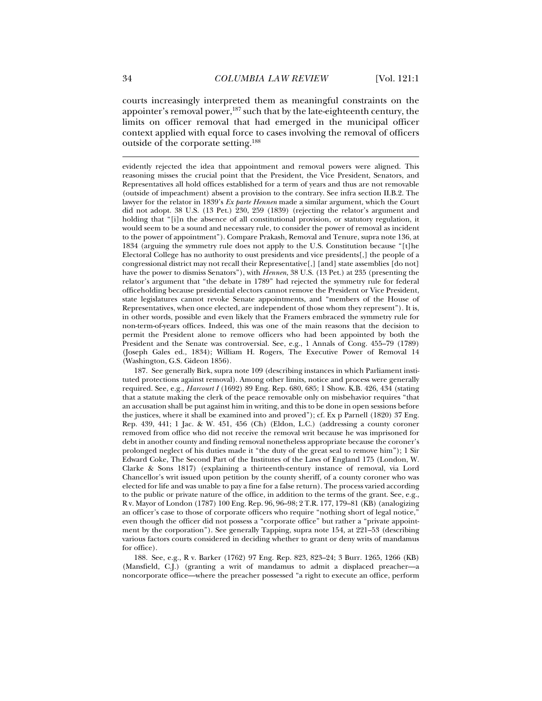courts increasingly interpreted them as meaningful constraints on the appointer's removal power,<sup>187</sup> such that by the late-eighteenth century, the limits on officer removal that had emerged in the municipal officer context applied with equal force to cases involving the removal of officers outside of the corporate setting.188

 187. See generally Birk, supra note 109 (describing instances in which Parliament instituted protections against removal). Among other limits, notice and process were generally required. See, e.g., *Harcourt I* (1692) 89 Eng. Rep. 680, 685; 1 Show. K.B. 426, 434 (stating that a statute making the clerk of the peace removable only on misbehavior requires "that an accusation shall be put against him in writing, and this to be done in open sessions before the justices, where it shall be examined into and proved"); cf. Ex p Parnell (1820) 37 Eng. Rep. 439, 441; 1 Jac. & W. 451, 456 (Ch) (Eldon, L.C.) (addressing a county coroner removed from office who did not receive the removal writ because he was imprisoned for debt in another county and finding removal nonetheless appropriate because the coroner's prolonged neglect of his duties made it "the duty of the great seal to remove him"); 1 Sir Edward Coke, The Second Part of the Institutes of the Laws of England 175 (London, W. Clarke & Sons 1817) (explaining a thirteenth-century instance of removal, via Lord Chancellor's writ issued upon petition by the county sheriff, of a county coroner who was elected for life and was unable to pay a fine for a false return). The process varied according to the public or private nature of the office, in addition to the terms of the grant. See, e.g., R v. Mayor of London (1787) 100 Eng. Rep. 96, 96–98; 2 T.R. 177, 179–81 (KB) (analogizing an officer's case to those of corporate officers who require "nothing short of legal notice," even though the officer did not possess a "corporate office" but rather a "private appointment by the corporation"). See generally Tapping, supra note 154, at 221–53 (describing various factors courts considered in deciding whether to grant or deny writs of mandamus for office).

 188. See, e.g., R v. Barker (1762) 97 Eng. Rep. 823, 823–24; 3 Burr. 1265, 1266 (KB) (Mansfield, C.J.) (granting a writ of mandamus to admit a displaced preacher—a noncorporate office—where the preacher possessed "a right to execute an office, perform

evidently rejected the idea that appointment and removal powers were aligned. This reasoning misses the crucial point that the President, the Vice President, Senators, and Representatives all hold offices established for a term of years and thus are not removable (outside of impeachment) absent a provision to the contrary. See infra section II.B.2. The lawyer for the relator in 1839's *Ex parte Hennen* made a similar argument, which the Court did not adopt. 38 U.S. (13 Pet.) 230, 259 (1839) (rejecting the relator's argument and holding that "[i]n the absence of all constitutional provision, or statutory regulation, it would seem to be a sound and necessary rule, to consider the power of removal as incident to the power of appointment"). Compare Prakash, Removal and Tenure, supra note 136, at 1834 (arguing the symmetry rule does not apply to the U.S. Constitution because "[t]he Electoral College has no authority to oust presidents and vice presidents[,] the people of a congressional district may not recall their Representative[,] [and] state assemblies [do not] have the power to dismiss Senators"), with *Hennen*, 38 U.S. (13 Pet.) at 235 (presenting the relator's argument that "the debate in 1789" had rejected the symmetry rule for federal officeholding because presidential electors cannot remove the President or Vice President, state legislatures cannot revoke Senate appointments, and "members of the House of Representatives, when once elected, are independent of those whom they represent"). It is, in other words, possible and even likely that the Framers embraced the symmetry rule for non-term-of-years offices. Indeed, this was one of the main reasons that the decision to permit the President alone to remove officers who had been appointed by both the President and the Senate was controversial. See, e.g., 1 Annals of Cong. 455–79 (1789) (Joseph Gales ed., 1834); William H. Rogers, The Executive Power of Removal 14 (Washington, G.S. Gideon 1856).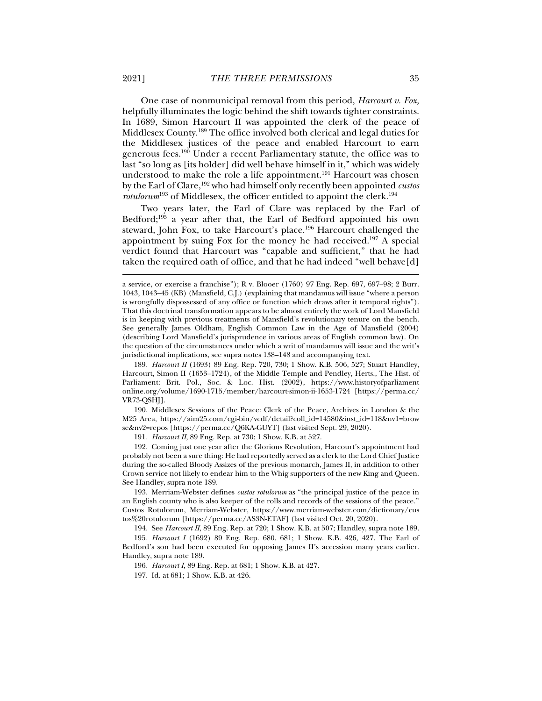One case of nonmunicipal removal from this period, *Harcourt v. Fox,* helpfully illuminates the logic behind the shift towards tighter constraints. In 1689, Simon Harcourt II was appointed the clerk of the peace of Middlesex County.189 The office involved both clerical and legal duties for the Middlesex justices of the peace and enabled Harcourt to earn generous fees.190 Under a recent Parliamentary statute, the office was to last "so long as [its holder] did well behave himself in it," which was widely understood to make the role a life appointment.<sup>191</sup> Harcourt was chosen by the Earl of Clare,192 who had himself only recently been appointed *custos rotulorum*<sup>193</sup> of Middlesex, the officer entitled to appoint the clerk.<sup>194</sup>

Two years later, the Earl of Clare was replaced by the Earl of Bedford;195 a year after that, the Earl of Bedford appointed his own steward, John Fox, to take Harcourt's place.<sup>196</sup> Harcourt challenged the appointment by suing Fox for the money he had received.<sup>197</sup> A special verdict found that Harcourt was "capable and sufficient," that he had taken the required oath of office, and that he had indeed "well behave[d]

 190. Middlesex Sessions of the Peace: Clerk of the Peace, Archives in London & the M25 Area, https://aim25.com/cgi-bin/vcdf/detail?coll\_id=14580&inst\_id=118&nv1=brow se&nv2=repos [https://perma.cc/Q6KA-GUYT] (last visited Sept. 29, 2020).

191*. Harcourt II*, 89 Eng. Rep. at 730; 1 Show. K.B. at 527.

 192. Coming just one year after the Glorious Revolution, Harcourt's appointment had probably not been a sure thing: He had reportedly served as a clerk to the Lord Chief Justice during the so-called Bloody Assizes of the previous monarch, James II, in addition to other Crown service not likely to endear him to the Whig supporters of the new King and Queen. See Handley, supra note 189.

 193. Merriam-Webster defines *custos rotulorum* as "the principal justice of the peace in an English county who is also keeper of the rolls and records of the sessions of the peace." Custos Rotulorum, Merriam-Webster, https://www.merriam-webster.com/dictionary/cus tos%20rotulorum [https://perma.cc/AS3N-ETAF] (last visited Oct. 20, 2020).

194. See *Harcourt II*, 89 Eng. Rep. at 720; 1 Show. K.B. at 507; Handley, supra note 189.

195*. Harcourt I* (1692) 89 Eng. Rep. 680, 681; 1 Show. K.B. 426, 427. The Earl of Bedford's son had been executed for opposing James II's accession many years earlier. Handley, supra note 189.

196*. Harcourt I*, 89 Eng. Rep. at 681; 1 Show. K.B. at 427.

197. Id. at 681; 1 Show. K.B. at 426.

a service, or exercise a franchise"); R v. Blooer (1760) 97 Eng. Rep. 697, 697–98; 2 Burr. 1043, 1043–45 (KB) (Mansfield, C.J.) (explaining that mandamus will issue "where a person is wrongfully dispossessed of any office or function which draws after it temporal rights"). That this doctrinal transformation appears to be almost entirely the work of Lord Mansfield is in keeping with previous treatments of Mansfield's revolutionary tenure on the bench. See generally James Oldham, English Common Law in the Age of Mansfield (2004) (describing Lord Mansfield's jurisprudence in various areas of English common law). On the question of the circumstances under which a writ of mandamus will issue and the writ's jurisdictional implications, see supra notes 138–148 and accompanying text.

<sup>189</sup>*. Harcourt II* (1693) 89 Eng. Rep. 720, 730; 1 Show. K.B. 506, 527; Stuart Handley, Harcourt, Simon II (1653–1724), of the Middle Temple and Pendley, Herts., The Hist. of Parliament: Brit. Pol., Soc. & Loc. Hist. (2002), https://www.historyofparliament online.org/volume/1690-1715/member/harcourt-simon-ii-1653-1724 [https://perma.cc/ VR73-QSHJ].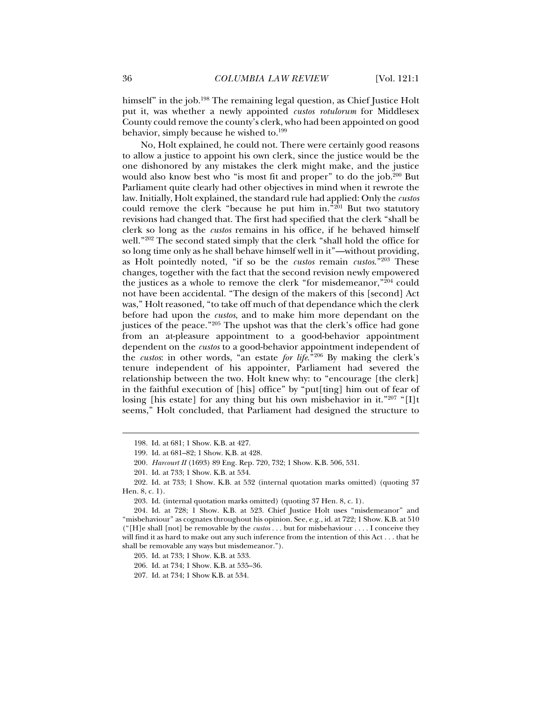himself" in the job.<sup>198</sup> The remaining legal question, as Chief Justice Holt put it, was whether a newly appointed *custos rotulorum* for Middlesex County could remove the county's clerk, who had been appointed on good behavior, simply because he wished to.<sup>199</sup>

No, Holt explained, he could not. There were certainly good reasons to allow a justice to appoint his own clerk, since the justice would be the one dishonored by any mistakes the clerk might make, and the justice would also know best who "is most fit and proper" to do the job.<sup>200</sup> But Parliament quite clearly had other objectives in mind when it rewrote the law. Initially, Holt explained, the standard rule had applied: Only the *custos* could remove the clerk "because he put him in. $\binom{1201}{201}$  But two statutory revisions had changed that. The first had specified that the clerk "shall be clerk so long as the *custos* remains in his office, if he behaved himself well."<sup>202</sup> The second stated simply that the clerk "shall hold the office for so long time only as he shall behave himself well in it"—without providing, as Holt pointedly noted, "if so be the *custos* remain *custos*."203 These changes, together with the fact that the second revision newly empowered the justices as a whole to remove the clerk "for misdemeanor,"204 could not have been accidental. "The design of the makers of this [second] Act was," Holt reasoned, "to take off much of that dependance which the clerk before had upon the *custos*, and to make him more dependant on the justices of the peace."<sup>205</sup> The upshot was that the clerk's office had gone from an at-pleasure appointment to a good-behavior appointment dependent on the *custos* to a good-behavior appointment independent of the *custos*: in other words, "an estate *for life*."206 By making the clerk's tenure independent of his appointer, Parliament had severed the relationship between the two. Holt knew why: to "encourage [the clerk] in the faithful execution of [his] office" by "put[ting] him out of fear of losing [his estate] for any thing but his own misbehavior in it." $207$  "[I]t seems," Holt concluded, that Parliament had designed the structure to

j

206. Id. at 734; 1 Show. K.B. at 535–36.

207. Id. at 734; 1 Show K.B. at 534.

 <sup>198.</sup> Id. at 681; 1 Show. K.B. at 427.

 <sup>199.</sup> Id. at 681–82; 1 Show. K.B. at 428.

<sup>200</sup>*. Harcourt II* (1693) 89 Eng. Rep. 720, 732; 1 Show. K.B. 506, 531.

 <sup>201.</sup> Id. at 733; 1 Show. K.B. at 534.

 <sup>202.</sup> Id. at 733; 1 Show. K.B. at 532 (internal quotation marks omitted) (quoting 37 Hen. 8, c. 1).

 <sup>203.</sup> Id. (internal quotation marks omitted) (quoting 37 Hen. 8, c. 1).

<sup>204</sup>*.* Id. at 728; 1 Show. K.B. at 523. Chief Justice Holt uses "misdemeanor" and "misbehaviour" as cognates throughout his opinion. See, e.g., id. at 722; 1 Show. K.B. at 510 ("[H]e shall [not] be removable by the *custos* . . . but for misbehaviour . . . . I conceive they will find it as hard to make out any such inference from the intention of this Act . . . that he shall be removable any ways but misdemeanor.").

 <sup>205.</sup> Id. at 733; 1 Show. K.B. at 533.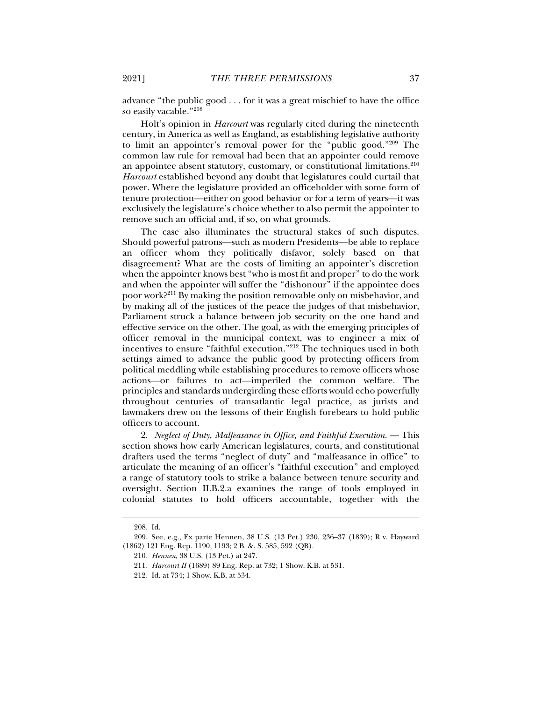advance "the public good . . . for it was a great mischief to have the office so easily vacable."208

Holt's opinion in *Harcourt* was regularly cited during the nineteenth century, in America as well as England, as establishing legislative authority to limit an appointer's removal power for the "public good."209 The common law rule for removal had been that an appointer could remove an appointee absent statutory, customary, or constitutional limitations.<sup>210</sup> *Harcourt* established beyond any doubt that legislatures could curtail that power. Where the legislature provided an officeholder with some form of tenure protection—either on good behavior or for a term of years—it was exclusively the legislature's choice whether to also permit the appointer to remove such an official and, if so, on what grounds.

The case also illuminates the structural stakes of such disputes. Should powerful patrons—such as modern Presidents—be able to replace an officer whom they politically disfavor, solely based on that disagreement? What are the costs of limiting an appointer's discretion when the appointer knows best "who is most fit and proper" to do the work and when the appointer will suffer the "dishonour" if the appointee does poor work?211 By making the position removable only on misbehavior, and by making all of the justices of the peace the judges of that misbehavior, Parliament struck a balance between job security on the one hand and effective service on the other. The goal, as with the emerging principles of officer removal in the municipal context, was to engineer a mix of incentives to ensure "faithful execution."212 The techniques used in both settings aimed to advance the public good by protecting officers from political meddling while establishing procedures to remove officers whose actions—or failures to act—imperiled the common welfare. The principles and standards undergirding these efforts would echo powerfully throughout centuries of transatlantic legal practice, as jurists and lawmakers drew on the lessons of their English forebears to hold public officers to account.

2. *Neglect of Duty, Malfeasance in Office, and Faithful Execution*. — This section shows how early American legislatures, courts, and constitutional drafters used the terms "neglect of duty" and "malfeasance in office" to articulate the meaning of an officer's "faithful execution" and employed a range of statutory tools to strike a balance between tenure security and oversight. Section II.B.2.a examines the range of tools employed in colonial statutes to hold officers accountable, together with the

 <sup>208.</sup> Id.

 <sup>209.</sup> See, e.g., Ex parte Hennen, 38 U.S. (13 Pet.) 230, 236–37 (1839); R v. Hayward (1862) 121 Eng. Rep. 1190, 1193; 2 B. &. S. 585, 592 (QB).

<sup>210</sup>*. Hennen*, 38 U.S. (13 Pet.) at 247.

<sup>211</sup>*. Harcourt II* (1689) 89 Eng. Rep. at 732; 1 Show. K.B. at 531.

<sup>212</sup>*.* Id. at 734; 1 Show. K.B. at 534.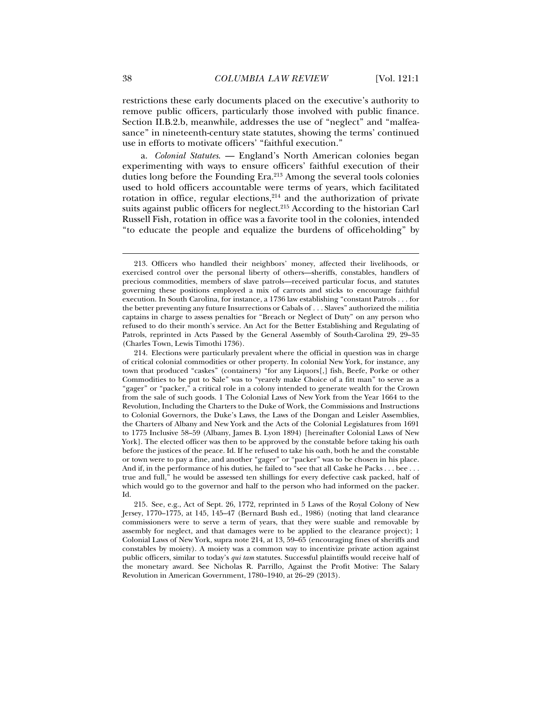restrictions these early documents placed on the executive's authority to remove public officers, particularly those involved with public finance. Section II.B.2.b, meanwhile, addresses the use of "neglect" and "malfeasance" in nineteenth-century state statutes, showing the terms' continued use in efforts to motivate officers' "faithful execution."

a. *Colonial Statutes*. — England's North American colonies began experimenting with ways to ensure officers' faithful execution of their duties long before the Founding Era.<sup>213</sup> Among the several tools colonies used to hold officers accountable were terms of years, which facilitated rotation in office, regular elections, $2^{14}$  and the authorization of private suits against public officers for neglect.<sup>215</sup> According to the historian Carl Russell Fish, rotation in office was a favorite tool in the colonies, intended "to educate the people and equalize the burdens of officeholding" by

 <sup>213.</sup> Officers who handled their neighbors' money, affected their livelihoods, or exercised control over the personal liberty of others—sheriffs, constables, handlers of precious commodities, members of slave patrols—received particular focus, and statutes governing these positions employed a mix of carrots and sticks to encourage faithful execution. In South Carolina, for instance, a 1736 law establishing "constant Patrols . . . for the better preventing any future Insurrections or Cabals of . . . Slaves" authorized the militia captains in charge to assess penalties for "Breach or Neglect of Duty" on any person who refused to do their month's service. An Act for the Better Establishing and Regulating of Patrols, reprinted in Acts Passed by the General Assembly of South-Carolina 29, 29–35 (Charles Town, Lewis Timothi 1736).

 <sup>214.</sup> Elections were particularly prevalent where the official in question was in charge of critical colonial commodities or other property. In colonial New York, for instance, any town that produced "caskes" (containers) "for any Liquors[,] fish, Beefe, Porke or other Commodities to be put to Sale" was to "yearely make Choice of a fitt man" to serve as a "gager" or "packer," a critical role in a colony intended to generate wealth for the Crown from the sale of such goods. 1 The Colonial Laws of New York from the Year 1664 to the Revolution, Including the Charters to the Duke of Work, the Commissions and Instructions to Colonial Governors, the Duke's Laws, the Laws of the Dongan and Leisler Assemblies, the Charters of Albany and New York and the Acts of the Colonial Legislatures from 1691 to 1775 Inclusive 58–59 (Albany, James B. Lyon 1894) [hereinafter Colonial Laws of New York]. The elected officer was then to be approved by the constable before taking his oath before the justices of the peace. Id. If he refused to take his oath, both he and the constable or town were to pay a fine, and another "gager" or "packer" was to be chosen in his place. And if, in the performance of his duties, he failed to "see that all Caske he Packs . . . bee . . . true and full," he would be assessed ten shillings for every defective cask packed, half of which would go to the governor and half to the person who had informed on the packer. Id.

 <sup>215.</sup> See, e.g., Act of Sept. 26, 1772, reprinted in 5 Laws of the Royal Colony of New Jersey, 1770–1775, at 145, 145–47 (Bernard Bush ed., 1986) (noting that land clearance commissioners were to serve a term of years, that they were suable and removable by assembly for neglect, and that damages were to be applied to the clearance project); 1 Colonial Laws of New York, supra note 214, at 13, 59–65 (encouraging fines of sheriffs and constables by moiety). A moiety was a common way to incentivize private action against public officers, similar to today's *qui tam* statutes. Successful plaintiffs would receive half of the monetary award. See Nicholas R. Parrillo, Against the Profit Motive: The Salary Revolution in American Government, 1780–1940, at 26–29 (2013).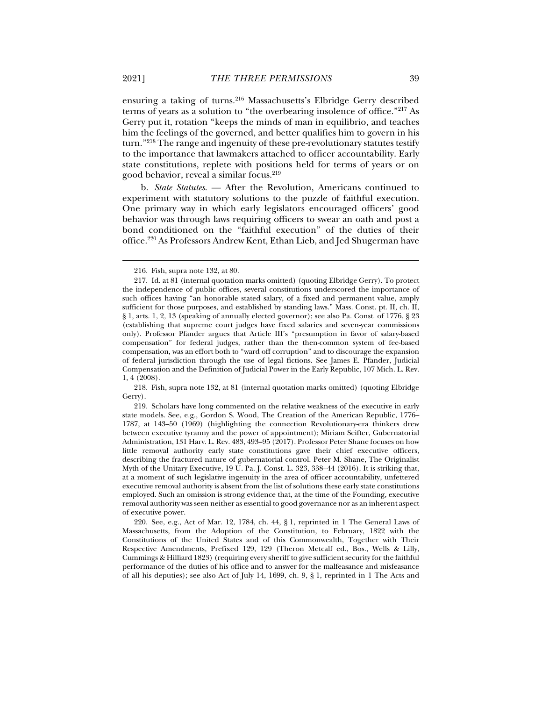ensuring a taking of turns.<sup>216</sup> Massachusetts's Elbridge Gerry described terms of years as a solution to "the overbearing insolence of office."217 As Gerry put it, rotation "keeps the minds of man in equilibrio, and teaches him the feelings of the governed, and better qualifies him to govern in his turn."218 The range and ingenuity of these pre-revolutionary statutes testify to the importance that lawmakers attached to officer accountability. Early state constitutions, replete with positions held for terms of years or on good behavior, reveal a similar focus.219

b. *State Statutes*. — After the Revolution, Americans continued to experiment with statutory solutions to the puzzle of faithful execution. One primary way in which early legislators encouraged officers' good behavior was through laws requiring officers to swear an oath and post a bond conditioned on the "faithful execution" of the duties of their office.220 As Professors Andrew Kent, Ethan Lieb, and Jed Shugerman have

 218. Fish, supra note 132, at 81 (internal quotation marks omitted) (quoting Elbridge Gerry).

 219. Scholars have long commented on the relative weakness of the executive in early state models. See, e.g., Gordon S. Wood, The Creation of the American Republic, 1776– 1787, at 143–50 (1969) (highlighting the connection Revolutionary-era thinkers drew between executive tyranny and the power of appointment); Miriam Seifter, Gubernatorial Administration, 131 Harv. L. Rev. 483, 493–95 (2017). Professor Peter Shane focuses on how little removal authority early state constitutions gave their chief executive officers, describing the fractured nature of gubernatorial control. Peter M. Shane, The Originalist Myth of the Unitary Executive, 19 U. Pa. J. Const. L. 323, 338–44 (2016). It is striking that, at a moment of such legislative ingenuity in the area of officer accountability, unfettered executive removal authority is absent from the list of solutions these early state constitutions employed. Such an omission is strong evidence that, at the time of the Founding, executive removal authority was seen neither as essential to good governance nor as an inherent aspect of executive power.

 220. See, e.g., Act of Mar. 12, 1784, ch. 44, § 1, reprinted in 1 The General Laws of Massachusetts, from the Adoption of the Constitution, to February, 1822 with the Constitutions of the United States and of this Commonwealth, Together with Their Respective Amendments, Prefixed 129, 129 (Theron Metcalf ed., Bos., Wells & Lilly, Cummings & Hilliard 1823) (requiring every sheriff to give sufficient security for the faithful performance of the duties of his office and to answer for the malfeasance and misfeasance of all his deputies); see also Act of July 14, 1699, ch. 9, § 1, reprinted in 1 The Acts and

 <sup>216.</sup> Fish, supra note 132, at 80.

 <sup>217.</sup> Id. at 81 (internal quotation marks omitted) (quoting Elbridge Gerry). To protect the independence of public offices, several constitutions underscored the importance of such offices having "an honorable stated salary, of a fixed and permanent value, amply sufficient for those purposes, and established by standing laws." Mass. Const. pt. II, ch. II, § 1, arts. 1, 2, 13 (speaking of annually elected governor); see also Pa. Const. of 1776, § 23 (establishing that supreme court judges have fixed salaries and seven-year commissions only). Professor Pfander argues that Article III's "presumption in favor of salary-based compensation" for federal judges, rather than the then-common system of fee-based compensation, was an effort both to "ward off corruption" and to discourage the expansion of federal jurisdiction through the use of legal fictions. See James E. Pfander, Judicial Compensation and the Definition of Judicial Power in the Early Republic, 107 Mich. L. Rev. 1, 4 (2008).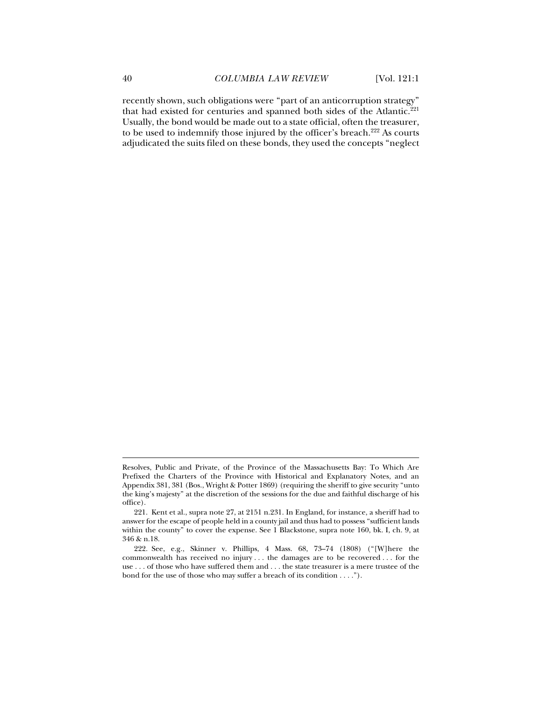recently shown, such obligations were "part of an anticorruption strategy" that had existed for centuries and spanned both sides of the Atlantic.<sup>221</sup> Usually, the bond would be made out to a state official, often the treasurer, to be used to indemnify those injured by the officer's breach.<sup>222</sup> As courts adjudicated the suits filed on these bonds, they used the concepts "neglect

Resolves, Public and Private, of the Province of the Massachusetts Bay: To Which Are Prefixed the Charters of the Province with Historical and Explanatory Notes, and an Appendix 381, 381 (Bos., Wright & Potter 1869) (requiring the sheriff to give security "unto the king's majesty" at the discretion of the sessions for the due and faithful discharge of his office).

 <sup>221.</sup> Kent et al., supra note 27, at 2151 n.231. In England, for instance, a sheriff had to answer for the escape of people held in a county jail and thus had to possess "sufficient lands within the county" to cover the expense. See 1 Blackstone, supra note 160, bk. I, ch. 9, at 346 & n.18.

 <sup>222.</sup> See, e.g., Skinner v. Phillips, 4 Mass. 68, 73–74 (1808) ("[W]here the commonwealth has received no injury . . . the damages are to be recovered . . . for the use . . . of those who have suffered them and . . . the state treasurer is a mere trustee of the bond for the use of those who may suffer a breach of its condition . . . .").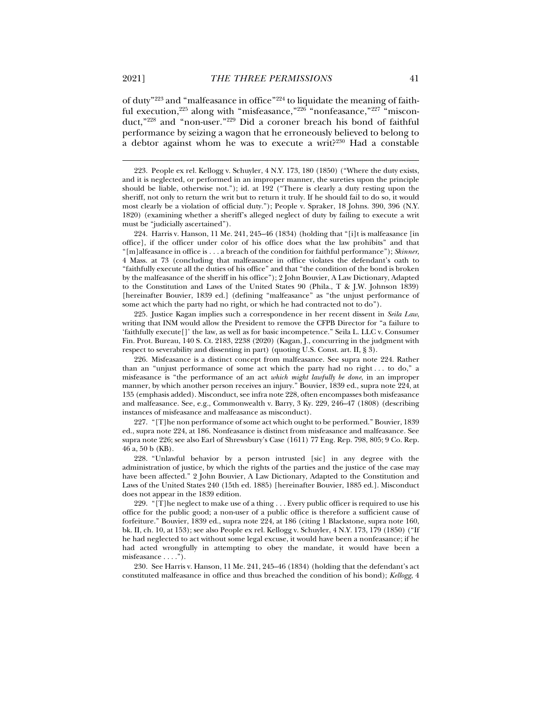of duty"223 and "malfeasance in office"224 to liquidate the meaning of faithful execution,<sup>225</sup> along with "misfeasance,"<sup>226</sup> "nonfeasance,"<sup>227</sup> "misconduct,"228 and "non-user."229 Did a coroner breach his bond of faithful performance by seizing a wagon that he erroneously believed to belong to a debtor against whom he was to execute a writ?230 Had a constable

 224. Harris v. Hanson, 11 Me. 241, 245–46 (1834) (holding that "[i]t is malfeasance [in office], if the officer under color of his office does what the law prohibits" and that "[m]alfeasance in office is . . . a breach of the condition for faithful performance"); *Skinner*, 4 Mass. at 73 (concluding that malfeasance in office violates the defendant's oath to "faithfully execute all the duties of his office" and that "the condition of the bond is broken by the malfeasance of the sheriff in his office"); 2 John Bouvier, A Law Dictionary, Adapted to the Constitution and Laws of the United States 90 (Phila., T & J.W. Johnson 1839) [hereinafter Bouvier, 1839 ed.] (defining "malfeasance" as "the unjust performance of some act which the party had no right, or which he had contracted not to do").

 225. Justice Kagan implies such a correspondence in her recent dissent in *Seila Law*, writing that INM would allow the President to remove the CFPB Director for "a failure to 'faithfully execute[]' the law, as well as for basic incompetence." Seila L. LLC v. Consumer Fin. Prot. Bureau, 140 S. Ct. 2183, 2238 (2020) (Kagan, J., concurring in the judgment with respect to severability and dissenting in part) (quoting U.S. Const. art. II, § 3).

 226. Misfeasance is a distinct concept from malfeasance. See supra note 224. Rather than an "unjust performance of some act which the party had no right . . . to do," a misfeasance is "the performance of an act *which might lawfully be done*, in an improper manner, by which another person receives an injury." Bouvier, 1839 ed., supra note 224, at 135 (emphasis added). Misconduct, see infra note 228, often encompasses both misfeasance and malfeasance. See, e.g., Commonwealth v. Barry, 3 Ky. 229, 246–47 (1808) (describing instances of misfeasance and malfeasance as misconduct).

 227. "[T]he non performance of some act which ought to be performed." Bouvier, 1839 ed., supra note 224, at 186. Nonfeasance is distinct from misfeasance and malfeasance. See supra note 226; see also Earl of Shrewsbury's Case (1611) 77 Eng. Rep. 798, 805; 9 Co. Rep. 46 a, 50 b (KB).

 228. "Unlawful behavior by a person intrusted [sic] in any degree with the administration of justice, by which the rights of the parties and the justice of the case may have been affected." 2 John Bouvier, A Law Dictionary, Adapted to the Constitution and Laws of the United States 240 (15th ed. 1885) [hereinafter Bouvier, 1885 ed.]. Misconduct does not appear in the 1839 edition.

229. "[T]he neglect to make use of a thing  $\ldots$  Every public officer is required to use his office for the public good; a non-user of a public office is therefore a sufficient cause of forfeiture." Bouvier, 1839 ed., supra note 224, at 186 (citing 1 Blackstone, supra note 160, bk. II, ch. 10, at 153); see also People ex rel. Kellogg v. Schuyler, 4 N.Y. 173, 179 (1850) ("If he had neglected to act without some legal excuse, it would have been a nonfeasance; if he had acted wrongfully in attempting to obey the mandate, it would have been a misfeasance . . . .").

 230. See Harris v. Hanson, 11 Me. 241, 245–46 (1834) (holding that the defendant's act constituted malfeasance in office and thus breached the condition of his bond); *Kellogg*, 4

 <sup>223.</sup> People ex rel. Kellogg v. Schuyler, 4 N.Y. 173, 180 (1850) ("Where the duty exists, and it is neglected, or performed in an improper manner, the sureties upon the principle should be liable, otherwise not."); id. at 192 ("There is clearly a duty resting upon the sheriff, not only to return the writ but to return it truly. If he should fail to do so, it would most clearly be a violation of official duty."); People v. Spraker, 18 Johns. 390, 396 (N.Y. 1820) (examining whether a sheriff's alleged neglect of duty by failing to execute a writ must be "judicially ascertained").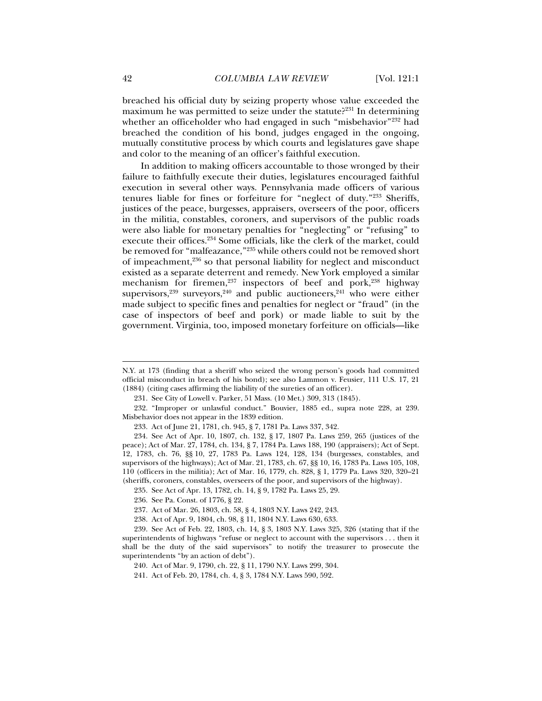breached his official duty by seizing property whose value exceeded the maximum he was permitted to seize under the statute?<sup>231</sup> In determining whether an officeholder who had engaged in such "misbehavior"<sup>232</sup> had breached the condition of his bond, judges engaged in the ongoing, mutually constitutive process by which courts and legislatures gave shape and color to the meaning of an officer's faithful execution.

In addition to making officers accountable to those wronged by their failure to faithfully execute their duties, legislatures encouraged faithful execution in several other ways. Pennsylvania made officers of various tenures liable for fines or forfeiture for "neglect of duty."233 Sheriffs, justices of the peace, burgesses, appraisers, overseers of the poor, officers in the militia, constables, coroners, and supervisors of the public roads were also liable for monetary penalties for "neglecting" or "refusing" to execute their offices.234 Some officials, like the clerk of the market, could be removed for "malfeazance,"235 while others could not be removed short of impeachment,<sup>236</sup> so that personal liability for neglect and misconduct existed as a separate deterrent and remedy. New York employed a similar mechanism for firemen,<sup>237</sup> inspectors of beef and pork,<sup>238</sup> highway supervisors,  $239$  surveyors,  $240$  and public auctioneers,  $241$  who were either made subject to specific fines and penalties for neglect or "fraud" (in the case of inspectors of beef and pork) or made liable to suit by the government. Virginia, too, imposed monetary forfeiture on officials—like

N.Y. at 173 (finding that a sheriff who seized the wrong person's goods had committed official misconduct in breach of his bond); see also Lammon v. Feusier, 111 U.S. 17, 21 (1884) (citing cases affirming the liability of the sureties of an officer).

 <sup>231.</sup> See City of Lowell v. Parker, 51 Mass. (10 Met.) 309, 313 (1845).

 <sup>232. &</sup>quot;Improper or unlawful conduct." Bouvier, 1885 ed., supra note 228, at 239. Misbehavior does not appear in the 1839 edition.

 <sup>233.</sup> Act of June 21, 1781, ch. 945, § 7, 1781 Pa. Laws 337, 342.

 <sup>234.</sup> See Act of Apr. 10, 1807, ch. 132, § 17, 1807 Pa. Laws 259, 265 (justices of the peace); Act of Mar. 27, 1784, ch. 134, § 7, 1784 Pa. Laws 188, 190 (appraisers); Act of Sept. 12, 1783, ch. 76, §§ 10, 27, 1783 Pa. Laws 124, 128, 134 (burgesses, constables, and supervisors of the highways); Act of Mar. 21, 1783, ch. 67, §§ 10, 16, 1783 Pa. Laws 105, 108, 110 (officers in the militia); Act of Mar. 16, 1779, ch. 828, § 1, 1779 Pa. Laws 320, 320–21 (sheriffs, coroners, constables, overseers of the poor, and supervisors of the highway).

 <sup>235.</sup> See Act of Apr. 13, 1782, ch. 14, § 9, 1782 Pa. Laws 25, 29.

 <sup>236.</sup> See Pa. Const. of 1776, § 22.

 <sup>237.</sup> Act of Mar. 26, 1803, ch. 58, § 4, 1803 N.Y. Laws 242, 243.

 <sup>238.</sup> Act of Apr. 9, 1804, ch. 98, § 11, 1804 N.Y. Laws 630, 633.

 <sup>239.</sup> See Act of Feb. 22, 1803, ch. 14, § 3, 1803 N.Y. Laws 325, 326 (stating that if the superintendents of highways "refuse or neglect to account with the supervisors . . . then it shall be the duty of the said supervisors" to notify the treasurer to prosecute the superintendents "by an action of debt").

 <sup>240.</sup> Act of Mar. 9, 1790, ch. 22, § 11, 1790 N.Y. Laws 299, 304.

 <sup>241.</sup> Act of Feb. 20, 1784, ch. 4, § 3, 1784 N.Y. Laws 590, 592.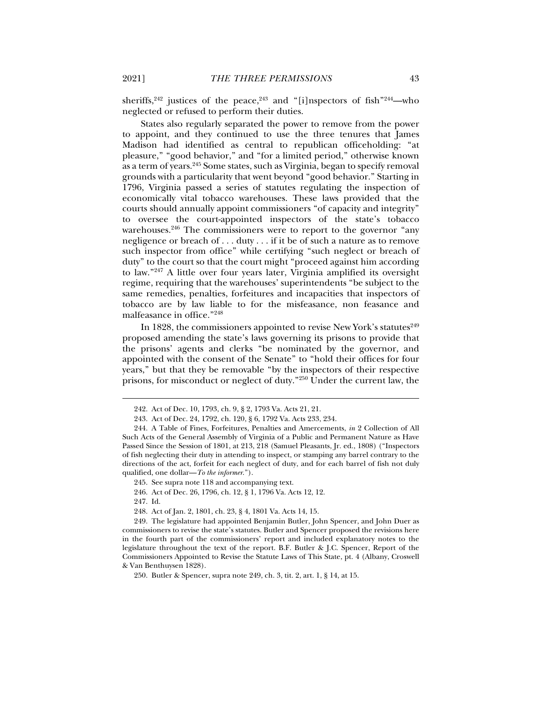sheriffs,  $242$  justices of the peace,  $243$  and "[i]nspectors of fish  $244$ —who neglected or refused to perform their duties.

States also regularly separated the power to remove from the power to appoint, and they continued to use the three tenures that James Madison had identified as central to republican officeholding: "at pleasure," "good behavior," and "for a limited period," otherwise known as a term of years.245 Some states, such as Virginia, began to specify removal grounds with a particularity that went beyond "good behavior." Starting in 1796, Virginia passed a series of statutes regulating the inspection of economically vital tobacco warehouses. These laws provided that the courts should annually appoint commissioners "of capacity and integrity" to oversee the court-appointed inspectors of the state's tobacco warehouses.<sup>246</sup> The commissioners were to report to the governor "any negligence or breach of . . . duty . . . if it be of such a nature as to remove such inspector from office" while certifying "such neglect or breach of duty" to the court so that the court might "proceed against him according to law."247 A little over four years later, Virginia amplified its oversight regime, requiring that the warehouses' superintendents "be subject to the same remedies, penalties, forfeitures and incapacities that inspectors of tobacco are by law liable to for the misfeasance, non feasance and malfeasance in office."248

In 1828, the commissioners appointed to revise New York's statutes $^{249}$ proposed amending the state's laws governing its prisons to provide that the prisons' agents and clerks "be nominated by the governor, and appointed with the consent of the Senate" to "hold their offices for four years," but that they be removable "by the inspectors of their respective prisons, for misconduct or neglect of duty."250 Under the current law, the

245. See supra note 118 and accompanying text.

246. Act of Dec. 26, 1796, ch. 12, § 1, 1796 Va. Acts 12, 12.

247. Id.

 <sup>242.</sup> Act of Dec. 10, 1793, ch. 9, § 2, 1793 Va. Acts 21, 21.

 <sup>243.</sup> Act of Dec. 24, 1792, ch. 120, § 6, 1792 Va. Acts 233, 234.

 <sup>244.</sup> A Table of Fines, Forfeitures, Penalties and Amercements, *in* 2 Collection of All Such Acts of the General Assembly of Virginia of a Public and Permanent Nature as Have Passed Since the Session of 1801, at 213, 218 (Samuel Pleasants, Jr. ed., 1808) ("Inspectors of fish neglecting their duty in attending to inspect, or stamping any barrel contrary to the directions of the act, forfeit for each neglect of duty, and for each barrel of fish not duly qualified, one dollar—*To the informer*.").

 <sup>248.</sup> Act of Jan. 2, 1801, ch. 23, § 4, 1801 Va. Acts 14, 15.

 <sup>249.</sup> The legislature had appointed Benjamin Butler, John Spencer, and John Duer as commissioners to revise the state's statutes. Butler and Spencer proposed the revisions here in the fourth part of the commissioners' report and included explanatory notes to the legislature throughout the text of the report. B.F. Butler & J.C. Spencer, Report of the Commissioners Appointed to Revise the Statute Laws of This State, pt. 4 (Albany, Croswell & Van Benthuysen 1828).

 <sup>250.</sup> Butler & Spencer, supra note 249, ch. 3, tit. 2, art. 1, § 14, at 15.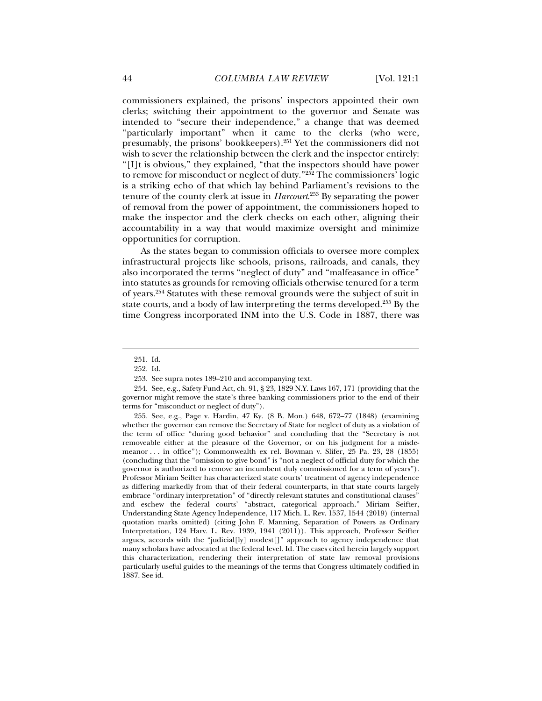commissioners explained, the prisons' inspectors appointed their own clerks; switching their appointment to the governor and Senate was intended to "secure their independence," a change that was deemed "particularly important" when it came to the clerks (who were, presumably, the prisons' bookkeepers).251 Yet the commissioners did not wish to sever the relationship between the clerk and the inspector entirely: "[I]t is obvious," they explained, "that the inspectors should have power to remove for misconduct or neglect of duty.<sup>"252</sup> The commissioners<sup>3</sup> logic is a striking echo of that which lay behind Parliament's revisions to the tenure of the county clerk at issue in *Harcourt*. <sup>253</sup> By separating the power of removal from the power of appointment, the commissioners hoped to make the inspector and the clerk checks on each other, aligning their accountability in a way that would maximize oversight and minimize opportunities for corruption.

As the states began to commission officials to oversee more complex infrastructural projects like schools, prisons, railroads, and canals, they also incorporated the terms "neglect of duty" and "malfeasance in office" into statutes as grounds for removing officials otherwise tenured for a term of years.254 Statutes with these removal grounds were the subject of suit in state courts, and a body of law interpreting the terms developed.<sup>255</sup> By the time Congress incorporated INM into the U.S. Code in 1887, there was

j

 255. See, e.g., Page v. Hardin, 47 Ky. (8 B. Mon.) 648, 672–77 (1848) (examining whether the governor can remove the Secretary of State for neglect of duty as a violation of the term of office "during good behavior" and concluding that the "Secretary is not removeable either at the pleasure of the Governor, or on his judgment for a misdemeanor . . . in office"); Commonwealth ex rel. Bowman v. Slifer, 25 Pa. 23, 28 (1855) (concluding that the "omission to give bond" is "not a neglect of official duty for which the governor is authorized to remove an incumbent duly commissioned for a term of years"). Professor Miriam Seifter has characterized state courts' treatment of agency independence as differing markedly from that of their federal counterparts, in that state courts largely embrace "ordinary interpretation" of "directly relevant statutes and constitutional clauses" and eschew the federal courts' "abstract, categorical approach." Miriam Seifter, Understanding State Agency Independence, 117 Mich. L. Rev. 1537, 1544 (2019) (internal quotation marks omitted) (citing John F. Manning, Separation of Powers as Ordinary Interpretation, 124 Harv. L. Rev. 1939, 1941 (2011)). This approach, Professor Seifter argues, accords with the "judicial[ly] modest[]" approach to agency independence that many scholars have advocated at the federal level. Id. The cases cited herein largely support this characterization, rendering their interpretation of state law removal provisions particularly useful guides to the meanings of the terms that Congress ultimately codified in 1887. See id.

 <sup>251.</sup> Id.

 <sup>252.</sup> Id.

 <sup>253.</sup> See supra notes 189–210 and accompanying text.

 <sup>254.</sup> See, e.g., Safety Fund Act, ch. 91, § 23, 1829 N.Y. Laws 167, 171 (providing that the governor might remove the state's three banking commissioners prior to the end of their terms for "misconduct or neglect of duty").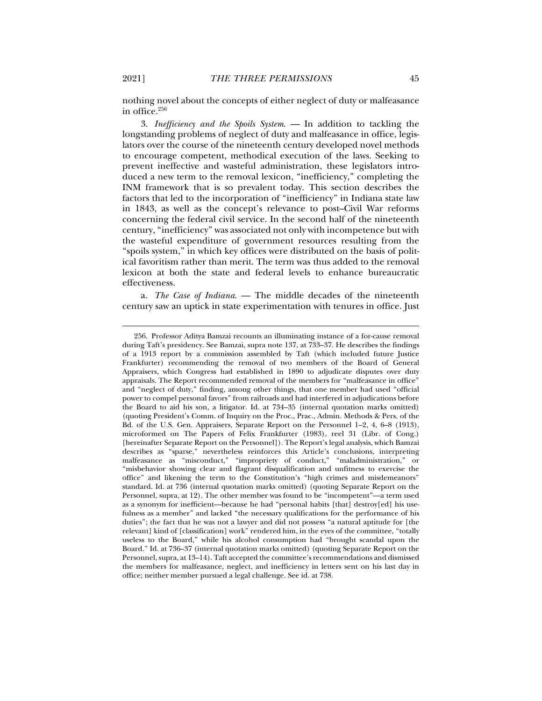nothing novel about the concepts of either neglect of duty or malfeasance in office. $256$ 

3. *Inefficiency and the Spoils System*. — In addition to tackling the longstanding problems of neglect of duty and malfeasance in office, legislators over the course of the nineteenth century developed novel methods to encourage competent, methodical execution of the laws. Seeking to prevent ineffective and wasteful administration, these legislators introduced a new term to the removal lexicon, "inefficiency," completing the INM framework that is so prevalent today. This section describes the factors that led to the incorporation of "inefficiency" in Indiana state law in 1843, as well as the concept's relevance to post–Civil War reforms concerning the federal civil service. In the second half of the nineteenth century, "inefficiency" was associated not only with incompetence but with the wasteful expenditure of government resources resulting from the "spoils system," in which key offices were distributed on the basis of political favoritism rather than merit. The term was thus added to the removal lexicon at both the state and federal levels to enhance bureaucratic effectiveness.

a. *The Case of Indiana*. — The middle decades of the nineteenth century saw an uptick in state experimentation with tenures in office. Just

 <sup>256.</sup> Professor Aditya Bamzai recounts an illuminating instance of a for-cause removal during Taft's presidency. See Bamzai, supra note 137, at 733–37. He describes the findings of a 1913 report by a commission assembled by Taft (which included future Justice Frankfurter) recommending the removal of two members of the Board of General Appraisers, which Congress had established in 1890 to adjudicate disputes over duty appraisals. The Report recommended removal of the members for "malfeasance in office" and "neglect of duty," finding, among other things, that one member had used "official power to compel personal favors" from railroads and had interfered in adjudications before the Board to aid his son, a litigator. Id. at 734–35 (internal quotation marks omitted) (quoting President's Comm. of Inquiry on the Proc., Prac., Admin. Methods & Pers. of the Bd. of the U.S. Gen. Appraisers, Separate Report on the Personnel 1–2, 4, 6–8 (1913), microformed on The Papers of Felix Frankfurter (1983), reel 31 (Libr. of Cong.) [hereinafter Separate Report on the Personnel]). The Report's legal analysis, which Bamzai describes as "sparse," nevertheless reinforces this Article's conclusions, interpreting malfeasance as "misconduct," "impropriety of conduct," "maladministration," or "misbehavior showing clear and flagrant disqualification and unfitness to exercise the office" and likening the term to the Constitution's "high crimes and misdemeanors" standard. Id. at 736 (internal quotation marks omitted) (quoting Separate Report on the Personnel, supra, at 12). The other member was found to be "incompetent"—a term used as a synonym for inefficient—because he had "personal habits [that] destroy[ed] his usefulness as a member" and lacked "the necessary qualifications for the performance of his duties"; the fact that he was not a lawyer and did not possess "a natural aptitude for [the relevant] kind of [classification] work" rendered him, in the eyes of the committee, "totally useless to the Board," while his alcohol consumption had "brought scandal upon the Board." Id. at 736–37 (internal quotation marks omitted) (quoting Separate Report on the Personnel, supra, at 13–14). Taft accepted the committee's recommendations and dismissed the members for malfeasance, neglect, and inefficiency in letters sent on his last day in office; neither member pursued a legal challenge. See id. at 738.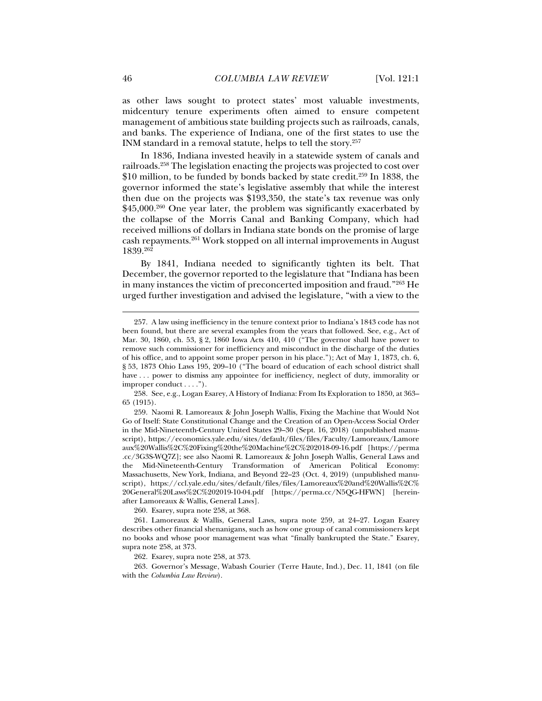as other laws sought to protect states' most valuable investments, midcentury tenure experiments often aimed to ensure competent management of ambitious state building projects such as railroads, canals, and banks. The experience of Indiana, one of the first states to use the INM standard in a removal statute, helps to tell the story.257

In 1836, Indiana invested heavily in a statewide system of canals and railroads.258 The legislation enacting the projects was projected to cost over \$10 million, to be funded by bonds backed by state credit.<sup>259</sup> In 1838, the governor informed the state's legislative assembly that while the interest then due on the projects was \$193,350, the state's tax revenue was only  $$45,000.<sup>260</sup>$  One year later, the problem was significantly exacerbated by the collapse of the Morris Canal and Banking Company, which had received millions of dollars in Indiana state bonds on the promise of large cash repayments.261 Work stopped on all internal improvements in August  $1839.^{262}$ 

By 1841, Indiana needed to significantly tighten its belt. That December, the governor reported to the legislature that "Indiana has been in many instances the victim of preconcerted imposition and fraud."263 He urged further investigation and advised the legislature, "with a view to the

260. Esarey, supra note 258, at 368.

262. Esarey, supra note 258, at 373.

 263. Governor's Message, Wabash Courier (Terre Haute, Ind.), Dec. 11, 1841 (on file with the *Columbia Law Review*).

 <sup>257.</sup> A law using inefficiency in the tenure context prior to Indiana's 1843 code has not been found, but there are several examples from the years that followed. See, e.g., Act of Mar. 30, 1860, ch. 53, § 2, 1860 Iowa Acts 410, 410 ("The governor shall have power to remove such commissioner for inefficiency and misconduct in the discharge of the duties of his office, and to appoint some proper person in his place."); Act of May 1, 1873, ch. 6, § 53, 1873 Ohio Laws 195, 209–10 ("The board of education of each school district shall have ... power to dismiss any appointee for inefficiency, neglect of duty, immorality or improper conduct . . . .").

 <sup>258.</sup> See, e.g., Logan Esarey, A History of Indiana: From Its Exploration to 1850, at 363– 65 (1915).

 <sup>259.</sup> Naomi R. Lamoreaux & John Joseph Wallis, Fixing the Machine that Would Not Go of Itself: State Constitutional Change and the Creation of an Open-Access Social Order in the Mid-Nineteenth-Century United States 29–30 (Sept. 16, 2018) (unpublished manuscript), https://economics.yale.edu/sites/default/files/files/Faculty/Lamoreaux/Lamore aux%20Wallis%2C%20Fixing%20the%20Machine%2C%202018-09-16.pdf [https://perma .cc/3G3S-WQ7Z]; see also Naomi R. Lamoreaux & John Joseph Wallis, General Laws and the Mid-Nineteenth-Century Transformation of American Political Economy: Massachusetts, New York, Indiana, and Beyond 22–23 (Oct. 4, 2019) (unpublished manuscript), https://ccl.yale.edu/sites/default/files/files/Lamoreaux%20and%20Wallis%2C% 20General%20Laws%2C%202019-10-04.pdf [https://perma.cc/N5QG-HFWN] [hereinafter Lamoreaux & Wallis, General Laws].

 <sup>261.</sup> Lamoreaux & Wallis, General Laws, supra note 259, at 24–27. Logan Esarey describes other financial shenanigans, such as how one group of canal commissioners kept no books and whose poor management was what "finally bankrupted the State." Esarey, supra note 258, at 373.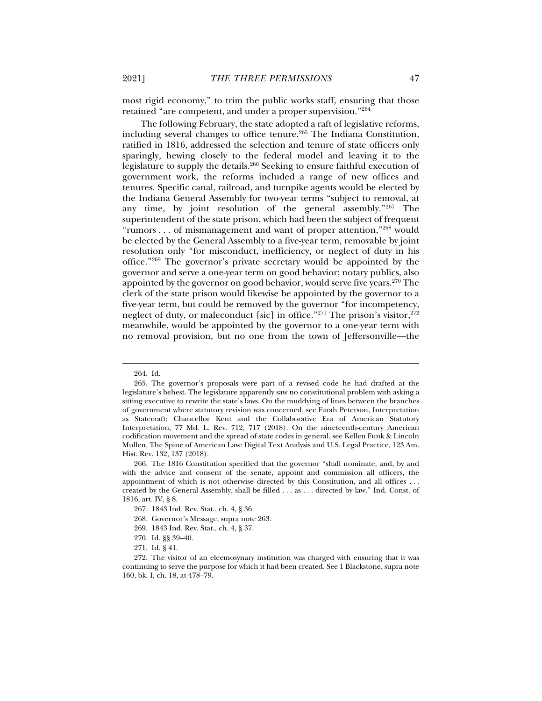most rigid economy," to trim the public works staff, ensuring that those retained "are competent, and under a proper supervision."264

The following February, the state adopted a raft of legislative reforms, including several changes to office tenure.265 The Indiana Constitution, ratified in 1816, addressed the selection and tenure of state officers only sparingly, hewing closely to the federal model and leaving it to the legislature to supply the details.266 Seeking to ensure faithful execution of government work, the reforms included a range of new offices and tenures. Specific canal, railroad, and turnpike agents would be elected by the Indiana General Assembly for two-year terms "subject to removal, at any time, by joint resolution of the general assembly."267 The superintendent of the state prison, which had been the subject of frequent "rumors ... of mismanagement and want of proper attention,"<sup>268</sup> would be elected by the General Assembly to a five-year term, removable by joint resolution only "for misconduct, inefficiency, or neglect of duty in his office."269 The governor's private secretary would be appointed by the governor and serve a one-year term on good behavior; notary publics, also appointed by the governor on good behavior, would serve five years.270 The clerk of the state prison would likewise be appointed by the governor to a five-year term, but could be removed by the governor "for incompetency, neglect of duty, or maleconduct [sic] in office."<sup>271</sup> The prison's visitor,  $272$ meanwhile, would be appointed by the governor to a one-year term with no removal provision, but no one from the town of Jeffersonville—the

- 269. 1843 Ind. Rev. Stat., ch. 4, § 37.
- 270. Id. §§ 39–40.

 <sup>264.</sup> Id.

 <sup>265.</sup> The governor's proposals were part of a revised code he had drafted at the legislature's behest. The legislature apparently saw no constitutional problem with asking a sitting executive to rewrite the state's laws. On the muddying of lines between the branches of government where statutory revision was concerned, see Farah Peterson, Interpretation as Statecraft: Chancellor Kent and the Collaborative Era of American Statutory Interpretation, 77 Md. L. Rev. 712, 717 (2018). On the nineteenth-century American codification movement and the spread of state codes in general, see Kellen Funk & Lincoln Mullen, The Spine of American Law: Digital Text Analysis and U.S. Legal Practice, 123 Am. Hist. Rev. 132, 137 (2018).

 <sup>266.</sup> The 1816 Constitution specified that the governor "shall nominate, and, by and with the advice and consent of the senate, appoint and commission all officers, the appointment of which is not otherwise directed by this Constitution, and all offices . . . created by the General Assembly, shall be filled . . . as . . . directed by law." Ind. Const. of 1816, art. IV, § 8.

 <sup>267. 1843</sup> Ind. Rev. Stat., ch. 4, § 36.

 <sup>268.</sup> Governor's Message, supra note 263.

 <sup>271.</sup> Id. § 41.

 <sup>272.</sup> The visitor of an eleemosynary institution was charged with ensuring that it was continuing to serve the purpose for which it had been created. See 1 Blackstone, supra note 160, bk. I, ch. 18, at 478–79.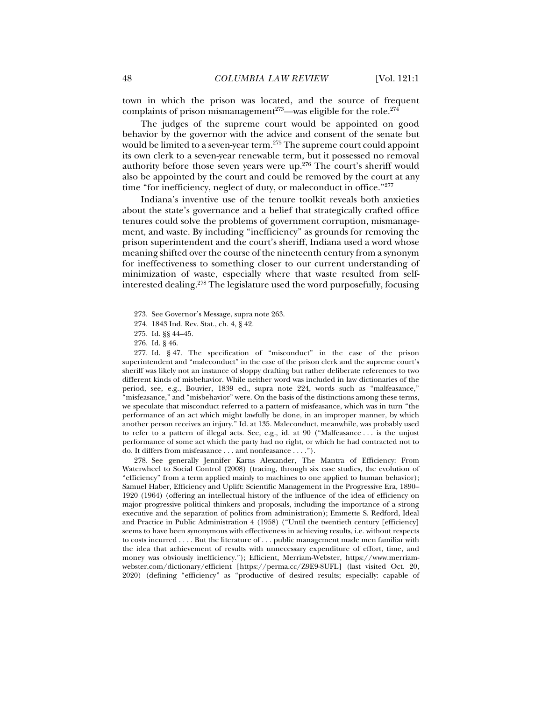town in which the prison was located, and the source of frequent complaints of prison mismanagement<sup>273</sup>—was eligible for the role.<sup>274</sup>

The judges of the supreme court would be appointed on good behavior by the governor with the advice and consent of the senate but would be limited to a seven-year term.<sup>275</sup> The supreme court could appoint its own clerk to a seven-year renewable term, but it possessed no removal authority before those seven years were up.276 The court's sheriff would also be appointed by the court and could be removed by the court at any time "for inefficiency, neglect of duty, or maleconduct in office."<sup>277</sup>

Indiana's inventive use of the tenure toolkit reveals both anxieties about the state's governance and a belief that strategically crafted office tenures could solve the problems of government corruption, mismanagement, and waste. By including "inefficiency" as grounds for removing the prison superintendent and the court's sheriff, Indiana used a word whose meaning shifted over the course of the nineteenth century from a synonym for ineffectiveness to something closer to our current understanding of minimization of waste, especially where that waste resulted from selfinterested dealing.278 The legislature used the word purposefully, focusing

j

 277. Id. § 47. The specification of "misconduct" in the case of the prison superintendent and "maleconduct" in the case of the prison clerk and the supreme court's sheriff was likely not an instance of sloppy drafting but rather deliberate references to two different kinds of misbehavior. While neither word was included in law dictionaries of the period, see, e.g., Bouvier, 1839 ed., supra note 224, words such as "malfeasance," "misfeasance," and "misbehavior" were. On the basis of the distinctions among these terms, we speculate that misconduct referred to a pattern of misfeasance, which was in turn "the performance of an act which might lawfully be done, in an improper manner, by which another person receives an injury." Id. at 135. Maleconduct, meanwhile, was probably used to refer to a pattern of illegal acts. See, e.g., id. at 90 ("Malfeasance . . . is the unjust performance of some act which the party had no right, or which he had contracted not to do. It differs from misfeasance . . . and nonfeasance . . . .").

 278. See generally Jennifer Karns Alexander, The Mantra of Efficiency: From Waterwheel to Social Control (2008) (tracing, through six case studies, the evolution of "efficiency" from a term applied mainly to machines to one applied to human behavior); Samuel Haber, Efficiency and Uplift: Scientific Management in the Progressive Era, 1890– 1920 (1964) (offering an intellectual history of the influence of the idea of efficiency on major progressive political thinkers and proposals, including the importance of a strong executive and the separation of politics from administration); Emmette S. Redford, Ideal and Practice in Public Administration 4 (1958) ("Until the twentieth century [efficiency] seems to have been synonymous with effectiveness in achieving results, i.e. without respects to costs incurred . . . . But the literature of . . . public management made men familiar with the idea that achievement of results with unnecessary expenditure of effort, time, and money was obviously inefficiency."); Efficient, Merriam-Webster, https://www.merriamwebster.com/dictionary/efficient [https://perma.cc/Z9E9-8UFL] (last visited Oct. 20, 2020) (defining "efficiency" as "productive of desired results; especially: capable of

 <sup>273.</sup> See Governor's Message, supra note 263.

 <sup>274. 1843</sup> Ind. Rev. Stat., ch. 4, § 42.

 <sup>275.</sup> Id. §§ 44–45.

 <sup>276.</sup> Id. § 46.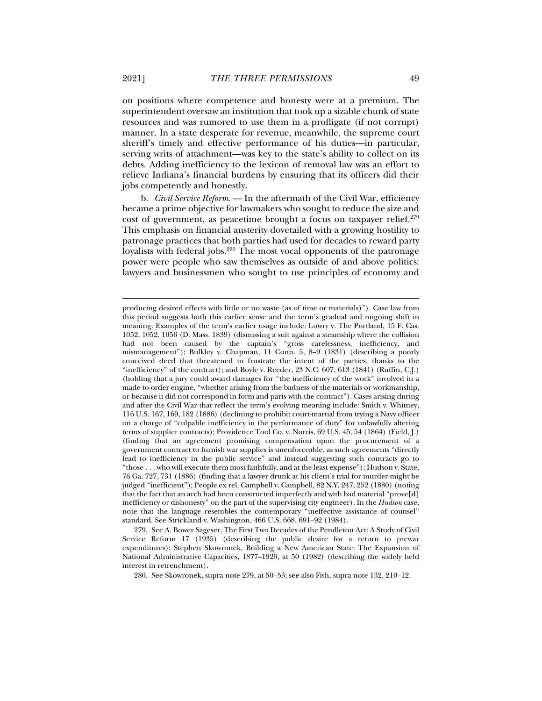on positions where competence and honesty were at a premium. The superintendent oversaw an institution that took up a sizable chunk of state resources and was rumored to use them in a profligate (if not corrupt) manner. In a state desperate for revenue, meanwhile, the supreme court sheriff's timely and effective performance of his duties—in particular, serving writs of attachment—was key to the state's ability to collect on its debts. Adding inefficiency to the lexicon of removal law was an effort to relieve Indiana's financial burdens by ensuring that its officers did their jobs competently and honestly.

b. *Civil Service Reform*. — In the aftermath of the Civil War, efficiency became a prime objective for lawmakers who sought to reduce the size and cost of government, as peacetime brought a focus on taxpayer relief.<sup>279</sup> This emphasis on financial austerity dovetailed with a growing hostility to patronage practices that both parties had used for decades to reward party loyalists with federal jobs.<sup>280</sup> The most vocal opponents of the patronage power were people who saw themselves as outside of and above politics: lawyers and businessmen who sought to use principles of economy and

280. See Skowronek, supra note 279, at 50–53; see also Fish, supra note 132, 210–12.

producing desired effects with little or no waste (as of time or materials)"). Case law from this period suggests both this earlier sense and the term's gradual and ongoing shift in meaning. Examples of the term's earlier usage include: Lowry v. The Portland, 15 F. Cas. 1052, 1052, 1056 (D. Mass. 1839) (dismissing a suit against a steamship where the collision had not been caused by the captain's "gross carelessness, inefficiency, and mismanagement"); Bulkley v. Chapman, 11 Conn. 5, 8–9 (1831) (describing a poorly conceived deed that threatened to frustrate the intent of the parties, thanks to the "inefficiency" of the contract); and Boyle v. Reeder, 23 N.C. 607, 613 (1841) (Ruffin, C.J.) (holding that a jury could award damages for "the inefficiency of the work" involved in a made-to-order engine, "whether arising from the badness of the materials or workmanship, or because it did not correspond in form and parts with the contract"). Cases arising during and after the Civil War that reflect the term's evolving meaning include: Smith v. Whitney, 116 U.S. 167, 169, 182 (1886) (declining to prohibit court-martial from trying a Navy officer on a charge of "culpable inefficiency in the performance of duty" for unlawfully altering terms of supplier contracts); Providence Tool Co. v. Norris, 69 U.S. 45, 54 (1864) (Field, J.) (finding that an agreement promising compensation upon the procurement of a government contract to furnish war supplies is unenforceable, as such agreements "directly lead to inefficiency in the public service" and instead suggesting such contracts go to "those . . . who will execute them most faithfully, and at the least expense"); Hudson v. State, 76 Ga. 727, 731 (1886) (finding that a lawyer drunk at his client's trial for murder might be judged "inefficient"); People ex rel. Campbell v. Campbell, 82 N.Y. 247, 252 (1880) (noting that the fact that an arch had been constructed imperfectly and with bad material "prove[d] inefficiency or dishonesty" on the part of the supervising city engineer). In the *Hudson* case, note that the language resembles the contemporary "ineffective assistance of counsel" standard. See Strickland v. Washington, 466 U.S. 668, 691–92 (1984).

 <sup>279.</sup> See A. Bower Sageser, The First Two Decades of the Pendleton Act: A Study of Civil Service Reform 17 (1935) (describing the public desire for a return to prewar expenditures); Stephen Skowronek, Building a New American State: The Expansion of National Administrative Capacities, 1877–1920, at 50 (1982) (describing the widely held interest in retrenchment).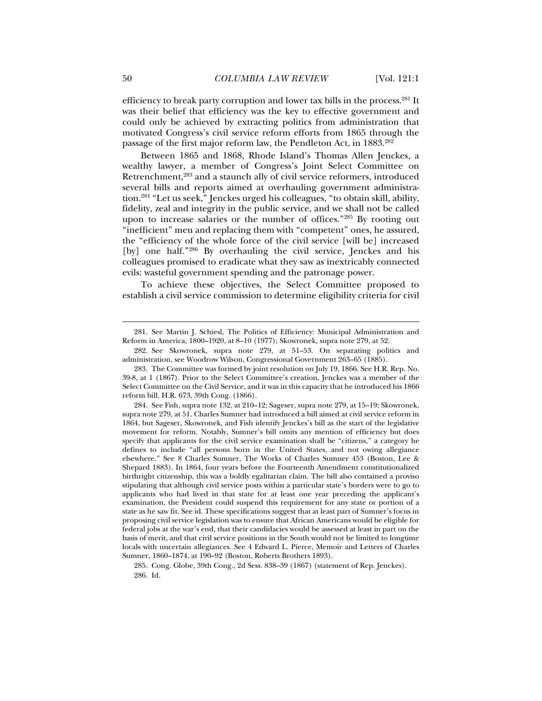efficiency to break party corruption and lower tax bills in the process.281 It was their belief that efficiency was the key to effective government and could only be achieved by extracting politics from administration that motivated Congress's civil service reform efforts from 1865 through the passage of the first major reform law, the Pendleton Act, in 1883.<sup>282</sup>

Between 1865 and 1868, Rhode Island's Thomas Allen Jenckes, a wealthy lawyer, a member of Congress's Joint Select Committee on Retrenchment,<sup>283</sup> and a staunch ally of civil service reformers, introduced several bills and reports aimed at overhauling government administration.284 "Let us seek," Jenckes urged his colleagues, "to obtain skill, ability, fidelity, zeal and integrity in the public service, and we shall not be called upon to increase salaries or the number of offices."285 By rooting out "inefficient" men and replacing them with "competent" ones, he assured, the "efficiency of the whole force of the civil service [will be] increased [by] one half."<sup>286</sup> By overhauling the civil service, Jenckes and his colleagues promised to eradicate what they saw as inextricably connected evils: wasteful government spending and the patronage power.

To achieve these objectives, the Select Committee proposed to establish a civil service commission to determine eligibility criteria for civil

 <sup>281.</sup> See Martin J. Schiesl, The Politics of Efficiency: Municipal Administration and Reform in America, 1800–1920, at 8–10 (1977); Skowronek, supra note 279, at 52.

 <sup>282.</sup> See Skowronek, supra note 279, at 51–53. On separating politics and administration, see Woodrow Wilson, Congressional Government 263–65 (1885).

 <sup>283.</sup> The Committee was formed by joint resolution on July 19, 1866. See H.R. Rep. No. 39-8, at 1 (1867). Prior to the Select Committee's creation, Jenckes was a member of the Select Committee on the Civil Service, and it was in this capacity that he introduced his 1866 reform bill. H.R. 673, 39th Cong. (1866).

 <sup>284.</sup> See Fish, supra note 132, at 210–12; Sageser, supra note 279, at 15–19; Skowronek, supra note 279, at 51. Charles Sumner had introduced a bill aimed at civil service reform in 1864, but Sageser, Skowronek, and Fish identify Jenckes's bill as the start of the legislative movement for reform. Notably, Sumner's bill omits any mention of efficiency but does specify that applicants for the civil service examination shall be "citizens," a category he defines to include "all persons born in the United States, and not owing allegiance elsewhere." See 8 Charles Sumner, The Works of Charles Sumner 453 (Boston, Lee & Shepard 1883). In 1864, four years before the Fourteenth Amendment constitutionalized birthright citizenship, this was a boldly egalitarian claim. The bill also contained a proviso stipulating that although civil service posts within a particular state's borders were to go to applicants who had lived in that state for at least one year preceding the applicant's examination, the President could suspend this requirement for any state or portion of a state as he saw fit. See id. These specifications suggest that at least part of Sumner's focus in proposing civil service legislation was to ensure that African Americans would be eligible for federal jobs at the war's end, that their candidacies would be assessed at least in part on the basis of merit, and that civil service positions in the South would not be limited to longtime locals with uncertain allegiances. See 4 Edward L. Pierce, Memoir and Letters of Charles Sumner, 1860–1874, at 190–92 (Boston, Roberts Brothers 1893).

 <sup>285.</sup> Cong. Globe, 39th Cong., 2d Sess. 838–39 (1867) (statement of Rep. Jenckes). 286. Id.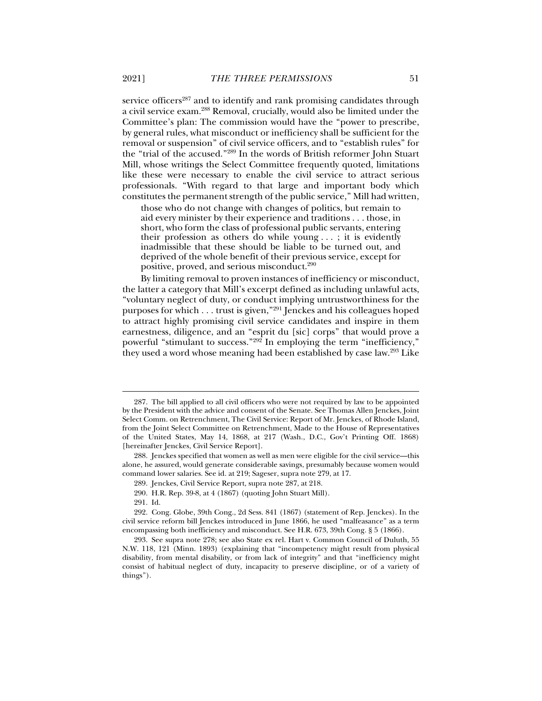service officers<sup>287</sup> and to identify and rank promising candidates through a civil service exam.288 Removal, crucially, would also be limited under the Committee's plan: The commission would have the "power to prescribe, by general rules, what misconduct or inefficiency shall be sufficient for the removal or suspension" of civil service officers, and to "establish rules" for the "trial of the accused."289 In the words of British reformer John Stuart Mill, whose writings the Select Committee frequently quoted, limitations like these were necessary to enable the civil service to attract serious professionals. "With regard to that large and important body which constitutes the permanent strength of the public service," Mill had written,

those who do not change with changes of politics, but remain to aid every minister by their experience and traditions . . . those, in short, who form the class of professional public servants, entering their profession as others do while young . . . ; it is evidently inadmissible that these should be liable to be turned out, and deprived of the whole benefit of their previous service, except for positive, proved, and serious misconduct.290

By limiting removal to proven instances of inefficiency or misconduct, the latter a category that Mill's excerpt defined as including unlawful acts, "voluntary neglect of duty, or conduct implying untrustworthiness for the purposes for which . . . trust is given,"291 Jenckes and his colleagues hoped to attract highly promising civil service candidates and inspire in them earnestness, diligence, and an "esprit du [sic] corps" that would prove a powerful "stimulant to success." $292$ <sup>2</sup> In employing the term "inefficiency," they used a word whose meaning had been established by case law.<sup>293</sup> Like

 <sup>287.</sup> The bill applied to all civil officers who were not required by law to be appointed by the President with the advice and consent of the Senate. See Thomas Allen Jenckes, Joint Select Comm. on Retrenchment, The Civil Service: Report of Mr. Jenckes, of Rhode Island, from the Joint Select Committee on Retrenchment, Made to the House of Representatives of the United States, May 14, 1868, at 217 (Wash., D.C., Gov't Printing Off. 1868) [hereinafter Jenckes, Civil Service Report].

 <sup>288.</sup> Jenckes specified that women as well as men were eligible for the civil service—this alone, he assured, would generate considerable savings, presumably because women would command lower salaries. See id. at 219; Sageser, supra note 279, at 17.

 <sup>289.</sup> Jenckes, Civil Service Report, supra note 287, at 218.

 <sup>290.</sup> H.R. Rep. 39-8, at 4 (1867) (quoting John Stuart Mill).

 <sup>291.</sup> Id.

 <sup>292.</sup> Cong. Globe, 39th Cong., 2d Sess. 841 (1867) (statement of Rep. Jenckes). In the civil service reform bill Jenckes introduced in June 1866, he used "malfeasance" as a term encompassing both inefficiency and misconduct. See H.R. 673, 39th Cong. § 5 (1866).

 <sup>293.</sup> See supra note 278; see also State ex rel. Hart v. Common Council of Duluth, 55 N.W. 118, 121 (Minn. 1893) (explaining that "incompetency might result from physical disability, from mental disability, or from lack of integrity" and that "inefficiency might consist of habitual neglect of duty, incapacity to preserve discipline, or of a variety of things").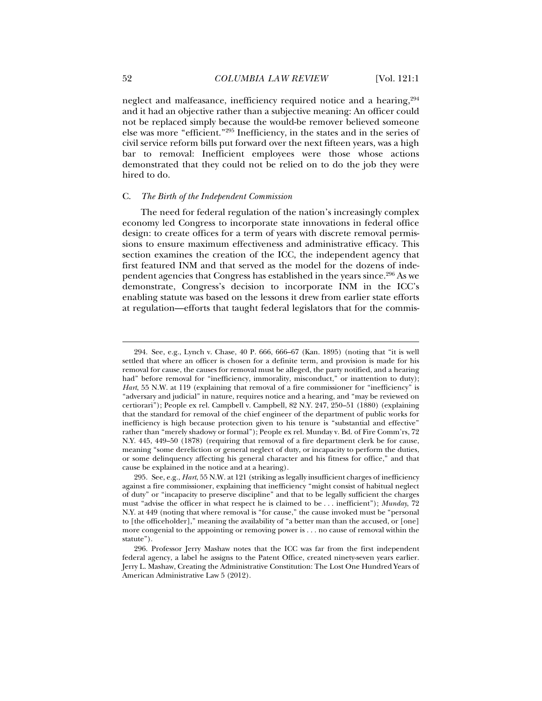neglect and malfeasance, inefficiency required notice and a hearing, <sup>294</sup> and it had an objective rather than a subjective meaning: An officer could not be replaced simply because the would-be remover believed someone else was more "efficient."295 Inefficiency, in the states and in the series of civil service reform bills put forward over the next fifteen years, was a high bar to removal: Inefficient employees were those whose actions demonstrated that they could not be relied on to do the job they were hired to do.

#### C. *The Birth of the Independent Commission*

The need for federal regulation of the nation's increasingly complex economy led Congress to incorporate state innovations in federal office design: to create offices for a term of years with discrete removal permissions to ensure maximum effectiveness and administrative efficacy. This section examines the creation of the ICC, the independent agency that first featured INM and that served as the model for the dozens of independent agencies that Congress has established in the years since.296 As we demonstrate, Congress's decision to incorporate INM in the ICC's enabling statute was based on the lessons it drew from earlier state efforts at regulation—efforts that taught federal legislators that for the commis-

 <sup>294.</sup> See, e.g., Lynch v. Chase, 40 P. 666, 666–67 (Kan. 1895) (noting that "it is well settled that where an officer is chosen for a definite term, and provision is made for his removal for cause, the causes for removal must be alleged, the party notified, and a hearing had" before removal for "inefficiency, immorality, misconduct," or inattention to duty); *Hart*, 55 N.W. at 119 (explaining that removal of a fire commissioner for "inefficiency" is "adversary and judicial" in nature, requires notice and a hearing, and "may be reviewed on certiorari"); People ex rel. Campbell v. Campbell, 82 N.Y. 247, 250–51 (1880) (explaining that the standard for removal of the chief engineer of the department of public works for inefficiency is high because protection given to his tenure is "substantial and effective" rather than "merely shadowy or formal"); People ex rel. Munday v. Bd. of Fire Comm'rs, 72 N.Y. 445, 449–50 (1878) (requiring that removal of a fire department clerk be for cause, meaning "some dereliction or general neglect of duty, or incapacity to perform the duties, or some delinquency affecting his general character and his fitness for office," and that cause be explained in the notice and at a hearing).

 <sup>295.</sup> See, e.g., *Hart*, 55 N.W. at 121 (striking as legally insufficient charges of inefficiency against a fire commissioner, explaining that inefficiency "might consist of habitual neglect of duty" or "incapacity to preserve discipline" and that to be legally sufficient the charges must "advise the officer in what respect he is claimed to be . . . inefficient"); *Munday*, 72 N.Y. at 449 (noting that where removal is "for cause," the cause invoked must be "personal to [the officeholder]," meaning the availability of "a better man than the accused, or [one] more congenial to the appointing or removing power is . . . no cause of removal within the statute").

 <sup>296.</sup> Professor Jerry Mashaw notes that the ICC was far from the first independent federal agency, a label he assigns to the Patent Office, created ninety-seven years earlier. Jerry L. Mashaw, Creating the Administrative Constitution: The Lost One Hundred Years of American Administrative Law 5 (2012).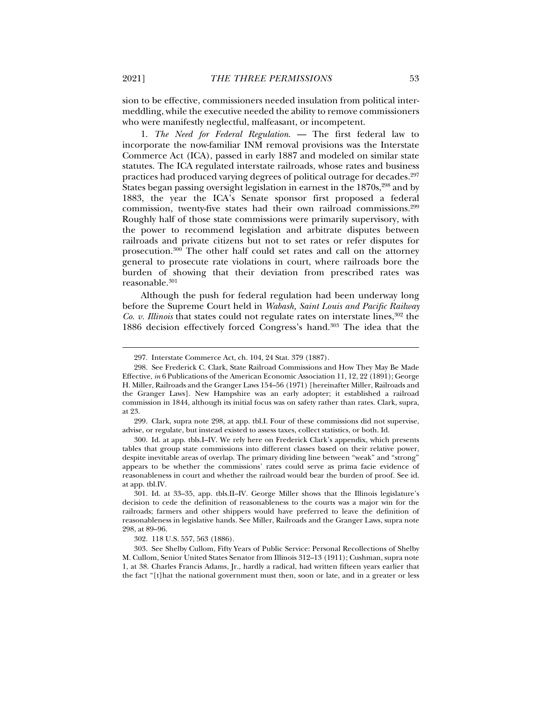sion to be effective, commissioners needed insulation from political intermeddling, while the executive needed the ability to remove commissioners who were manifestly neglectful, malfeasant, or incompetent.

1. *The Need for Federal Regulation*. — The first federal law to incorporate the now-familiar INM removal provisions was the Interstate Commerce Act (ICA), passed in early 1887 and modeled on similar state statutes. The ICA regulated interstate railroads, whose rates and business practices had produced varying degrees of political outrage for decades.297 States began passing oversight legislation in earnest in the  $1870s$ ,  $298$  and by 1883, the year the ICA's Senate sponsor first proposed a federal commission, twenty-five states had their own railroad commissions.<sup>299</sup> Roughly half of those state commissions were primarily supervisory, with the power to recommend legislation and arbitrate disputes between railroads and private citizens but not to set rates or refer disputes for prosecution.<sup>300</sup> The other half could set rates and call on the attorney general to prosecute rate violations in court, where railroads bore the burden of showing that their deviation from prescribed rates was reasonable.<sup>301</sup>

Although the push for federal regulation had been underway long before the Supreme Court held in *Wabash, Saint Louis and Pacific Railway Co. v. Illinois* that states could not regulate rates on interstate lines,<sup>302</sup> the 1886 decision effectively forced Congress's hand.303 The idea that the

 299. Clark, supra note 298, at app. tbl.I. Four of these commissions did not supervise, advise, or regulate, but instead existed to assess taxes, collect statistics, or both. Id.

 300. Id. at app. tbls.I–IV. We rely here on Frederick Clark's appendix, which presents tables that group state commissions into different classes based on their relative power, despite inevitable areas of overlap. The primary dividing line between "weak" and "strong" appears to be whether the commissions' rates could serve as prima facie evidence of reasonableness in court and whether the railroad would bear the burden of proof. See id. at app. tbl.IV.

 301. Id. at 33–35, app. tbls.II–IV. George Miller shows that the Illinois legislature's decision to cede the definition of reasonableness to the courts was a major win for the railroads; farmers and other shippers would have preferred to leave the definition of reasonableness in legislative hands. See Miller, Railroads and the Granger Laws, supra note 298, at 89–96.

302. 118 U.S. 557, 563 (1886).

 303. See Shelby Cullom, Fifty Years of Public Service: Personal Recollections of Shelby M. Cullom, Senior United States Senator from Illinois 312–13 (1911); Cushman, supra note 1, at 38. Charles Francis Adams, Jr., hardly a radical, had written fifteen years earlier that the fact "[t]hat the national government must then, soon or late, and in a greater or less

 <sup>297.</sup> Interstate Commerce Act, ch. 104, 24 Stat. 379 (1887).

 <sup>298.</sup> See Frederick C. Clark, State Railroad Commissions and How They May Be Made Effective, *in* 6 Publications of the American Economic Association 11, 12, 22 (1891); George H. Miller, Railroads and the Granger Laws 154–56 (1971) [hereinafter Miller, Railroads and the Granger Laws]. New Hampshire was an early adopter; it established a railroad commission in 1844, although its initial focus was on safety rather than rates. Clark, supra, at 23.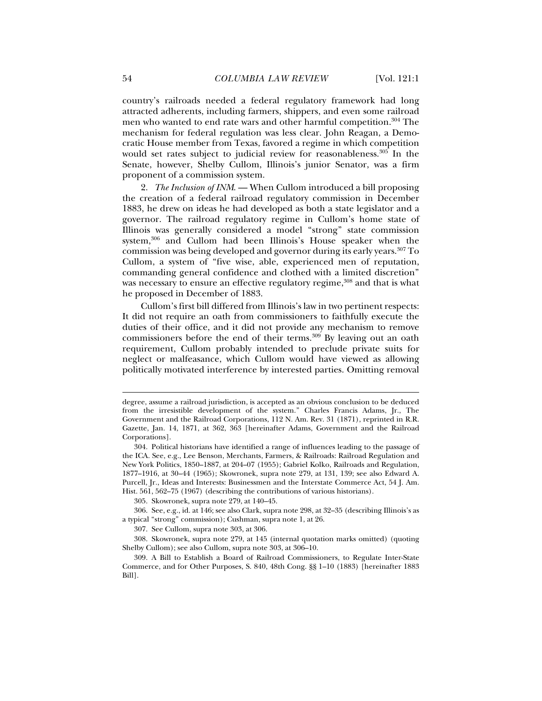country's railroads needed a federal regulatory framework had long attracted adherents, including farmers, shippers, and even some railroad men who wanted to end rate wars and other harmful competition.<sup>304</sup> The mechanism for federal regulation was less clear. John Reagan, a Democratic House member from Texas, favored a regime in which competition would set rates subject to judicial review for reasonableness.<sup>305</sup> In the Senate, however, Shelby Cullom, Illinois's junior Senator, was a firm proponent of a commission system.

2. *The Inclusion of INM*. — When Cullom introduced a bill proposing the creation of a federal railroad regulatory commission in December 1883, he drew on ideas he had developed as both a state legislator and a governor. The railroad regulatory regime in Cullom's home state of Illinois was generally considered a model "strong" state commission system,306 and Cullom had been Illinois's House speaker when the commission was being developed and governor during its early years.307 To Cullom, a system of "five wise, able, experienced men of reputation, commanding general confidence and clothed with a limited discretion" was necessary to ensure an effective regulatory regime,<sup>308</sup> and that is what he proposed in December of 1883.

Cullom's first bill differed from Illinois's law in two pertinent respects: It did not require an oath from commissioners to faithfully execute the duties of their office, and it did not provide any mechanism to remove commissioners before the end of their terms.309 By leaving out an oath requirement, Cullom probably intended to preclude private suits for neglect or malfeasance, which Cullom would have viewed as allowing politically motivated interference by interested parties. Omitting removal

degree, assume a railroad jurisdiction, is accepted as an obvious conclusion to be deduced from the irresistible development of the system." Charles Francis Adams, Jr., The Government and the Railroad Corporations, 112 N. Am. Rev. 31 (1871), reprinted in R.R. Gazette, Jan. 14, 1871, at 362, 363 [hereinafter Adams, Government and the Railroad Corporations].

 <sup>304.</sup> Political historians have identified a range of influences leading to the passage of the ICA. See, e.g., Lee Benson, Merchants, Farmers, & Railroads: Railroad Regulation and New York Politics, 1850–1887, at 204–07 (1955); Gabriel Kolko, Railroads and Regulation, 1877–1916, at 30–44 (1965); Skowronek, supra note 279, at 131, 139; see also Edward A. Purcell, Jr., Ideas and Interests: Businessmen and the Interstate Commerce Act, 54 J. Am. Hist. 561, 562–75 (1967) (describing the contributions of various historians).

 <sup>305.</sup> Skowronek, supra note 279, at 140–45.

 <sup>306.</sup> See, e.g., id. at 146; see also Clark, supra note 298, at 32–35 (describing Illinois's as a typical "strong" commission); Cushman, supra note 1, at 26.

 <sup>307.</sup> See Cullom, supra note 303, at 306.

 <sup>308.</sup> Skowronek, supra note 279, at 145 (internal quotation marks omitted) (quoting Shelby Cullom); see also Cullom, supra note 303, at 306–10.

 <sup>309.</sup> A Bill to Establish a Board of Railroad Commissioners, to Regulate Inter-State Commerce, and for Other Purposes, S. 840, 48th Cong. §§ 1–10 (1883) [hereinafter 1883 Bill].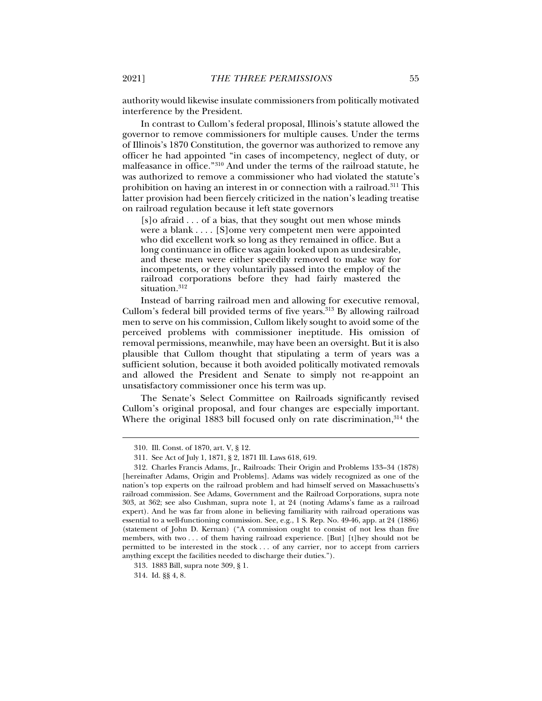authority would likewise insulate commissioners from politically motivated interference by the President.

In contrast to Cullom's federal proposal, Illinois's statute allowed the governor to remove commissioners for multiple causes. Under the terms of Illinois's 1870 Constitution, the governor was authorized to remove any officer he had appointed "in cases of incompetency, neglect of duty, or malfeasance in office."310 And under the terms of the railroad statute, he was authorized to remove a commissioner who had violated the statute's prohibition on having an interest in or connection with a railroad.311 This latter provision had been fiercely criticized in the nation's leading treatise on railroad regulation because it left state governors

[s]o afraid . . . of a bias, that they sought out men whose minds were a blank . . . . [S]ome very competent men were appointed who did excellent work so long as they remained in office. But a long continuance in office was again looked upon as undesirable, and these men were either speedily removed to make way for incompetents, or they voluntarily passed into the employ of the railroad corporations before they had fairly mastered the situation.<sup>312</sup>

Instead of barring railroad men and allowing for executive removal, Cullom's federal bill provided terms of five years.<sup>313</sup> By allowing railroad men to serve on his commission, Cullom likely sought to avoid some of the perceived problems with commissioner ineptitude. His omission of removal permissions, meanwhile, may have been an oversight. But it is also plausible that Cullom thought that stipulating a term of years was a sufficient solution, because it both avoided politically motivated removals and allowed the President and Senate to simply not re-appoint an unsatisfactory commissioner once his term was up.

The Senate's Select Committee on Railroads significantly revised Cullom's original proposal, and four changes are especially important. Where the original 1883 bill focused only on rate discrimination, 314 the

 <sup>310.</sup> Ill. Const. of 1870, art. V, § 12.

 <sup>311.</sup> See Act of July 1, 1871, § 2, 1871 Ill. Laws 618, 619.

 <sup>312.</sup> Charles Francis Adams, Jr., Railroads: Their Origin and Problems 133–34 (1878) [hereinafter Adams, Origin and Problems]. Adams was widely recognized as one of the nation's top experts on the railroad problem and had himself served on Massachusetts's railroad commission. See Adams, Government and the Railroad Corporations, supra note 303, at 362; see also Cushman, supra note 1, at 24 (noting Adams's fame as a railroad expert). And he was far from alone in believing familiarity with railroad operations was essential to a well-functioning commission. See, e.g., 1 S. Rep. No. 49-46, app. at 24 (1886) (statement of John D. Kernan) ("A commission ought to consist of not less than five members, with two . . . of them having railroad experience. [But] [t]hey should not be permitted to be interested in the stock . . . of any carrier, nor to accept from carriers anything except the facilities needed to discharge their duties.").

 <sup>313. 1883</sup> Bill, supra note 309, § 1.

 <sup>314.</sup> Id. §§ 4, 8.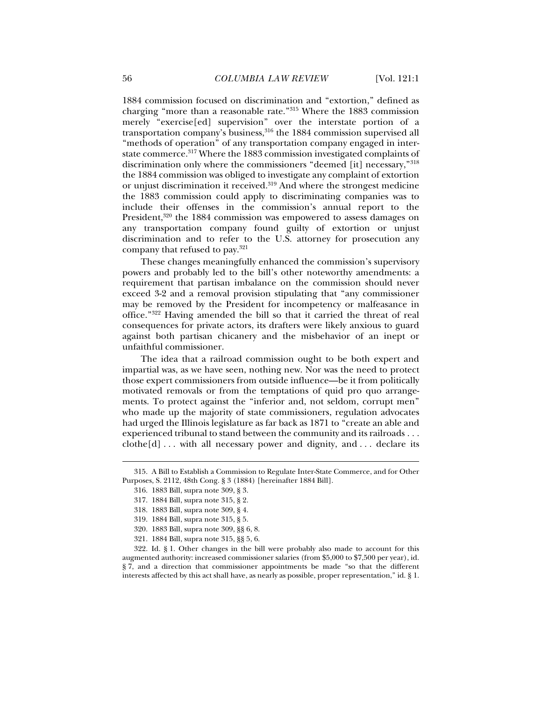1884 commission focused on discrimination and "extortion," defined as charging "more than a reasonable rate."315 Where the 1883 commission merely "exercise[ed] supervision" over the interstate portion of a transportation company's business,316 the 1884 commission supervised all "methods of operation" of any transportation company engaged in interstate commerce.317 Where the 1883 commission investigated complaints of discrimination only where the commissioners "deemed [it] necessary,"318 the 1884 commission was obliged to investigate any complaint of extortion or unjust discrimination it received.<sup>319</sup> And where the strongest medicine the 1883 commission could apply to discriminating companies was to include their offenses in the commission's annual report to the President,<sup>320</sup> the 1884 commission was empowered to assess damages on any transportation company found guilty of extortion or unjust discrimination and to refer to the U.S. attorney for prosecution any company that refused to pay.321

These changes meaningfully enhanced the commission's supervisory powers and probably led to the bill's other noteworthy amendments: a requirement that partisan imbalance on the commission should never exceed 3-2 and a removal provision stipulating that "any commissioner may be removed by the President for incompetency or malfeasance in office."322 Having amended the bill so that it carried the threat of real consequences for private actors, its drafters were likely anxious to guard against both partisan chicanery and the misbehavior of an inept or unfaithful commissioner.

The idea that a railroad commission ought to be both expert and impartial was, as we have seen, nothing new. Nor was the need to protect those expert commissioners from outside influence—be it from politically motivated removals or from the temptations of quid pro quo arrangements. To protect against the "inferior and, not seldom, corrupt men" who made up the majority of state commissioners, regulation advocates had urged the Illinois legislature as far back as 1871 to "create an able and experienced tribunal to stand between the community and its railroads . . .  $\text{clothe}[d] \ldots$  with all necessary power and dignity, and ... declare its

j

321. 1884 Bill, supra note 315, §§ 5, 6.

 322. Id. § 1. Other changes in the bill were probably also made to account for this augmented authority: increased commissioner salaries (from \$5,000 to \$7,500 per year), id. § 7, and a direction that commissioner appointments be made "so that the different interests affected by this act shall have, as nearly as possible, proper representation," id. § 1.

 <sup>315.</sup> A Bill to Establish a Commission to Regulate Inter-State Commerce, and for Other Purposes, S. 2112, 48th Cong. § 3 (1884) [hereinafter 1884 Bill].

 <sup>316. 1883</sup> Bill, supra note 309, § 3.

 <sup>317. 1884</sup> Bill, supra note 315, § 2.

 <sup>318. 1883</sup> Bill, supra note 309, § 4.

 <sup>319. 1884</sup> Bill, supra note 315, § 5.

 <sup>320. 1883</sup> Bill, supra note 309, §§ 6, 8.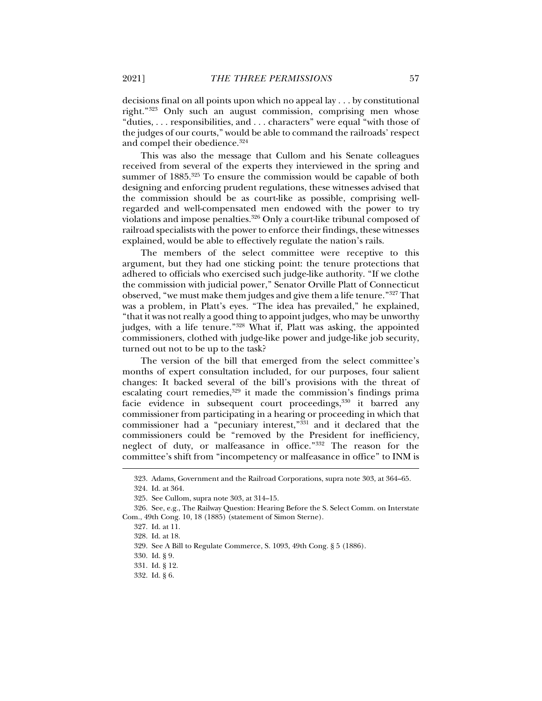decisions final on all points upon which no appeal lay . . . by constitutional right."323 Only such an august commission, comprising men whose "duties, . . . responsibilities, and . . . characters" were equal "with those of the judges of our courts," would be able to command the railroads' respect and compel their obedience.<sup>324</sup>

This was also the message that Cullom and his Senate colleagues received from several of the experts they interviewed in the spring and summer of 1885.<sup>325</sup> To ensure the commission would be capable of both designing and enforcing prudent regulations, these witnesses advised that the commission should be as court-like as possible, comprising wellregarded and well-compensated men endowed with the power to try violations and impose penalties.<sup>326</sup> Only a court-like tribunal composed of railroad specialists with the power to enforce their findings, these witnesses explained, would be able to effectively regulate the nation's rails.

The members of the select committee were receptive to this argument, but they had one sticking point: the tenure protections that adhered to officials who exercised such judge-like authority. "If we clothe the commission with judicial power," Senator Orville Platt of Connecticut observed, "we must make them judges and give them a life tenure."327 That was a problem, in Platt's eyes. "The idea has prevailed," he explained, "that it was not really a good thing to appoint judges, who may be unworthy judges, with a life tenure."328 What if, Platt was asking, the appointed commissioners, clothed with judge-like power and judge-like job security, turned out not to be up to the task?

The version of the bill that emerged from the select committee's months of expert consultation included, for our purposes, four salient changes: It backed several of the bill's provisions with the threat of escalating court remedies,<sup>329</sup> it made the commission's findings prima facie evidence in subsequent court proceedings, 330 it barred any commissioner from participating in a hearing or proceeding in which that commissioner had a "pecuniary interest,"<sup>331</sup> and it declared that the commissioners could be "removed by the President for inefficiency, neglect of duty, or malfeasance in office."332 The reason for the committee's shift from "incompetency or malfeasance in office" to INM is

 <sup>323.</sup> Adams, Government and the Railroad Corporations, supra note 303, at 364–65.

 <sup>324.</sup> Id. at 364.

 <sup>325.</sup> See Cullom, supra note 303, at 314–15.

 <sup>326.</sup> See, e.g., The Railway Question: Hearing Before the S. Select Comm. on Interstate Com., 49th Cong. 10, 18 (1885) (statement of Simon Sterne).

 <sup>327.</sup> Id. at 11.

 <sup>328.</sup> Id. at 18.

 <sup>329.</sup> See A Bill to Regulate Commerce, S. 1093, 49th Cong. § 5 (1886).

 <sup>330.</sup> Id. § 9.

 <sup>331.</sup> Id. § 12.

 <sup>332.</sup> Id. § 6.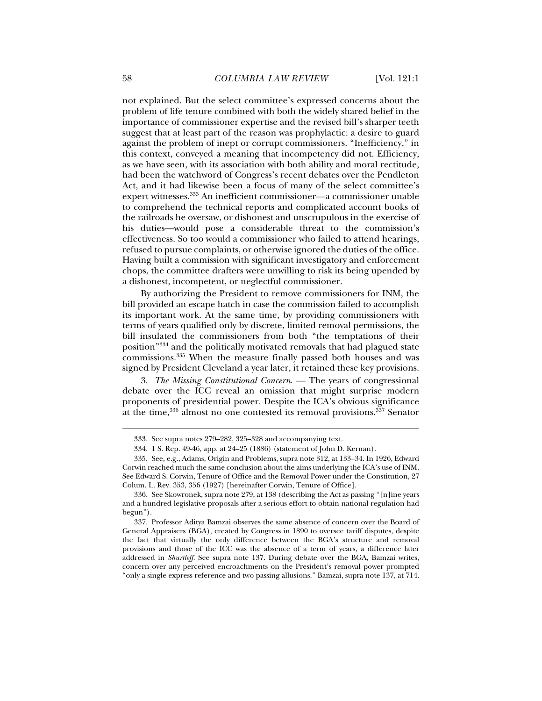not explained. But the select committee's expressed concerns about the problem of life tenure combined with both the widely shared belief in the importance of commissioner expertise and the revised bill's sharper teeth suggest that at least part of the reason was prophylactic: a desire to guard against the problem of inept or corrupt commissioners. "Inefficiency," in this context, conveyed a meaning that incompetency did not. Efficiency, as we have seen, with its association with both ability and moral rectitude, had been the watchword of Congress's recent debates over the Pendleton Act, and it had likewise been a focus of many of the select committee's expert witnesses.333 An inefficient commissioner—a commissioner unable to comprehend the technical reports and complicated account books of the railroads he oversaw, or dishonest and unscrupulous in the exercise of his duties—would pose a considerable threat to the commission's effectiveness. So too would a commissioner who failed to attend hearings, refused to pursue complaints, or otherwise ignored the duties of the office. Having built a commission with significant investigatory and enforcement chops, the committee drafters were unwilling to risk its being upended by a dishonest, incompetent, or neglectful commissioner.

By authorizing the President to remove commissioners for INM, the bill provided an escape hatch in case the commission failed to accomplish its important work. At the same time, by providing commissioners with terms of years qualified only by discrete, limited removal permissions, the bill insulated the commissioners from both "the temptations of their position"334 and the politically motivated removals that had plagued state commissions.335 When the measure finally passed both houses and was signed by President Cleveland a year later, it retained these key provisions.

3. *The Missing Constitutional Concern*. — The years of congressional debate over the ICC reveal an omission that might surprise modern proponents of presidential power. Despite the ICA's obvious significance at the time,336 almost no one contested its removal provisions.337 Senator

 <sup>333.</sup> See supra notes 279–282, 325–328 and accompanying text.

 <sup>334. 1</sup> S. Rep. 49-46, app. at 24–25 (1886) (statement of John D. Kernan).

 <sup>335.</sup> See, e.g., Adams, Origin and Problems, supra note 312, at 133–34. In 1926, Edward Corwin reached much the same conclusion about the aims underlying the ICA's use of INM. See Edward S. Corwin, Tenure of Office and the Removal Power under the Constitution, 27 Colum. L. Rev. 353, 356 (1927) [hereinafter Corwin, Tenure of Office].

 <sup>336.</sup> See Skowronek, supra note 279, at 138 (describing the Act as passing "[n]ine years and a hundred legislative proposals after a serious effort to obtain national regulation had begun").

 <sup>337.</sup> Professor Aditya Bamzai observes the same absence of concern over the Board of General Appraisers (BGA), created by Congress in 1890 to oversee tariff disputes, despite the fact that virtually the only difference between the BGA's structure and removal provisions and those of the ICC was the absence of a term of years, a difference later addressed in *Shurtleff*. See supra note 137. During debate over the BGA, Bamzai writes, concern over any perceived encroachments on the President's removal power prompted "only a single express reference and two passing allusions." Bamzai, supra note 137, at 714.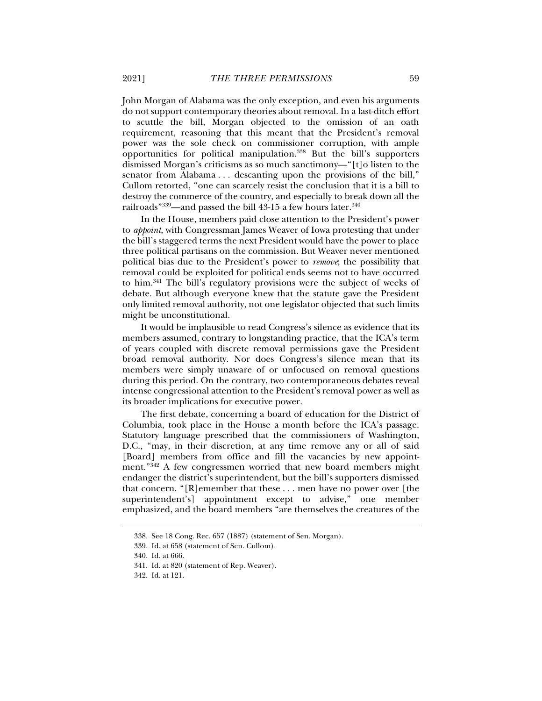John Morgan of Alabama was the only exception, and even his arguments do not support contemporary theories about removal. In a last-ditch effort to scuttle the bill, Morgan objected to the omission of an oath requirement, reasoning that this meant that the President's removal power was the sole check on commissioner corruption, with ample opportunities for political manipulation.338 But the bill's supporters dismissed Morgan's criticisms as so much sanctimony—"[t]o listen to the senator from Alabama . . . descanting upon the provisions of the bill," Cullom retorted, "one can scarcely resist the conclusion that it is a bill to destroy the commerce of the country, and especially to break down all the railroads"<sup>339</sup>—and passed the bill 43-15 a few hours later.<sup>340</sup>

In the House, members paid close attention to the President's power to *appoint*, with Congressman James Weaver of Iowa protesting that under the bill's staggered terms the next President would have the power to place three political partisans on the commission. But Weaver never mentioned political bias due to the President's power to *remove*; the possibility that removal could be exploited for political ends seems not to have occurred to him.341 The bill's regulatory provisions were the subject of weeks of debate. But although everyone knew that the statute gave the President only limited removal authority, not one legislator objected that such limits might be unconstitutional.

It would be implausible to read Congress's silence as evidence that its members assumed, contrary to longstanding practice, that the ICA's term of years coupled with discrete removal permissions gave the President broad removal authority. Nor does Congress's silence mean that its members were simply unaware of or unfocused on removal questions during this period. On the contrary, two contemporaneous debates reveal intense congressional attention to the President's removal power as well as its broader implications for executive power.

The first debate, concerning a board of education for the District of Columbia, took place in the House a month before the ICA's passage. Statutory language prescribed that the commissioners of Washington, D.C., "may, in their discretion, at any time remove any or all of said [Board] members from office and fill the vacancies by new appointment."342 A few congressmen worried that new board members might endanger the district's superintendent, but the bill's supporters dismissed that concern. "[R]emember that these . . . men have no power over [the superintendent's] appointment except to advise," one member emphasized, and the board members "are themselves the creatures of the

 <sup>338.</sup> See 18 Cong. Rec. 657 (1887) (statement of Sen. Morgan).

 <sup>339.</sup> Id. at 658 (statement of Sen. Cullom).

 <sup>340.</sup> Id. at 666.

 <sup>341.</sup> Id. at 820 (statement of Rep. Weaver).

 <sup>342.</sup> Id. at 121.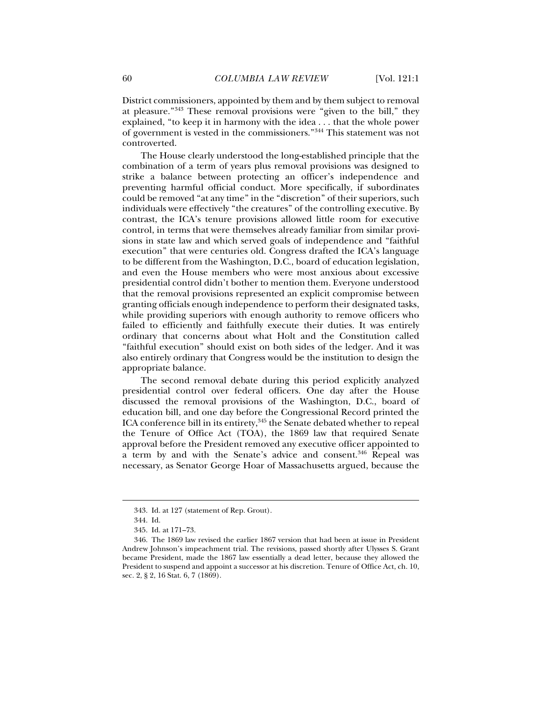District commissioners, appointed by them and by them subject to removal at pleasure."343 These removal provisions were "given to the bill," they explained, "to keep it in harmony with the idea . . . that the whole power of government is vested in the commissioners."344 This statement was not controverted.

The House clearly understood the long-established principle that the combination of a term of years plus removal provisions was designed to strike a balance between protecting an officer's independence and preventing harmful official conduct. More specifically, if subordinates could be removed "at any time" in the "discretion" of their superiors, such individuals were effectively "the creatures" of the controlling executive. By contrast, the ICA's tenure provisions allowed little room for executive control, in terms that were themselves already familiar from similar provisions in state law and which served goals of independence and "faithful execution" that were centuries old. Congress drafted the ICA's language to be different from the Washington, D.C., board of education legislation, and even the House members who were most anxious about excessive presidential control didn't bother to mention them. Everyone understood that the removal provisions represented an explicit compromise between granting officials enough independence to perform their designated tasks, while providing superiors with enough authority to remove officers who failed to efficiently and faithfully execute their duties. It was entirely ordinary that concerns about what Holt and the Constitution called "faithful execution" should exist on both sides of the ledger. And it was also entirely ordinary that Congress would be the institution to design the appropriate balance.

The second removal debate during this period explicitly analyzed presidential control over federal officers. One day after the House discussed the removal provisions of the Washington, D.C., board of education bill, and one day before the Congressional Record printed the ICA conference bill in its entirety,<sup>345</sup> the Senate debated whether to repeal the Tenure of Office Act (TOA), the 1869 law that required Senate approval before the President removed any executive officer appointed to a term by and with the Senate's advice and consent.<sup>346</sup> Repeal was necessary, as Senator George Hoar of Massachusetts argued, because the

 <sup>343.</sup> Id. at 127 (statement of Rep. Grout).

 <sup>344.</sup> Id.

 <sup>345.</sup> Id. at 171–73.

 <sup>346.</sup> The 1869 law revised the earlier 1867 version that had been at issue in President Andrew Johnson's impeachment trial. The revisions, passed shortly after Ulysses S. Grant became President, made the 1867 law essentially a dead letter, because they allowed the President to suspend and appoint a successor at his discretion. Tenure of Office Act, ch. 10, sec. 2, § 2, 16 Stat. 6, 7 (1869).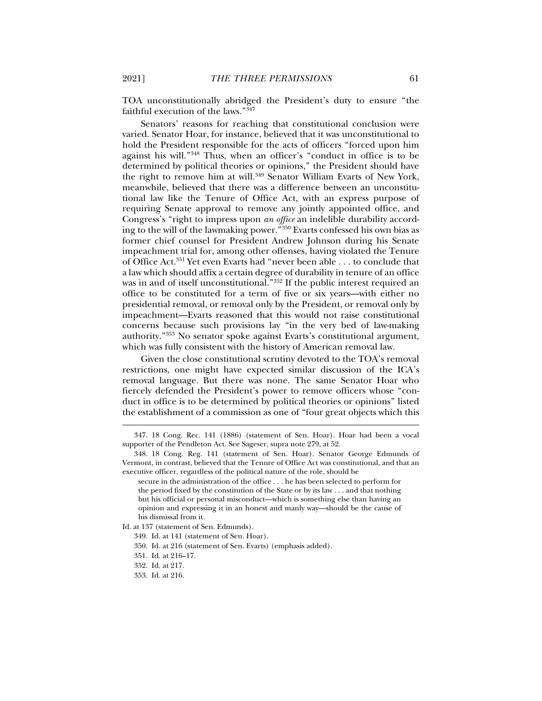TOA unconstitutionally abridged the President's duty to ensure "the faithful execution of the laws."347

Senators' reasons for reaching that constitutional conclusion were varied. Senator Hoar, for instance, believed that it was unconstitutional to hold the President responsible for the acts of officers "forced upon him against his will."348 Thus, when an officer's "conduct in office is to be determined by political theories or opinions," the President should have the right to remove him at will.<sup>349</sup> Senator William Evarts of New York, meanwhile, believed that there was a difference between an unconstitutional law like the Tenure of Office Act, with an express purpose of requiring Senate approval to remove any jointly appointed office, and Congress's "right to impress upon *an office* an indelible durability according to the will of the lawmaking power."350 Evarts confessed his own bias as former chief counsel for President Andrew Johnson during his Senate impeachment trial for, among other offenses, having violated the Tenure of Office Act.351 Yet even Evarts had "never been able . . . to conclude that a law which should affix a certain degree of durability in tenure of an office was in and of itself unconstitutional.<sup>"352</sup> If the public interest required an office to be constituted for a term of five or six years—with either no presidential removal, or removal only by the President, or removal only by impeachment—Evarts reasoned that this would not raise constitutional concerns because such provisions lay "in the very bed of law-making authority."353 No senator spoke against Evarts's constitutional argument, which was fully consistent with the history of American removal law.

Given the close constitutional scrutiny devoted to the TOA's removal restrictions, one might have expected similar discussion of the ICA's removal language. But there was none. The same Senator Hoar who fiercely defended the President's power to remove officers whose "conduct in office is to be determined by political theories or opinions" listed the establishment of a commission as one of "four great objects which this

j

353. Id. at 216.

 <sup>347. 18</sup> Cong. Rec. 141 (1886) (statement of Sen. Hoar). Hoar had been a vocal supporter of the Pendleton Act. See Sageser, supra note 279, at 52.

 <sup>348. 18</sup> Cong. Reg. 141 (statement of Sen. Hoar). Senator George Edmunds of Vermont, in contrast, believed that the Tenure of Office Act was constitutional, and that an executive officer, regardless of the political nature of the role, should be

secure in the administration of the office . . . he has been selected to perform for the period fixed by the constitution of the State or by its law . . . and that nothing but his official or personal misconduct—which is something else than having an opinion and expressing it in an honest and manly way—should be the cause of his dismissal from it.

Id. at 137 (statement of Sen. Edmunds).

 <sup>349.</sup> Id. at 141 (statement of Sen. Hoar).

 <sup>350.</sup> Id. at 216 (statement of Sen. Evarts) (emphasis added).

 <sup>351.</sup> Id. at 216–17.

 <sup>352.</sup> Id. at 217.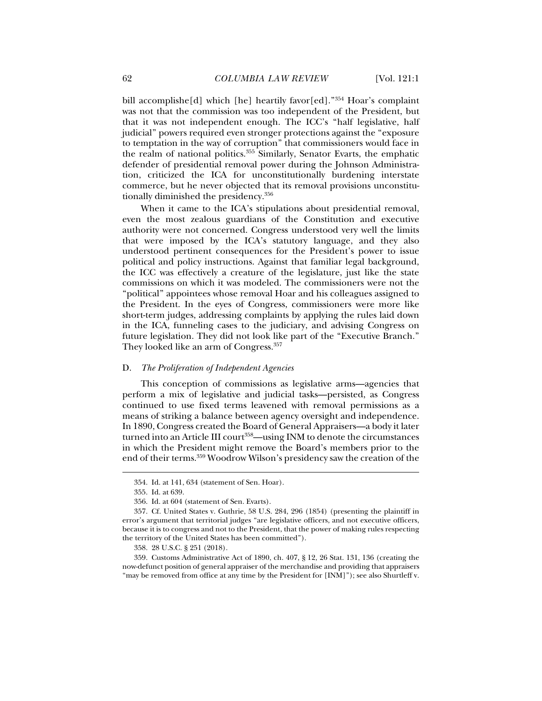bill accomplishe[d] which [he] heartily favor[ed]."354 Hoar's complaint was not that the commission was too independent of the President, but that it was not independent enough. The ICC's "half legislative, half judicial" powers required even stronger protections against the "exposure to temptation in the way of corruption" that commissioners would face in the realm of national politics.355 Similarly, Senator Evarts, the emphatic defender of presidential removal power during the Johnson Administration, criticized the ICA for unconstitutionally burdening interstate commerce, but he never objected that its removal provisions unconstitutionally diminished the presidency.356

When it came to the ICA's stipulations about presidential removal, even the most zealous guardians of the Constitution and executive authority were not concerned. Congress understood very well the limits that were imposed by the ICA's statutory language, and they also understood pertinent consequences for the President's power to issue political and policy instructions. Against that familiar legal background, the ICC was effectively a creature of the legislature, just like the state commissions on which it was modeled. The commissioners were not the "political" appointees whose removal Hoar and his colleagues assigned to the President. In the eyes of Congress, commissioners were more like short-term judges, addressing complaints by applying the rules laid down in the ICA, funneling cases to the judiciary, and advising Congress on future legislation. They did not look like part of the "Executive Branch." They looked like an arm of Congress.357

### D. *The Proliferation of Independent Agencies*

This conception of commissions as legislative arms—agencies that perform a mix of legislative and judicial tasks—persisted, as Congress continued to use fixed terms leavened with removal permissions as a means of striking a balance between agency oversight and independence. In 1890, Congress created the Board of General Appraisers—a body it later turned into an Article III court<sup>358</sup>—using INM to denote the circumstances in which the President might remove the Board's members prior to the end of their terms.359 Woodrow Wilson's presidency saw the creation of the

 <sup>354.</sup> Id. at 141, 634 (statement of Sen. Hoar).

 <sup>355.</sup> Id. at 639.

 <sup>356.</sup> Id. at 604 (statement of Sen. Evarts).

 <sup>357.</sup> Cf. United States v. Guthrie, 58 U.S. 284, 296 (1854) (presenting the plaintiff in error's argument that territorial judges "are legislative officers, and not executive officers, because it is to congress and not to the President, that the power of making rules respecting the territory of the United States has been committed").

 <sup>358. 28</sup> U.S.C. § 251 (2018).

 <sup>359.</sup> Customs Administrative Act of 1890, ch. 407, § 12, 26 Stat. 131, 136 (creating the now-defunct position of general appraiser of the merchandise and providing that appraisers "may be removed from office at any time by the President for [INM]"); see also Shurtleff v.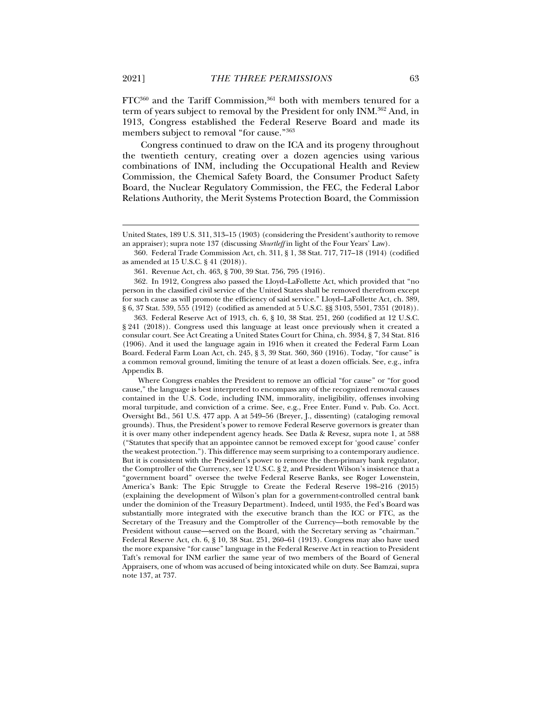$FTC<sup>360</sup>$  and the Tariff Commission,<sup>361</sup> both with members tenured for a term of years subject to removal by the President for only INM.362 And, in 1913, Congress established the Federal Reserve Board and made its members subject to removal "for cause."363

Congress continued to draw on the ICA and its progeny throughout the twentieth century, creating over a dozen agencies using various combinations of INM, including the Occupational Health and Review Commission, the Chemical Safety Board, the Consumer Product Safety Board, the Nuclear Regulatory Commission, the FEC, the Federal Labor Relations Authority, the Merit Systems Protection Board, the Commission

 363. Federal Reserve Act of 1913, ch. 6, § 10, 38 Stat. 251, 260 (codified at 12 U.S.C. § 241 (2018)). Congress used this language at least once previously when it created a consular court. See Act Creating a United States Court for China, ch. 3934, § 7, 34 Stat. 816 (1906). And it used the language again in 1916 when it created the Federal Farm Loan Board. Federal Farm Loan Act, ch. 245, § 3, 39 Stat. 360, 360 (1916). Today, "for cause" is a common removal ground, limiting the tenure of at least a dozen officials. See, e.g., infra Appendix B.

 Where Congress enables the President to remove an official "for cause" or "for good cause," the language is best interpreted to encompass any of the recognized removal causes contained in the U.S. Code, including INM, immorality, ineligibility, offenses involving moral turpitude, and conviction of a crime. See, e.g., Free Enter. Fund v. Pub. Co. Acct. Oversight Bd., 561 U.S. 477 app. A at 549–56 (Breyer, J., dissenting) (cataloging removal grounds). Thus, the President's power to remove Federal Reserve governors is greater than it is over many other independent agency heads. See Datla & Revesz, supra note 1, at 588 ("Statutes that specify that an appointee cannot be removed except for 'good cause' confer the weakest protection."). This difference may seem surprising to a contemporary audience. But it is consistent with the President's power to remove the then-primary bank regulator, the Comptroller of the Currency, see 12 U.S.C. § 2, and President Wilson's insistence that a "government board" oversee the twelve Federal Reserve Banks, see Roger Lowenstein, America's Bank: The Epic Struggle to Create the Federal Reserve 198–216 (2015) (explaining the development of Wilson's plan for a government-controlled central bank under the dominion of the Treasury Department). Indeed, until 1935, the Fed's Board was substantially more integrated with the executive branch than the ICC or FTC, as the Secretary of the Treasury and the Comptroller of the Currency—both removable by the President without cause—served on the Board, with the Secretary serving as "chairman." Federal Reserve Act, ch. 6, § 10, 38 Stat. 251, 260–61 (1913). Congress may also have used the more expansive "for cause" language in the Federal Reserve Act in reaction to President Taft's removal for INM earlier the same year of two members of the Board of General Appraisers, one of whom was accused of being intoxicated while on duty. See Bamzai, supra note 137, at 737.

United States, 189 U.S. 311, 313–15 (1903) (considering the President's authority to remove an appraiser); supra note 137 (discussing *Shurtleff* in light of the Four Years' Law).

 <sup>360.</sup> Federal Trade Commission Act, ch. 311, § 1, 38 Stat. 717, 717–18 (1914) (codified as amended at 15 U.S.C. § 41 (2018)).

 <sup>361.</sup> Revenue Act, ch. 463, § 700, 39 Stat. 756, 795 (1916).

 <sup>362.</sup> In 1912, Congress also passed the Lloyd–LaFollette Act, which provided that "no person in the classified civil service of the United States shall be removed therefrom except for such cause as will promote the efficiency of said service." Lloyd–LaFollette Act, ch. 389, § 6, 37 Stat. 539, 555 (1912) (codified as amended at 5 U.S.C. §§ 3103, 5501, 7351 (2018)).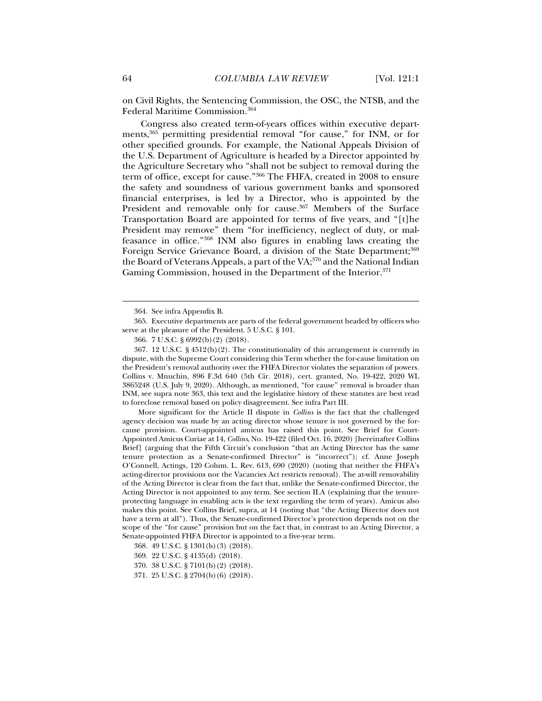on Civil Rights, the Sentencing Commission, the OSC, the NTSB, and the Federal Maritime Commission.364

Congress also created term-of-years offices within executive departments,365 permitting presidential removal "for cause," for INM, or for other specified grounds. For example, the National Appeals Division of the U.S. Department of Agriculture is headed by a Director appointed by the Agriculture Secretary who "shall not be subject to removal during the term of office, except for cause."366 The FHFA, created in 2008 to ensure the safety and soundness of various government banks and sponsored financial enterprises, is led by a Director, who is appointed by the President and removable only for cause.<sup>367</sup> Members of the Surface Transportation Board are appointed for terms of five years, and "[t]he President may remove" them "for inefficiency, neglect of duty, or malfeasance in office."368 INM also figures in enabling laws creating the Foreign Service Grievance Board, a division of the State Department;<sup>369</sup> the Board of Veterans Appeals, a part of the VA;<sup>370</sup> and the National Indian Gaming Commission, housed in the Department of the Interior.<sup>371</sup>

 365. Executive departments are parts of the federal government headed by officers who serve at the pleasure of the President. 5 U.S.C. § 101.

 367. 12 U.S.C. § 4512(b)(2). The constitutionality of this arrangement is currently in dispute, with the Supreme Court considering this Term whether the for-cause limitation on the President's removal authority over the FHFA Director violates the separation of powers. Collins v. Mnuchin, 896 F.3d 640 (5th Cir. 2018), cert. granted, No. 19-422, 2020 WL 3865248 (U.S. July 9, 2020). Although, as mentioned, "for cause" removal is broader than INM, see supra note 363, this text and the legislative history of these statutes are best read to foreclose removal based on policy disagreement. See infra Part III.

 More significant for the Article II dispute in *Collins* is the fact that the challenged agency decision was made by an acting director whose tenure is not governed by the forcause provision. Court-appointed amicus has raised this point. See Brief for Court-Appointed Amicus Curiae at 14, *Collins*, No. 19-422 (filed Oct. 16, 2020) [hereinafter Collins Brief] (arguing that the Fifth Circuit's conclusion "that an Acting Director has the same tenure protection as a Senate-confirmed Director" is "incorrect"); cf. Anne Joseph O'Connell, Actings, 120 Colum. L. Rev. 613, 690 (2020) (noting that neither the FHFA's acting-director provisions nor the Vacancies Act restricts removal). The at-will removability of the Acting Director is clear from the fact that, unlike the Senate-confirmed Director, the Acting Director is not appointed to any term. See section II.A (explaining that the tenureprotecting language in enabling acts is the text regarding the term of years). Amicus also makes this point. See Collins Brief, supra, at 14 (noting that "the Acting Director does not have a term at all"). Thus, the Senate-confirmed Director's protection depends not on the scope of the "for cause" provision but on the fact that, in contrast to an Acting Director, a Senate-appointed FHFA Director is appointed to a five-year term.

 <sup>364.</sup> See infra Appendix B.

 <sup>366. 7</sup> U.S.C. § 6992(b)(2) (2018).

 <sup>368. 49</sup> U.S.C. § 1301(b)(3) (2018).

 <sup>369. 22</sup> U.S.C. § 4135(d) (2018).

 <sup>370. 38</sup> U.S.C. § 7101(b)(2) (2018).

 <sup>371. 25</sup> U.S.C. § 2704(b)(6) (2018).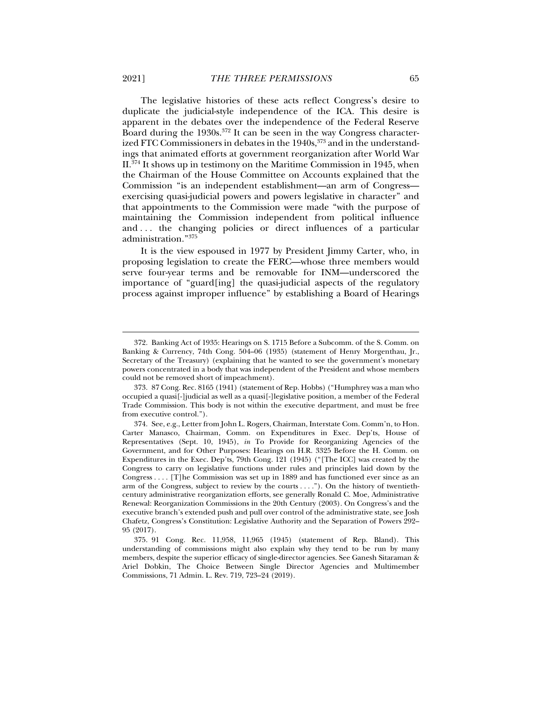The legislative histories of these acts reflect Congress's desire to duplicate the judicial-style independence of the ICA. This desire is apparent in the debates over the independence of the Federal Reserve Board during the 1930s.<sup>372</sup> It can be seen in the way Congress characterized FTC Commissioners in debates in the 1940s,<sup>373</sup> and in the understandings that animated efforts at government reorganization after World War II.374 It shows up in testimony on the Maritime Commission in 1945, when the Chairman of the House Committee on Accounts explained that the Commission "is an independent establishment—an arm of Congress exercising quasi-judicial powers and powers legislative in character" and that appointments to the Commission were made "with the purpose of maintaining the Commission independent from political influence and . . . the changing policies or direct influences of a particular administration."375

It is the view espoused in 1977 by President Jimmy Carter, who, in proposing legislation to create the FERC—whose three members would serve four-year terms and be removable for INM—underscored the importance of "guard[ing] the quasi-judicial aspects of the regulatory process against improper influence" by establishing a Board of Hearings

 <sup>372.</sup> Banking Act of 1935: Hearings on S. 1715 Before a Subcomm. of the S. Comm. on Banking & Currency, 74th Cong. 504–06 (1935) (statement of Henry Morgenthau, Jr., Secretary of the Treasury) (explaining that he wanted to see the government's monetary powers concentrated in a body that was independent of the President and whose members could not be removed short of impeachment).

 <sup>373. 87</sup> Cong. Rec. 8165 (1941) (statement of Rep. Hobbs) ("Humphrey was a man who occupied a quasi[-]judicial as well as a quasi[-]legislative position, a member of the Federal Trade Commission. This body is not within the executive department, and must be free from executive control.").

 <sup>374.</sup> See, e.g., Letter from John L. Rogers, Chairman, Interstate Com. Comm'n, to Hon. Carter Manasco, Chairman, Comm. on Expenditures in Exec. Dep'ts, House of Representatives (Sept. 10, 1945), *in* To Provide for Reorganizing Agencies of the Government, and for Other Purposes: Hearings on H.R. 3325 Before the H. Comm. on Expenditures in the Exec. Dep'ts, 79th Cong. 121 (1945) ("[The ICC] was created by the Congress to carry on legislative functions under rules and principles laid down by the Congress . . . . [T]he Commission was set up in 1889 and has functioned ever since as an arm of the Congress, subject to review by the courts . . . ."). On the history of twentiethcentury administrative reorganization efforts, see generally Ronald C. Moe, Administrative Renewal: Reorganization Commissions in the 20th Century (2003). On Congress's and the executive branch's extended push and pull over control of the administrative state, see Josh Chafetz, Congress's Constitution: Legislative Authority and the Separation of Powers 292– 95 (2017).

 <sup>375. 91</sup> Cong. Rec. 11,958, 11,965 (1945) (statement of Rep. Bland). This understanding of commissions might also explain why they tend to be run by many members, despite the superior efficacy of single-director agencies. See Ganesh Sitaraman & Ariel Dobkin, The Choice Between Single Director Agencies and Multimember Commissions, 71 Admin. L. Rev. 719, 723–24 (2019).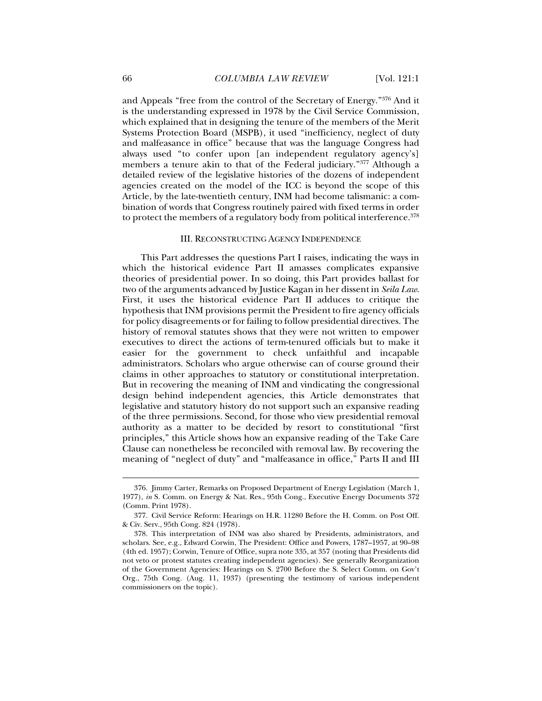and Appeals "free from the control of the Secretary of Energy."376 And it is the understanding expressed in 1978 by the Civil Service Commission, which explained that in designing the tenure of the members of the Merit Systems Protection Board (MSPB), it used "inefficiency, neglect of duty and malfeasance in office" because that was the language Congress had always used "to confer upon [an independent regulatory agency's] members a tenure akin to that of the Federal judiciary."377 Although a detailed review of the legislative histories of the dozens of independent agencies created on the model of the ICC is beyond the scope of this Article, by the late-twentieth century, INM had become talismanic: a combination of words that Congress routinely paired with fixed terms in order to protect the members of a regulatory body from political interference.<sup>378</sup>

## III. RECONSTRUCTING AGENCY INDEPENDENCE

This Part addresses the questions Part I raises, indicating the ways in which the historical evidence Part II amasses complicates expansive theories of presidential power. In so doing, this Part provides ballast for two of the arguments advanced by Justice Kagan in her dissent in *Seila Law*. First, it uses the historical evidence Part II adduces to critique the hypothesis that INM provisions permit the President to fire agency officials for policy disagreements or for failing to follow presidential directives. The history of removal statutes shows that they were not written to empower executives to direct the actions of term-tenured officials but to make it easier for the government to check unfaithful and incapable administrators. Scholars who argue otherwise can of course ground their claims in other approaches to statutory or constitutional interpretation. But in recovering the meaning of INM and vindicating the congressional design behind independent agencies, this Article demonstrates that legislative and statutory history do not support such an expansive reading of the three permissions. Second, for those who view presidential removal authority as a matter to be decided by resort to constitutional "first principles," this Article shows how an expansive reading of the Take Care Clause can nonetheless be reconciled with removal law. By recovering the meaning of "neglect of duty" and "malfeasance in office," Parts II and III

 <sup>376.</sup> Jimmy Carter, Remarks on Proposed Department of Energy Legislation (March 1, 1977), *in* S. Comm. on Energy & Nat. Res., 95th Cong., Executive Energy Documents 372 (Comm. Print 1978).

 <sup>377.</sup> Civil Service Reform: Hearings on H.R. 11280 Before the H. Comm. on Post Off. & Civ. Serv., 95th Cong. 824 (1978).

 <sup>378.</sup> This interpretation of INM was also shared by Presidents, administrators, and scholars. See, e.g., Edward Corwin, The President: Office and Powers, 1787–1957, at 90–98 (4th ed. 1957); Corwin, Tenure of Office, supra note 335, at 357 (noting that Presidents did not veto or protest statutes creating independent agencies). See generally Reorganization of the Government Agencies: Hearings on S. 2700 Before the S. Select Comm. on Gov't Org., 75th Cong. (Aug. 11, 1937) (presenting the testimony of various independent commissioners on the topic).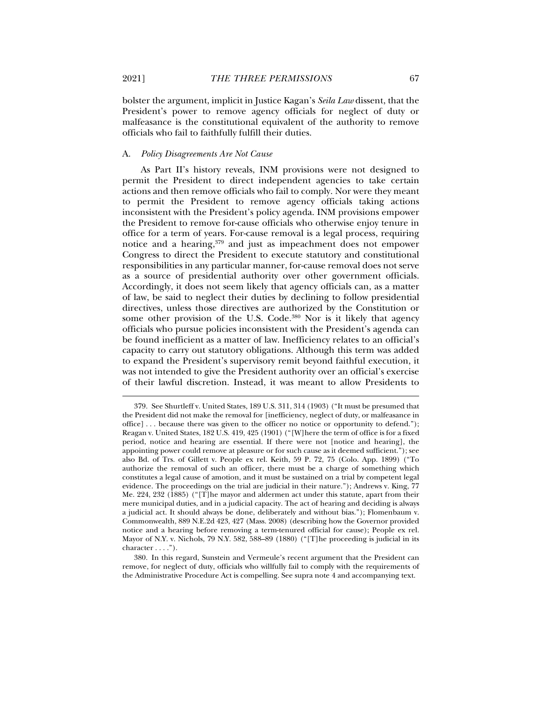bolster the argument, implicit in Justice Kagan's *Seila Law* dissent, that the President's power to remove agency officials for neglect of duty or malfeasance is the constitutional equivalent of the authority to remove officials who fail to faithfully fulfill their duties.

#### A. *Policy Disagreements Are Not Cause*

As Part II's history reveals, INM provisions were not designed to permit the President to direct independent agencies to take certain actions and then remove officials who fail to comply. Nor were they meant to permit the President to remove agency officials taking actions inconsistent with the President's policy agenda. INM provisions empower the President to remove for-cause officials who otherwise enjoy tenure in office for a term of years. For-cause removal is a legal process, requiring notice and a hearing,<sup>379</sup> and just as impeachment does not empower Congress to direct the President to execute statutory and constitutional responsibilities in any particular manner, for-cause removal does not serve as a source of presidential authority over other government officials. Accordingly, it does not seem likely that agency officials can, as a matter of law, be said to neglect their duties by declining to follow presidential directives, unless those directives are authorized by the Constitution or some other provision of the U.S. Code.<sup>380</sup> Nor is it likely that agency officials who pursue policies inconsistent with the President's agenda can be found inefficient as a matter of law. Inefficiency relates to an official's capacity to carry out statutory obligations. Although this term was added to expand the President's supervisory remit beyond faithful execution, it was not intended to give the President authority over an official's exercise of their lawful discretion. Instead, it was meant to allow Presidents to

 <sup>379.</sup> See Shurtleff v. United States, 189 U.S. 311, 314 (1903) ("It must be presumed that the President did not make the removal for [inefficiency, neglect of duty, or malfeasance in office] . . . because there was given to the officer no notice or opportunity to defend."); Reagan v. United States, 182 U.S. 419, 425 (1901) ("[W]here the term of office is for a fixed period, notice and hearing are essential. If there were not [notice and hearing], the appointing power could remove at pleasure or for such cause as it deemed sufficient."); see also Bd. of Trs. of Gillett v. People ex rel. Keith, 59 P. 72, 75 (Colo. App. 1899) ("To authorize the removal of such an officer, there must be a charge of something which constitutes a legal cause of amotion, and it must be sustained on a trial by competent legal evidence. The proceedings on the trial are judicial in their nature."); Andrews v. King, 77 Me. 224, 232 (1885) ("[T]he mayor and aldermen act under this statute, apart from their mere municipal duties, and in a judicial capacity. The act of hearing and deciding is always a judicial act. It should always be done, deliberately and without bias."); Flomenbaum v. Commonwealth, 889 N.E.2d 423, 427 (Mass. 2008) (describing how the Governor provided notice and a hearing before removing a term-tenured official for cause); People ex rel. Mayor of N.Y. v. Nichols, 79 N.Y. 582, 588–89 (1880) ("[T]he proceeding is judicial in its character . . . .").

 <sup>380.</sup> In this regard, Sunstein and Vermeule's recent argument that the President can remove, for neglect of duty, officials who willfully fail to comply with the requirements of the Administrative Procedure Act is compelling. See supra note 4 and accompanying text.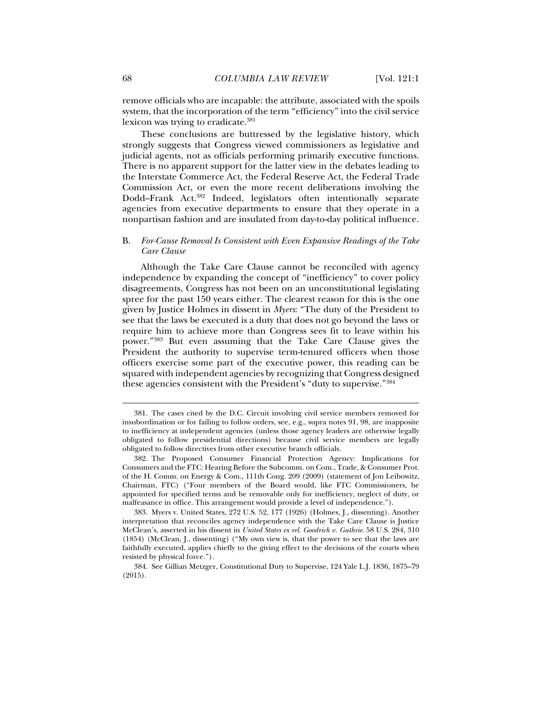remove officials who are incapable: the attribute, associated with the spoils system, that the incorporation of the term "efficiency" into the civil service lexicon was trying to eradicate.<sup>381</sup>

These conclusions are buttressed by the legislative history, which strongly suggests that Congress viewed commissioners as legislative and judicial agents, not as officials performing primarily executive functions. There is no apparent support for the latter view in the debates leading to the Interstate Commerce Act, the Federal Reserve Act, the Federal Trade Commission Act, or even the more recent deliberations involving the Dodd–Frank Act.382 Indeed, legislators often intentionally separate agencies from executive departments to ensure that they operate in a nonpartisan fashion and are insulated from day-to-day political influence.

# B. *For-Cause Removal Is Consistent with Even Expansive Readings of the Take Care Clause*

Although the Take Care Clause cannot be reconciled with agency independence by expanding the concept of "inefficiency" to cover policy disagreements, Congress has not been on an unconstitutional legislating spree for the past 150 years either. The clearest reason for this is the one given by Justice Holmes in dissent in *Myers*: "The duty of the President to see that the laws be executed is a duty that does not go beyond the laws or require him to achieve more than Congress sees fit to leave within his power."383 But even assuming that the Take Care Clause gives the President the authority to supervise term-tenured officers when those officers exercise some part of the executive power, this reading can be squared with independent agencies by recognizing that Congress designed these agencies consistent with the President's "duty to supervise."384

 <sup>381.</sup> The cases cited by the D.C. Circuit involving civil service members removed for insubordination or for failing to follow orders, see, e.g., supra notes 91, 98, are inapposite to inefficiency at independent agencies (unless those agency leaders are otherwise legally obligated to follow presidential directions) because civil service members are legally obligated to follow directives from other executive branch officials.

 <sup>382.</sup> The Proposed Consumer Financial Protection Agency: Implications for Consumers and the FTC: Hearing Before the Subcomm. on Com., Trade, & Consumer Prot. of the H. Comm. on Energy & Com., 111th Cong. 209 (2009) (statement of Jon Leibowitz, Chairman, FTC) ("Four members of the Board would, like FTC Commissioners, be appointed for specified terms and be removable only for inefficiency, neglect of duty, or malfeasance in office. This arrangement would provide a level of independence.").

 <sup>383.</sup> Myers v. United States, 272 U.S. 52, 177 (1926) (Holmes, J., dissenting). Another interpretation that reconciles agency independence with the Take Care Clause is Justice McClean's, asserted in his dissent in *United States ex rel. Goodrich v. Guthrie*. 58 U.S. 284, 310 (1854) (McClean, J., dissenting) ("My own view is, that the power to see that the laws are faithfully executed, applies chiefly to the giving effect to the decisions of the courts when resisted by physical force.").

 <sup>384.</sup> See Gillian Metzger, Constitutional Duty to Supervise, 124 Yale L.J. 1836, 1875–79 (2015).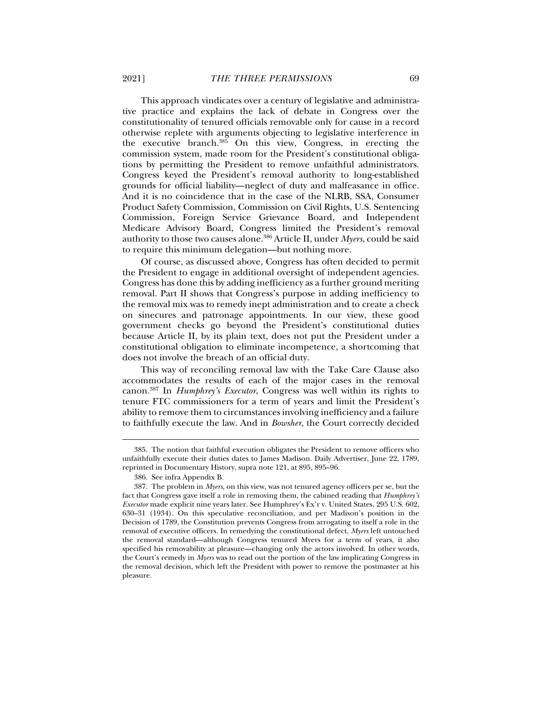This approach vindicates over a century of legislative and administrative practice and explains the lack of debate in Congress over the constitutionality of tenured officials removable only for cause in a record otherwise replete with arguments objecting to legislative interference in the executive branch.385 On this view, Congress, in erecting the commission system, made room for the President's constitutional obligations by permitting the President to remove unfaithful administrators. Congress keyed the President's removal authority to long-established grounds for official liability—neglect of duty and malfeasance in office. And it is no coincidence that in the case of the NLRB, SSA, Consumer Product Safety Commission, Commission on Civil Rights, U.S. Sentencing Commission, Foreign Service Grievance Board, and Independent Medicare Advisory Board, Congress limited the President's removal authority to those two causes alone.386 Article II, under *Myers*, could be said to require this minimum delegation—but nothing more.

Of course, as discussed above, Congress has often decided to permit the President to engage in additional oversight of independent agencies. Congress has done this by adding inefficiency as a further ground meriting removal. Part II shows that Congress's purpose in adding inefficiency to the removal mix was to remedy inept administration and to create a check on sinecures and patronage appointments. In our view, these good government checks go beyond the President's constitutional duties because Article II, by its plain text, does not put the President under a constitutional obligation to eliminate incompetence, a shortcoming that does not involve the breach of an official duty.

This way of reconciling removal law with the Take Care Clause also accommodates the results of each of the major cases in the removal canon.387 In *Humphrey's Executor*, Congress was well within its rights to tenure FTC commissioners for a term of years and limit the President's ability to remove them to circumstances involving inefficiency and a failure to faithfully execute the law. And in *Bowsher*, the Court correctly decided

 <sup>385.</sup> The notion that faithful execution obligates the President to remove officers who unfaithfully execute their duties dates to James Madison. Daily Advertiser, June 22, 1789, reprinted in Documentary History, supra note 121, at 895, 895–96.

 <sup>386.</sup> See infra Appendix B.

 <sup>387.</sup> The problem in *Myers*, on this view, was not tenured agency officers per se, but the fact that Congress gave itself a role in removing them, the cabined reading that *Humphrey's Executor* made explicit nine years later. See Humphrey's Ex'r v. United States, 295 U.S. 602, 630–31 (1934). On this speculative reconciliation, and per Madison's position in the Decision of 1789, the Constitution prevents Congress from arrogating to itself a role in the removal of executive officers. In remedying the constitutional defect, *Myers* left untouched the removal standard—although Congress tenured Myers for a term of years, it also specified his removability at pleasure—changing only the actors involved. In other words, the Court's remedy in *Myers* was to read out the portion of the law implicating Congress in the removal decision, which left the President with power to remove the postmaster at his pleasure.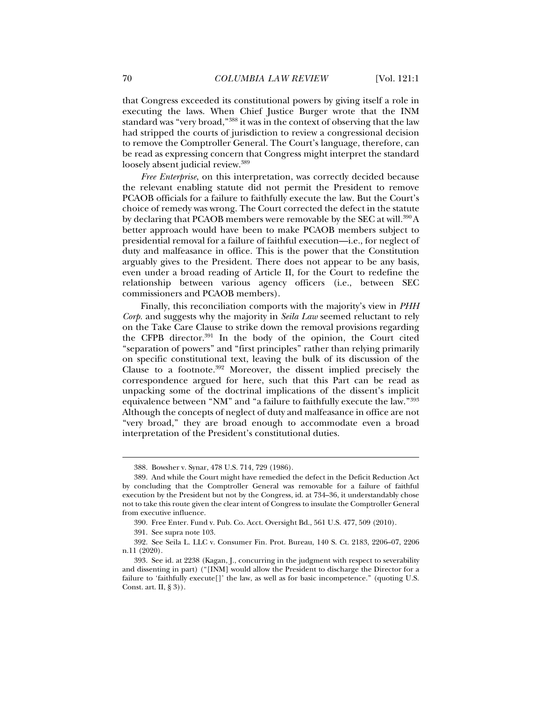that Congress exceeded its constitutional powers by giving itself a role in executing the laws. When Chief Justice Burger wrote that the INM standard was "very broad,"388 it was in the context of observing that the law had stripped the courts of jurisdiction to review a congressional decision to remove the Comptroller General. The Court's language, therefore, can be read as expressing concern that Congress might interpret the standard loosely absent judicial review.<sup>389</sup>

*Free Enterprise*, on this interpretation, was correctly decided because the relevant enabling statute did not permit the President to remove PCAOB officials for a failure to faithfully execute the law. But the Court's choice of remedy was wrong. The Court corrected the defect in the statute by declaring that PCAOB members were removable by the SEC at will.<sup>390</sup>A better approach would have been to make PCAOB members subject to presidential removal for a failure of faithful execution—i.e., for neglect of duty and malfeasance in office. This is the power that the Constitution arguably gives to the President. There does not appear to be any basis, even under a broad reading of Article II, for the Court to redefine the relationship between various agency officers (i.e., between SEC commissioners and PCAOB members).

Finally, this reconciliation comports with the majority's view in *PHH Corp.* and suggests why the majority in *Seila Law* seemed reluctant to rely on the Take Care Clause to strike down the removal provisions regarding the CFPB director.391 In the body of the opinion, the Court cited "separation of powers" and "first principles" rather than relying primarily on specific constitutional text, leaving the bulk of its discussion of the Clause to a footnote.392 Moreover, the dissent implied precisely the correspondence argued for here, such that this Part can be read as unpacking some of the doctrinal implications of the dissent's implicit equivalence between "NM" and "a failure to faithfully execute the law."393 Although the concepts of neglect of duty and malfeasance in office are not "very broad," they are broad enough to accommodate even a broad interpretation of the President's constitutional duties.

 <sup>388.</sup> Bowsher v. Synar, 478 U.S. 714, 729 (1986).

 <sup>389.</sup> And while the Court might have remedied the defect in the Deficit Reduction Act by concluding that the Comptroller General was removable for a failure of faithful execution by the President but not by the Congress, id. at 734–36, it understandably chose not to take this route given the clear intent of Congress to insulate the Comptroller General from executive influence.

 <sup>390.</sup> Free Enter. Fund v. Pub. Co. Acct. Oversight Bd., 561 U.S. 477, 509 (2010).

 <sup>391.</sup> See supra note 103.

 <sup>392.</sup> See Seila L. LLC v. Consumer Fin. Prot. Bureau, 140 S. Ct. 2183, 2206–07, 2206 n.11 (2020).

 <sup>393.</sup> See id. at 2238 (Kagan, J., concurring in the judgment with respect to severability and dissenting in part) ("[INM] would allow the President to discharge the Director for a failure to 'faithfully execute[]' the law, as well as for basic incompetence." (quoting U.S. Const. art. II, § 3)).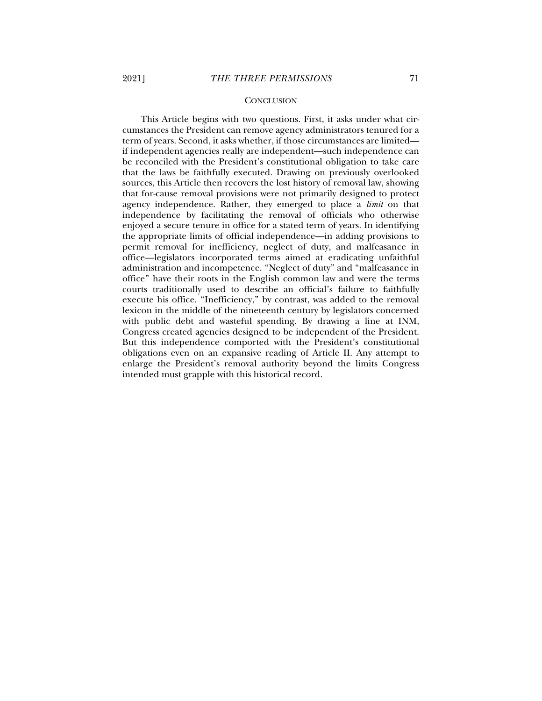#### **CONCLUSION**

This Article begins with two questions. First, it asks under what circumstances the President can remove agency administrators tenured for a term of years. Second, it asks whether, if those circumstances are limited if independent agencies really are independent—such independence can be reconciled with the President's constitutional obligation to take care that the laws be faithfully executed. Drawing on previously overlooked sources, this Article then recovers the lost history of removal law, showing that for-cause removal provisions were not primarily designed to protect agency independence. Rather, they emerged to place a *limit* on that independence by facilitating the removal of officials who otherwise enjoyed a secure tenure in office for a stated term of years. In identifying the appropriate limits of official independence—in adding provisions to permit removal for inefficiency, neglect of duty, and malfeasance in office—legislators incorporated terms aimed at eradicating unfaithful administration and incompetence. "Neglect of duty" and "malfeasance in office" have their roots in the English common law and were the terms courts traditionally used to describe an official's failure to faithfully execute his office. "Inefficiency," by contrast, was added to the removal lexicon in the middle of the nineteenth century by legislators concerned with public debt and wasteful spending. By drawing a line at INM, Congress created agencies designed to be independent of the President. But this independence comported with the President's constitutional obligations even on an expansive reading of Article II. Any attempt to enlarge the President's removal authority beyond the limits Congress intended must grapple with this historical record.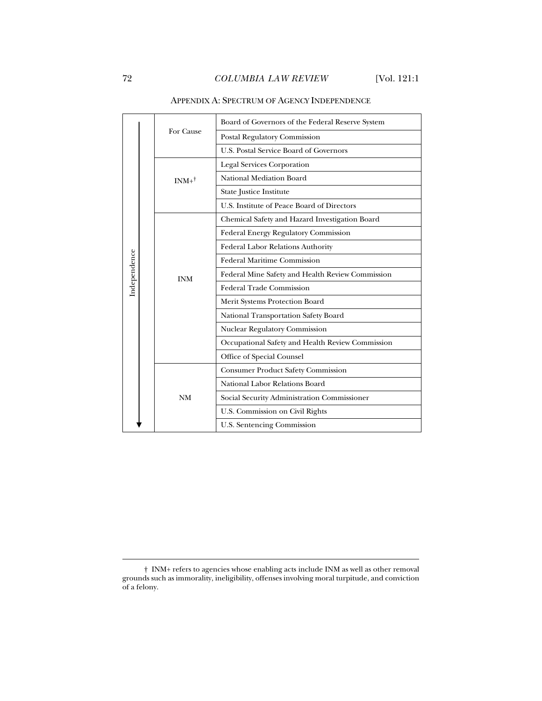|                  | Board of Governors of the Federal Reserve System |
|------------------|--------------------------------------------------|
|                  | Postal Regulatory Commission                     |
|                  | U.S. Postal Service Board of Governors           |
|                  | <b>Legal Services Corporation</b>                |
| $INM+^{\dagger}$ | National Mediation Board                         |
|                  | State Justice Institute                          |
|                  | U.S. Institute of Peace Board of Directors       |
|                  | Chemical Safety and Hazard Investigation Board   |
|                  | Federal Energy Regulatory Commission             |
| <b>INM</b>       | Federal Labor Relations Authority                |
|                  | <b>Federal Maritime Commission</b>               |
|                  | Federal Mine Safety and Health Review Commission |
|                  | <b>Federal Trade Commission</b>                  |
|                  | Merit Systems Protection Board                   |
|                  | National Transportation Safety Board             |
|                  | Nuclear Regulatory Commission                    |
|                  | Occupational Safety and Health Review Commission |
|                  | Office of Special Counsel                        |
|                  | <b>Consumer Product Safety Commission</b>        |
|                  | National Labor Relations Board                   |
| <b>NM</b>        | Social Security Administration Commissioner      |
|                  | U.S. Commission on Civil Rights                  |
|                  | U.S. Sentencing Commission                       |
|                  | For Cause                                        |

## APPENDIX A: SPECTRUM OF AGENCY INDEPENDENCE

j

<sup>†</sup> INM+ refers to agencies whose enabling acts include INM as well as other removal grounds such as immorality, ineligibility, offenses involving moral turpitude, and conviction of a felony.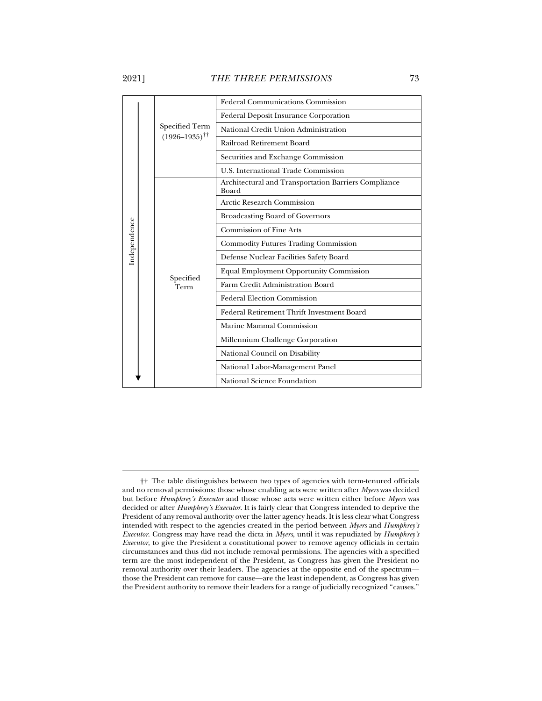j

|              |                      | <b>Federal Communications Commission</b>                      |
|--------------|----------------------|---------------------------------------------------------------|
|              |                      | <b>Federal Deposit Insurance Corporation</b>                  |
|              | Specified Term       | National Credit Union Administration                          |
|              | $(1926 - 1935)^{+1}$ | Railroad Retirement Board                                     |
|              |                      | Securities and Exchange Commission                            |
|              |                      | U.S. International Trade Commission                           |
|              |                      | Architectural and Transportation Barriers Compliance<br>Board |
| Independence |                      | Arctic Research Commission                                    |
|              |                      | Broadcasting Board of Governors                               |
|              |                      | Commission of Fine Arts                                       |
|              |                      | <b>Commodity Futures Trading Commission</b>                   |
|              |                      | Defense Nuclear Facilities Safety Board                       |
|              | Specified            | <b>Equal Employment Opportunity Commission</b>                |
|              | Term                 | Farm Credit Administration Board                              |
|              |                      | <b>Federal Election Commission</b>                            |
|              |                      | Federal Retirement Thrift Investment Board                    |
|              |                      | Marine Mammal Commission                                      |
|              |                      | Millennium Challenge Corporation                              |
|              |                      | National Council on Disability                                |
|              |                      | National Labor-Management Panel                               |
|              |                      | National Science Foundation                                   |

<sup>††</sup> The table distinguishes between two types of agencies with term-tenured officials and no removal permissions: those whose enabling acts were written after *Myers* was decided but before *Humphrey's Executor* and those whose acts were written either before *Myers* was decided or after *Humphrey's Executor*. It is fairly clear that Congress intended to deprive the President of any removal authority over the latter agency heads. It is less clear what Congress intended with respect to the agencies created in the period between *Myers* and *Humphrey's Executor*. Congress may have read the dicta in *Myers*, until it was repudiated by *Humphrey's Executor*, to give the President a constitutional power to remove agency officials in certain circumstances and thus did not include removal permissions. The agencies with a specified term are the most independent of the President, as Congress has given the President no removal authority over their leaders. The agencies at the opposite end of the spectrum those the President can remove for cause—are the least independent, as Congress has given the President authority to remove their leaders for a range of judicially recognized "causes."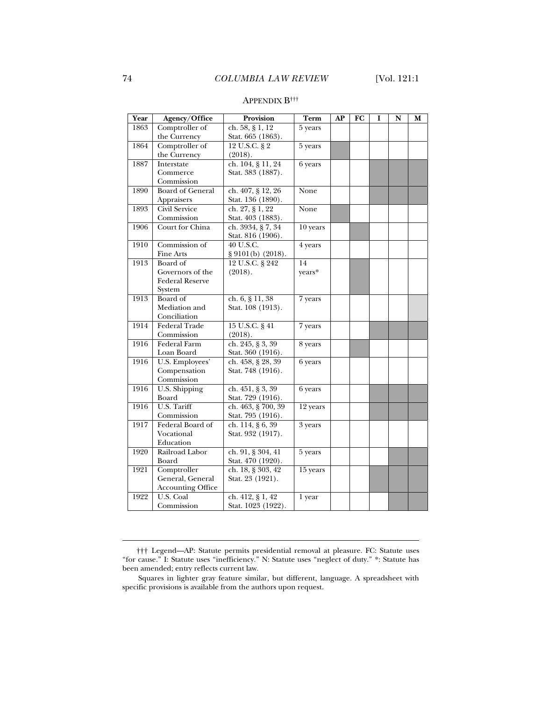| Year | Agency/Office            | Provision          | Term                 | AP | FC | I | N | М |
|------|--------------------------|--------------------|----------------------|----|----|---|---|---|
| 1863 | Comptroller of           | ch. 58, § 1, 12    | $\overline{5}$ years |    |    |   |   |   |
|      | the Currency             | Stat. 665 (1863).  |                      |    |    |   |   |   |
| 1864 | Comptroller of           | 12 U.S.C. § 2      | 5 years              |    |    |   |   |   |
|      | the Currency             | (2018).            |                      |    |    |   |   |   |
| 1887 | Interstate               | ch. 104, § 11, 24  | 6 years              |    |    |   |   |   |
|      | Commerce                 | Stat. 383 (1887).  |                      |    |    |   |   |   |
|      | Commission               |                    |                      |    |    |   |   |   |
| 1890 | <b>Board of General</b>  | ch. 407, § 12, 26  | None                 |    |    |   |   |   |
|      | Appraisers               | Stat. 136 (1890).  |                      |    |    |   |   |   |
| 1893 | Civil Service            | ch. 27, § 1, 22    | None                 |    |    |   |   |   |
|      | Commission               | Stat. 403 (1883).  |                      |    |    |   |   |   |
| 1906 | Court for China          | ch. 3934, § 7, 34  | 10 years             |    |    |   |   |   |
|      |                          | Stat. 816 (1906).  |                      |    |    |   |   |   |
| 1910 | Commission of            | 40 U.S.C.          | 4 years              |    |    |   |   |   |
|      | Fine Arts                | § 9101(b) (2018).  |                      |    |    |   |   |   |
| 1913 | Board of                 | 12 U.S.C. § 242    | 14                   |    |    |   |   |   |
|      | Governors of the         | (2018).            | years*               |    |    |   |   |   |
|      | <b>Federal Reserve</b>   |                    |                      |    |    |   |   |   |
|      | System                   |                    |                      |    |    |   |   |   |
| 1913 | Board of                 | ch. 6, § 11, 38    | 7 years              |    |    |   |   |   |
|      | Mediation and            | Stat. 108 (1913).  |                      |    |    |   |   |   |
|      | Conciliation             |                    |                      |    |    |   |   |   |
| 1914 | Federal Trade            | 15 U.S.C. § 41     | 7 years              |    |    |   |   |   |
|      | Commission               | (2018).            |                      |    |    |   |   |   |
| 1916 | <b>Federal Farm</b>      | ch. 245, § 3, 39   | 8 years              |    |    |   |   |   |
|      | Loan Board               | Stat. 360 (1916).  |                      |    |    |   |   |   |
| 1916 | U.S. Employees'          | ch. 458, § 28, 39  | 6 years              |    |    |   |   |   |
|      | Compensation             | Stat. 748 (1916).  |                      |    |    |   |   |   |
|      | Commission               |                    |                      |    |    |   |   |   |
| 1916 | U.S. Shipping            | ch. 451, § 3, 39   | 6 years              |    |    |   |   |   |
|      | Board                    | Stat. 729 (1916).  |                      |    |    |   |   |   |
| 1916 | U.S. Tariff              | ch. 463, § 700, 39 | 12 years             |    |    |   |   |   |
|      | Commission               | Stat. 795 (1916).  |                      |    |    |   |   |   |
| 1917 | Federal Board of         | ch. 114, § 6, 39   | 3 years              |    |    |   |   |   |
|      | Vocational               | Stat. 932 (1917).  |                      |    |    |   |   |   |
|      | Education                |                    |                      |    |    |   |   |   |
| 1920 | Railroad Labor           | ch. 91, § 304, 41  | 5 years              |    |    |   |   |   |
|      | Board                    | Stat. 470 (1920).  |                      |    |    |   |   |   |
| 1921 | Comptroller              | ch. 18, § 303, 42  | 15 years             |    |    |   |   |   |
|      | General, General         | Stat. 23 (1921).   |                      |    |    |   |   |   |
|      | <b>Accounting Office</b> |                    |                      |    |    |   |   |   |
| 1922 | U.S. Coal                | ch. $412, § 1, 42$ | 1 year               |    |    |   |   |   |
|      | Commission               | Stat. 1023 (1922). |                      |    |    |   |   |   |

## APPENDIX B†††

j

<sup>†††</sup> Legend—AP: Statute permits presidential removal at pleasure. FC: Statute uses "for cause." I: Statute uses "inefficiency." N: Statute uses "neglect of duty." \*: Statute has been amended; entry reflects current law.

Squares in lighter gray feature similar, but different, language. A spreadsheet with specific provisions is available from the authors upon request.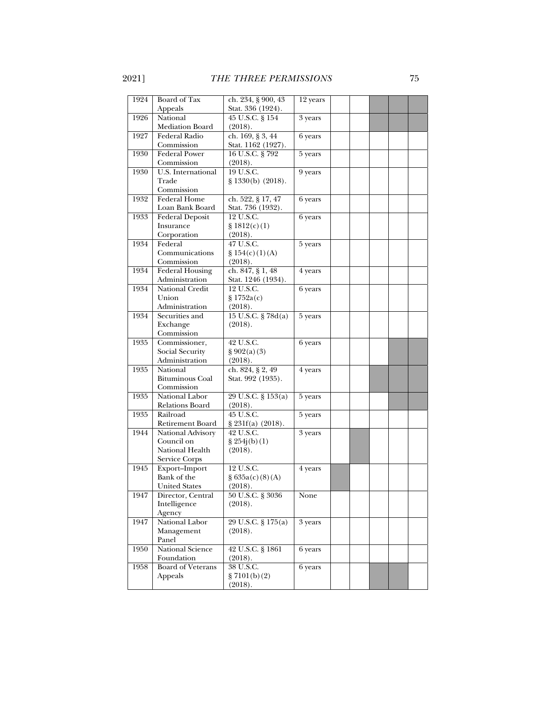| 1924 | Board of Tax                     | ch. 234, § 900, 43            | 12 years  |  |  |  |
|------|----------------------------------|-------------------------------|-----------|--|--|--|
|      | Appeals                          | Stat. 336 (1924).             |           |  |  |  |
| 1926 | National                         | 45 U.S.C. § 154               | 3 years   |  |  |  |
|      | <b>Mediation Board</b>           | (2018).                       |           |  |  |  |
| 1927 | Federal Radio                    | ch. 169, § 3, 44              | 6 years   |  |  |  |
|      | Commission                       | Stat. 1162 (1927).            |           |  |  |  |
| 1930 | <b>Federal Power</b>             | 16 U.S.C. § 792               | 5 years   |  |  |  |
|      | Commission                       | (2018).                       |           |  |  |  |
| 1930 | U.S. International               | 19 U.S.C.                     | 9 years   |  |  |  |
|      | Trade                            | § 1330(b) (2018).             |           |  |  |  |
|      | Commission                       |                               |           |  |  |  |
| 1932 | Federal Home                     | ch. 522, § 17, 47             | 6 years   |  |  |  |
|      | Loan Bank Board                  | Stat. 736 (1932).             |           |  |  |  |
| 1933 | Federal Deposit                  | 12 U.S.C.                     | 6 years   |  |  |  |
|      | Insurance                        | \$1812(c)(1)                  |           |  |  |  |
|      | Corporation                      | (2018).                       |           |  |  |  |
| 1934 | Federal                          | 47 U.S.C.                     | 5 years   |  |  |  |
|      | Communications                   | \$154(c)(1)(A)                |           |  |  |  |
|      | Commission                       | (2018).                       |           |  |  |  |
| 1934 | <b>Federal Housing</b>           | ch. 847, § 1, 48              | 4 years   |  |  |  |
|      | Administration                   | Stat. 1246 (1934).            |           |  |  |  |
| 1934 | National Credit                  | 12 U.S.C.                     | 6 years   |  |  |  |
|      | Union                            | \$1752a(c)                    |           |  |  |  |
| 1934 | Administration<br>Securities and | (2018).<br>15 U.S.C. § 78d(a) |           |  |  |  |
|      |                                  |                               | 5 years   |  |  |  |
|      | Exchange<br>Commission           | (2018).                       |           |  |  |  |
| 1935 | Commissioner,                    | 42 U.S.C.                     | 6 years   |  |  |  |
|      | Social Security                  | § 902(a)(3)                   |           |  |  |  |
|      | Administration                   | (2018).                       |           |  |  |  |
| 1935 | National                         | ch. 824, § 2, 49              | 4 years   |  |  |  |
|      | <b>Bituminous Coal</b>           | Stat. 992 (1935).             |           |  |  |  |
|      | Commission                       |                               |           |  |  |  |
| 1935 | National Labor                   | 29 U.S.C. § 153(a)            | 5 years   |  |  |  |
|      | Relations Board                  | (2018).                       |           |  |  |  |
| 1935 | Railroad                         | 45 U.S.C.                     | 5 years   |  |  |  |
|      | Retirement Board                 | § 231f(a) (2018).             |           |  |  |  |
| 1944 | National Advisory                | 42 U.S.C.                     | 3 years   |  |  |  |
|      | Council on                       | $\frac{8}{254}$ j(b)(1)       |           |  |  |  |
|      | National Health                  | (2018).                       |           |  |  |  |
|      | Service Corps                    |                               |           |  |  |  |
| 1945 | Export-Import                    | 12 U.S.C.                     | 4 years   |  |  |  |
|      | Bank of the                      | § 635a(c)(8)(A)               |           |  |  |  |
|      | <b>United States</b>             | (2018).                       |           |  |  |  |
| 1947 | Director, Central                | 50 U.S.C. § 3036              | None      |  |  |  |
|      | Intelligence                     | (2018).                       |           |  |  |  |
|      | Agency                           |                               |           |  |  |  |
| 1947 | National Labor                   | 29 U.S.C. § 175(a)            | 3 years   |  |  |  |
|      | Management                       | (2018).                       |           |  |  |  |
|      | Panel                            |                               |           |  |  |  |
| 1950 | National Science                 | 42 U.S.C. § 1861              | 6 years   |  |  |  |
|      | Foundation                       | (2018).                       |           |  |  |  |
| 1958 | <b>Board of Veterans</b>         | 38 U.S.C.                     | $6$ years |  |  |  |
|      | Appeals                          | $\S 7101(b)(2)$               |           |  |  |  |
|      |                                  | (2018).                       |           |  |  |  |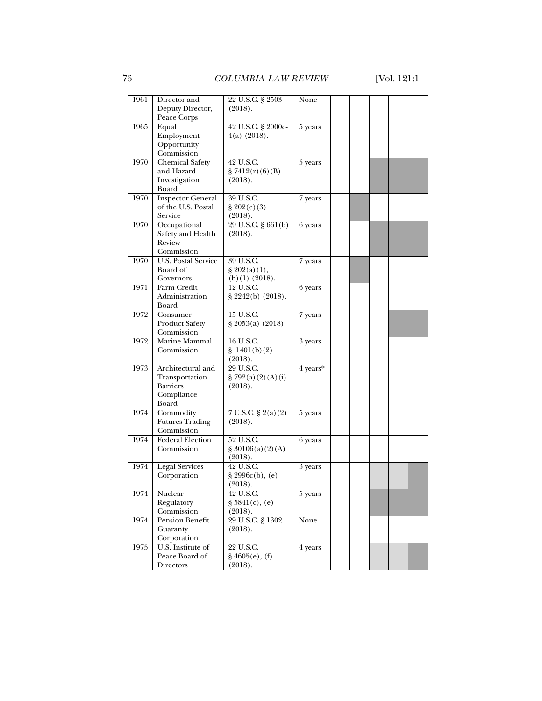| 1961 | Director and                      | 22 U.S.C. § 2503            | None     |  |  |  |
|------|-----------------------------------|-----------------------------|----------|--|--|--|
|      | Deputy Director,                  | (2018).                     |          |  |  |  |
|      | Peace Corps                       |                             |          |  |  |  |
|      |                                   |                             |          |  |  |  |
| 1965 | Equal                             | 42 U.S.C. § 2000e-          | 5 years  |  |  |  |
|      | Employment                        | $4(a)$ (2018).              |          |  |  |  |
|      | Opportunity                       |                             |          |  |  |  |
|      | Commission                        |                             |          |  |  |  |
| 1970 | <b>Chemical Safety</b>            | 42 U.S.C.                   | 5 years  |  |  |  |
|      | and Hazard                        | $\frac{8}{3}$ 7412(r)(6)(B) |          |  |  |  |
|      | Investigation                     | (2018).                     |          |  |  |  |
|      | Board                             |                             |          |  |  |  |
| 1970 | <b>Inspector General</b>          | 39 U.S.C.                   | 7 years  |  |  |  |
|      | of the U.S. Postal                | \$202(e)(3)                 |          |  |  |  |
|      | Service                           |                             |          |  |  |  |
|      |                                   | (2018).                     |          |  |  |  |
| 1970 | Occupational                      | 29 U.S.C. § 661(b)          | 6 years  |  |  |  |
|      | Safety and Health                 | (2018).                     |          |  |  |  |
|      | Review                            |                             |          |  |  |  |
|      | Commission                        |                             |          |  |  |  |
| 1970 | <b>U.S. Postal Service</b>        | 39 U.S.C.                   | 7 years  |  |  |  |
|      | Board of                          | $\S 202(a(1),$              |          |  |  |  |
|      | Governors                         | $(b)(1)$ (2018).            |          |  |  |  |
| 1971 | Farm Credit                       | 12 U.S.C.                   | 6 years  |  |  |  |
|      | Administration                    | $\S 2242(b)$ (2018).        |          |  |  |  |
|      | Board                             |                             |          |  |  |  |
| 1972 | Consumer                          | 15 U.S.C.                   | 7 years  |  |  |  |
|      | <b>Product Safety</b>             | $\S 2053(a) (2018).$        |          |  |  |  |
|      | Commission                        |                             |          |  |  |  |
| 1972 | Marine Mammal                     | 16 U.S.C.                   | 3 years  |  |  |  |
|      | Commission                        | $\{ 1401(b)(2)$             |          |  |  |  |
|      |                                   |                             |          |  |  |  |
| 1973 | Architectural and                 | (2018).<br>29 U.S.C.        | 4 years* |  |  |  |
|      |                                   |                             |          |  |  |  |
|      | Transportation<br><b>Barriers</b> | $\S$ 792(a)(2)(A)(i)        |          |  |  |  |
|      |                                   | (2018).                     |          |  |  |  |
|      | Compliance                        |                             |          |  |  |  |
|      | Board                             |                             |          |  |  |  |
| 1974 | Commodity                         | 7 U.S.C. § 2(a)(2)          | 5 years  |  |  |  |
|      | <b>Futures Trading</b>            | (2018).                     |          |  |  |  |
|      | Commission                        |                             |          |  |  |  |
| 1974 | <b>Federal Election</b>           | 52 U.S.C.                   | 6 years  |  |  |  |
|      | Commission                        | \$30106(a)(2)(A)            |          |  |  |  |
|      |                                   | (2018).                     |          |  |  |  |
| 1974 | <b>Legal Services</b>             | 42 U.S.C.                   | 3 years  |  |  |  |
|      | Corporation                       | $\S 2996c(b), (e)$          |          |  |  |  |
|      |                                   | (2018).                     |          |  |  |  |
| 1974 | Nuclear                           | 42 U.S.C.                   | 5 years  |  |  |  |
|      | Regulatory                        | § 5841(c), (e)              |          |  |  |  |
|      | Commission                        | (2018).                     |          |  |  |  |
| 1974 | Pension Benefit                   | 29 U.S.C. § 1302            | None     |  |  |  |
|      | Guaranty                          | (2018).                     |          |  |  |  |
|      | Corporation                       |                             |          |  |  |  |
| 1975 | U.S. Institute of                 |                             |          |  |  |  |
|      |                                   | 22 U.S.C.                   | 4 years  |  |  |  |
|      | Peace Board of                    | § 4605(e), (f)              |          |  |  |  |
|      | Directors                         | (2018).                     |          |  |  |  |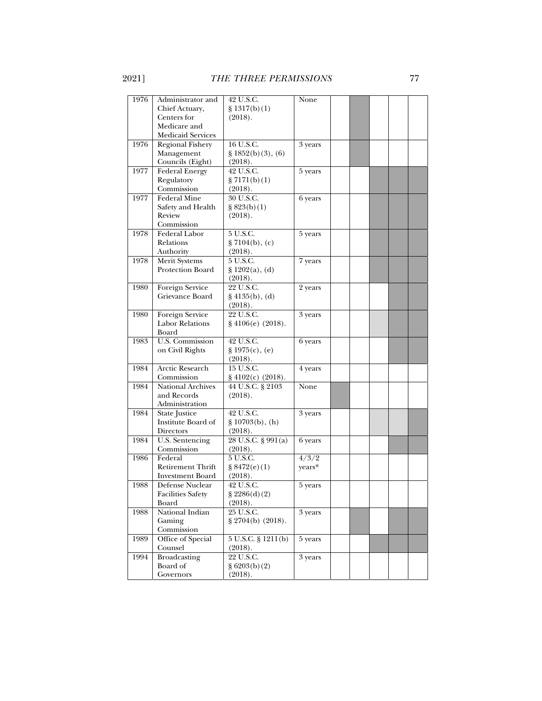| 1976 | Administrator and                      | 42 U.S.C.                               | None    |  |  |
|------|----------------------------------------|-----------------------------------------|---------|--|--|
|      | Chief Actuary,                         | \$1317(b)(1)                            |         |  |  |
|      | Centers for                            | (2018).                                 |         |  |  |
|      | Medicare and                           |                                         |         |  |  |
|      | Medicaid Services                      |                                         |         |  |  |
| 1976 | <b>Regional Fishery</b>                | 16 U.S.C.                               | 3 years |  |  |
|      | Management                             | $\S 1852(b)(3), (6)$                    |         |  |  |
|      | Councils (Eight)                       | (2018).                                 |         |  |  |
| 1977 | <b>Federal Energy</b>                  | 42 U.S.C.                               | 5 years |  |  |
|      | Regulatory                             | $\S 7171(b)(1)$                         |         |  |  |
|      | Commission                             | (2018).                                 |         |  |  |
| 1977 | <b>Federal Mine</b>                    | 30 U.S.C.                               | 6 years |  |  |
|      | Safety and Health                      | § 823(b)(1)                             |         |  |  |
|      | Review                                 | (2018).                                 |         |  |  |
|      | Commission                             |                                         |         |  |  |
| 1978 | Federal Labor                          | 5 U.S.C.                                | 5 years |  |  |
|      | Relations                              | $\S 7104(b)$ , (c)                      |         |  |  |
|      | Authority                              | (2018).                                 |         |  |  |
| 1978 | <b>Merit Systems</b>                   | 5 U.S.C.                                | 7 years |  |  |
|      | Protection Board                       | $\{ 1202(a), (d) \}$                    |         |  |  |
|      |                                        | (2018).                                 |         |  |  |
| 1980 | Foreign Service                        | 22 U.S.C.                               | 2 years |  |  |
|      | Grievance Board                        | $\S 4135(b), (d)$                       |         |  |  |
|      |                                        | (2018).                                 |         |  |  |
| 1980 | Foreign Service                        | 22 U.S.C.                               | 3 years |  |  |
|      | <b>Labor Relations</b>                 | $§$ 4106(e) (2018).                     |         |  |  |
|      | Board                                  |                                         |         |  |  |
| 1983 | U.S. Commission                        | 42 U.S.C.                               | 6 years |  |  |
|      |                                        | § 1975(c), (e)                          |         |  |  |
|      | on Civil Rights                        | (2018).                                 |         |  |  |
| 1984 | Arctic Research                        | 15 U.S.C.                               | 4 years |  |  |
|      |                                        |                                         |         |  |  |
| 1984 | Commission<br><b>National Archives</b> | $§$ 4102(c) (2018).<br>44 U.S.C. § 2103 | None    |  |  |
|      |                                        |                                         |         |  |  |
|      | and Records                            | (2018).                                 |         |  |  |
|      | Administration                         |                                         |         |  |  |
| 1984 | State Justice<br>Institute Board of    | 42 U.S.C.                               | 3 years |  |  |
|      |                                        | $\S 10703(b)$ , (h)                     |         |  |  |
|      | Directors                              | (2018).                                 |         |  |  |
| 1984 | U.S. Sentencing                        | $28$ U.S.C. § 991(a)                    | 6 years |  |  |
|      | Commission                             | (2018).                                 |         |  |  |
| 1986 | Federal                                | 5 U.S.C.                                | 4/3/2   |  |  |
|      | <b>Retirement Thrift</b>               | \$8472(e)(1)                            | years*  |  |  |
|      | <b>Investment Board</b>                | (2018).                                 |         |  |  |
| 1988 | Defense Nuclear                        | 42 U.S.C.                               | 5 years |  |  |
|      | <b>Facilities Safety</b>               | $\S 2286(d)(2)$                         |         |  |  |
|      | Board                                  | (2018).                                 |         |  |  |
| 1988 | National Indian                        | 25 U.S.C.                               | 3 years |  |  |
|      | Gaming                                 | § 2704(b) (2018).                       |         |  |  |
|      | Commission                             |                                         |         |  |  |
| 1989 | Office of Special                      | $5 U.S.C. \S 1211(b)$                   | 5 years |  |  |
|      | Counsel                                | (2018).                                 |         |  |  |
| 1994 | <b>Broadcasting</b>                    | 22 U.S.C.                               | 3 years |  |  |
|      | Board of                               | $\S 6203(b)(2)$                         |         |  |  |
|      | Governors                              | (2018).                                 |         |  |  |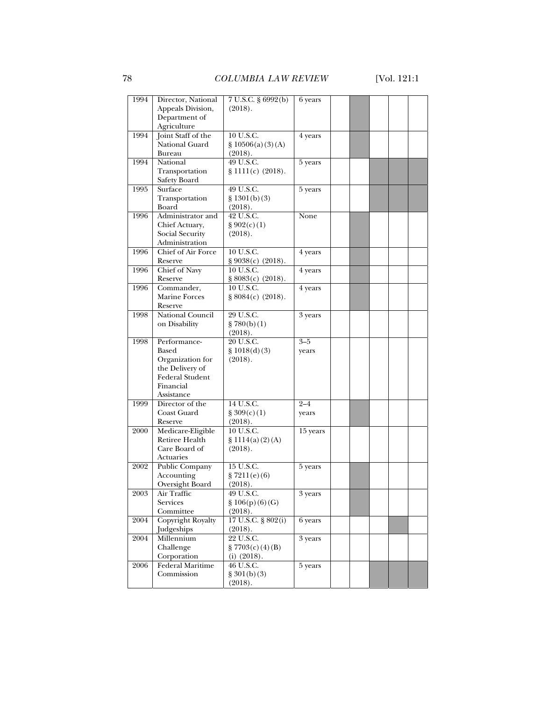| 1994 | Director, National       | 7 U.S.C. § 6992(b)          | 6 years  |  |  |  |
|------|--------------------------|-----------------------------|----------|--|--|--|
|      | Appeals Division,        | (2018).                     |          |  |  |  |
|      | Department of            |                             |          |  |  |  |
|      | Agriculture              |                             |          |  |  |  |
| 1994 |                          | 10 U.S.C.                   |          |  |  |  |
|      | Joint Staff of the       |                             | 4 years  |  |  |  |
|      | National Guard           | \$10506(a)(3)(A)            |          |  |  |  |
|      | Bureau                   | (2018).                     |          |  |  |  |
| 1994 | National                 | 49 U.S.C.                   | 5 years  |  |  |  |
|      | Transportation           | § 1111(c) (2018).           |          |  |  |  |
|      |                          |                             |          |  |  |  |
|      | Safety Board             |                             |          |  |  |  |
| 1995 | Surface                  | 49 U.S.C.                   | 5 years  |  |  |  |
|      | Transportation           | \$1301(b)(3)                |          |  |  |  |
|      | Board                    | (2018).                     |          |  |  |  |
| 1996 | Administrator and        | 42 U.S.C.                   | None     |  |  |  |
|      |                          |                             |          |  |  |  |
|      | Chief Actuary,           | § 902(c)(1)                 |          |  |  |  |
|      | Social Security          | (2018).                     |          |  |  |  |
|      | Administration           |                             |          |  |  |  |
| 1996 | Chief of Air Force       | 10 U.S.C.                   | 4 years  |  |  |  |
|      | Reserve                  | § 9038(c) (2018).           |          |  |  |  |
|      | <b>Chief of Navy</b>     | 10 U.S.C.                   |          |  |  |  |
| 1996 |                          |                             | 4 years  |  |  |  |
|      | Reserve                  | § 8083(c) (2018).           |          |  |  |  |
| 1996 | Commander,               | 10 U.S.C.                   | 4 years  |  |  |  |
|      | <b>Marine Forces</b>     | \$8084(c) (2018).           |          |  |  |  |
|      | Reserve                  |                             |          |  |  |  |
| 1998 | National Council         | 29 U.S.C.                   | 3 years  |  |  |  |
|      |                          |                             |          |  |  |  |
|      | on Disability            | \$780(b)(1)                 |          |  |  |  |
|      |                          | (2018).                     |          |  |  |  |
| 1998 | Performance-             | 20 U.S.C.                   | $3 - 5$  |  |  |  |
|      | Based                    | \$1018(d)(3)                | years    |  |  |  |
|      | Organization for         | (2018).                     |          |  |  |  |
|      |                          |                             |          |  |  |  |
|      | the Delivery of          |                             |          |  |  |  |
|      | <b>Federal Student</b>   |                             |          |  |  |  |
|      | Financial                |                             |          |  |  |  |
|      | Assistance               |                             |          |  |  |  |
| 1999 | Director of the          | $14$ U.S.C.                 | $2 - 4$  |  |  |  |
|      | Coast Guard              | $\frac{8}{3}$ 309(c)(1)     | years    |  |  |  |
|      |                          |                             |          |  |  |  |
|      | Reserve                  | (2018).                     |          |  |  |  |
| 2000 | Medicare-Eligible        | 10 U.S.C.                   | 15 years |  |  |  |
|      | Retiree Health           | \$1114(a)(2)(A)             |          |  |  |  |
|      | Care Board of            | (2018).                     |          |  |  |  |
|      | Actuaries                |                             |          |  |  |  |
| 2002 | Public Company           | 15 U.S.C.                   | 5 years  |  |  |  |
|      |                          |                             |          |  |  |  |
|      | Accounting               | \$7211(e)(6)                |          |  |  |  |
|      | Oversight Board          | (2018).                     |          |  |  |  |
| 2003 | Air Traffic              | 49 U.S.C.                   | 3 years  |  |  |  |
|      | Services                 | \$106(p)(6)(G)              |          |  |  |  |
|      | Committee                | (2018).                     |          |  |  |  |
| 2004 | <b>Copyright Royalty</b> | 17 U.S.C. § 802(i)          | 6 years  |  |  |  |
|      |                          |                             |          |  |  |  |
|      | Judgeships               | (2018).                     |          |  |  |  |
| 2004 | Millennium               | 22 U.S.C.                   | 3 years  |  |  |  |
|      | Challenge                | $\frac{8}{2}$ 7703(c)(4)(B) |          |  |  |  |
|      | Corporation              | $(i)$ $(2018)$ .            |          |  |  |  |
| 2006 | Federal Maritime         | 46 U.S.C.                   | 5 years  |  |  |  |
|      | Commission               | \$301(b)(3)                 |          |  |  |  |
|      |                          |                             |          |  |  |  |
|      |                          | (2018).                     |          |  |  |  |